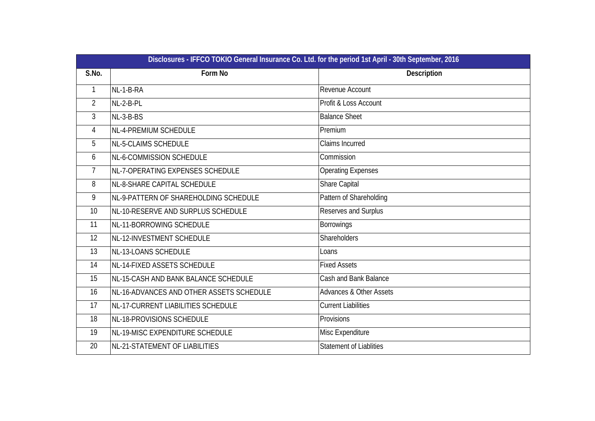|                | Disclosures - IFFCO TOKIO General Insurance Co. Ltd. for the period 1st April - 30th September, 2016 |                                    |  |  |  |  |  |
|----------------|------------------------------------------------------------------------------------------------------|------------------------------------|--|--|--|--|--|
| S.No.          | Form No                                                                                              | Description                        |  |  |  |  |  |
| $\mathbf{1}$   | NL-1-B-RA                                                                                            | Revenue Account                    |  |  |  |  |  |
| $\overline{2}$ | NL-2-B-PL                                                                                            | Profit & Loss Account              |  |  |  |  |  |
| $\overline{3}$ | NL-3-B-BS                                                                                            | <b>Balance Sheet</b>               |  |  |  |  |  |
| $\overline{4}$ | NL-4-PREMIUM SCHEDULE                                                                                | Premium                            |  |  |  |  |  |
| 5              | NL-5-CLAIMS SCHEDULE                                                                                 | Claims Incurred                    |  |  |  |  |  |
| 6              | NL-6-COMMISSION SCHEDULE                                                                             | Commission                         |  |  |  |  |  |
| 7              | NL-7-OPERATING EXPENSES SCHEDULE                                                                     | <b>Operating Expenses</b>          |  |  |  |  |  |
| 8              | NL-8-SHARE CAPITAL SCHEDULE                                                                          | Share Capital                      |  |  |  |  |  |
| 9              | NL-9-PATTERN OF SHAREHOLDING SCHEDULE                                                                | Pattern of Shareholding            |  |  |  |  |  |
| 10             | NL-10-RESERVE AND SURPLUS SCHEDULE                                                                   | Reserves and Surplus               |  |  |  |  |  |
| 11             | NL-11-BORROWING SCHEDULE                                                                             | <b>Borrowings</b>                  |  |  |  |  |  |
| 12             | NL-12-INVESTMENT SCHEDULE                                                                            | <b>Shareholders</b>                |  |  |  |  |  |
| 13             | NL-13-LOANS SCHEDULE                                                                                 | Loans                              |  |  |  |  |  |
| 14             | NL-14-FIXED ASSETS SCHEDULE                                                                          | <b>Fixed Assets</b>                |  |  |  |  |  |
| 15             | NL-15-CASH AND BANK BALANCE SCHEDULE                                                                 | <b>Cash and Bank Balance</b>       |  |  |  |  |  |
| 16             | NL-16-ADVANCES AND OTHER ASSETS SCHEDULE                                                             | <b>Advances &amp; Other Assets</b> |  |  |  |  |  |
| 17             | NL-17-CURRENT LIABILITIES SCHEDULE                                                                   | <b>Current Liabilities</b>         |  |  |  |  |  |
| 18             | NL-18-PROVISIONS SCHEDULE                                                                            | Provisions                         |  |  |  |  |  |
| 19             | NL-19-MISC EXPENDITURE SCHEDULE                                                                      | Misc Expenditure                   |  |  |  |  |  |
| 20             | NL-21-STATEMENT OF LIABILITIES                                                                       | <b>Statement of Liablities</b>     |  |  |  |  |  |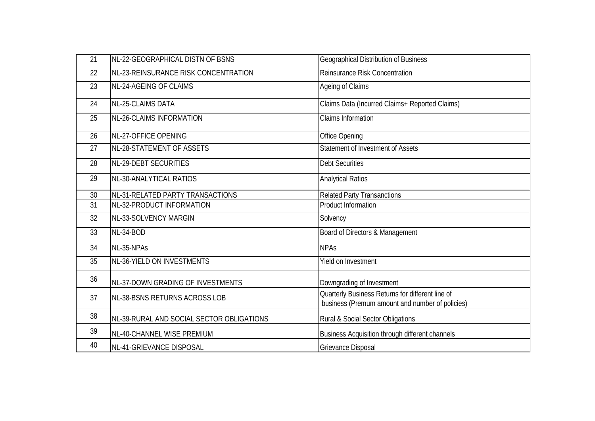| 21 | INL-22-GEOGRAPHICAL DISTN OF BSNS         | Geographical Distribution of Business                                                               |
|----|-------------------------------------------|-----------------------------------------------------------------------------------------------------|
| 22 | NL-23-REINSURANCE RISK CONCENTRATION      | <b>Reinsurance Risk Concentration</b>                                                               |
| 23 | NL-24-AGEING OF CLAIMS                    | Ageing of Claims                                                                                    |
| 24 | <b>NL-25-CLAIMS DATA</b>                  | Claims Data (Incurred Claims+ Reported Claims)                                                      |
| 25 | <b>NL-26-CLAIMS INFORMATION</b>           | <b>Claims Information</b>                                                                           |
| 26 | NL-27-OFFICE OPENING                      | Office Opening                                                                                      |
| 27 | NL-28-STATEMENT OF ASSETS                 | Statement of Investment of Assets                                                                   |
| 28 | NL-29-DEBT SECURITIES                     | <b>Debt Securities</b>                                                                              |
| 29 | NL-30-ANALYTICAL RATIOS                   | <b>Analytical Ratios</b>                                                                            |
| 30 | NL-31-RELATED PARTY TRANSACTIONS          | <b>Related Party Transanctions</b>                                                                  |
| 31 | NL-32-PRODUCT INFORMATION                 | <b>Product Information</b>                                                                          |
| 32 | NL-33-SOLVENCY MARGIN                     | Solvency                                                                                            |
| 33 | NL-34-BOD                                 | Board of Directors & Management                                                                     |
| 34 | NL-35-NPAs                                | <b>NPAs</b>                                                                                         |
| 35 | NL-36-YIELD ON INVESTMENTS                | Yield on Investment                                                                                 |
| 36 | NL-37-DOWN GRADING OF INVESTMENTS         | Downgrading of Investment                                                                           |
| 37 | NL-38-BSNS RETURNS ACROSS LOB             | Quarterly Business Returns for different line of<br>business (Premum amount and number of policies) |
| 38 | NL-39-RURAL AND SOCIAL SECTOR OBLIGATIONS | Rural & Social Sector Obligations                                                                   |
| 39 | NL-40-CHANNEL WISE PREMIUM                | Business Acquisition through different channels                                                     |
| 40 | NL-41-GRIEVANCE DISPOSAL                  | <b>Grievance Disposal</b>                                                                           |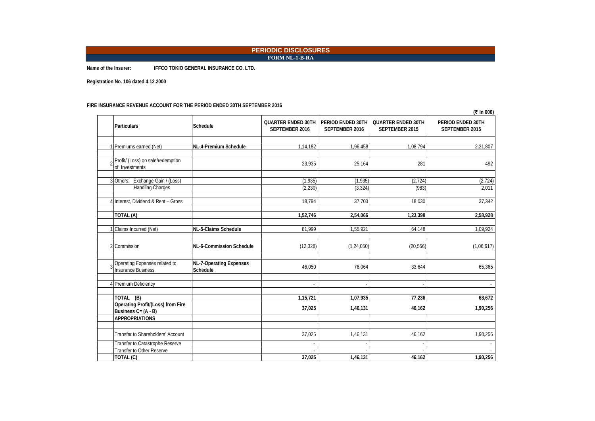### **PERIODIC DISCLOSURES FORM NL-1-B-RA**

**Name of the Insurer: IFFCO TOKIO GENERAL INSURANCE CO. LTD.**

**Registration No. 106 dated 4.12.2000**

#### **FIRE INSURANCE REVENUE ACCOUNT FOR THE PERIOD ENDED 30TH SEPTEMBER 2016**

|                                                                 |                                     |                                             |                                     |                                             | (₹ In 000)                          |
|-----------------------------------------------------------------|-------------------------------------|---------------------------------------------|-------------------------------------|---------------------------------------------|-------------------------------------|
| <b>Particulars</b>                                              | Schedule                            | <b>QUARTER ENDED 30TH</b><br>SEPTEMBER 2016 | PERIOD ENDED 30TH<br>SEPTEMBER 2016 | <b>QUARTER ENDED 30TH</b><br>SEPTEMBER 2015 | PERIOD ENDED 30TH<br>SEPTEMBER 2015 |
| 1 Premiums earned (Net)                                         | NL-4-Premium Schedule               | 1,14,182                                    | 1,96,458                            | 1,08,794                                    | 2,21,807                            |
| 2 Profit/ (Loss) on sale/redemption<br>of Investments           |                                     | 23,935                                      | 25,164                              | 281                                         | 492                                 |
| 3 Others: Exchange Gain / (Loss)<br>Handling Charges            |                                     | (1,935)<br>(2, 230)                         | (1,935)<br>(3, 324)                 | (2, 724)<br>(983)                           | (2, 724)<br>2,011                   |
| 4 Interest, Dividend & Rent - Gross                             |                                     | 18,794                                      | 37,703                              | 18,030                                      | 37,342                              |
| TOTAL (A)                                                       |                                     | 1,52,746                                    | 2,54,066                            | 1,23,398                                    | 2,58,928                            |
| Claims Incurred (Net)                                           | NL-5-Claims Schedule                | 81,999                                      | 1,55,921                            | 64,148                                      | 1,09,924                            |
| 2 Commission                                                    | NL-6-Commission Schedule            | (12, 328)                                   | (1, 24, 050)                        | (20, 556)                                   | (1,06,617)                          |
| Operating Expenses related to<br><b>Insurance Business</b>      | NL-7-Operating Expenses<br>Schedule | 46,050                                      | 76,064                              | 33,644                                      | 65,365                              |
| 4 Premium Deficiency                                            |                                     | $\overline{\phantom{a}}$                    | $\sim$                              |                                             |                                     |
| TOTAL (B)                                                       |                                     | 1,15,721                                    | 1,07,935                            | 77,236                                      | 68,672                              |
| <b>Operating Profit/(Loss) from Fire</b><br>Business C= (A - B) |                                     | 37,025                                      | 1,46,131                            | 46,162                                      | 1,90,256                            |
| <b>APPROPRIATIONS</b>                                           |                                     |                                             |                                     |                                             |                                     |
| Transfer to Shareholders' Account                               |                                     | 37,025                                      | 1,46,131                            | 46,162                                      | 1,90,256                            |
| Transfer to Catastrophe Reserve<br>Transfer to Other Reserve    |                                     |                                             |                                     |                                             |                                     |
| TOTAL (C)                                                       |                                     | 37,025                                      | 1,46,131                            | 46,162                                      | 1,90,256                            |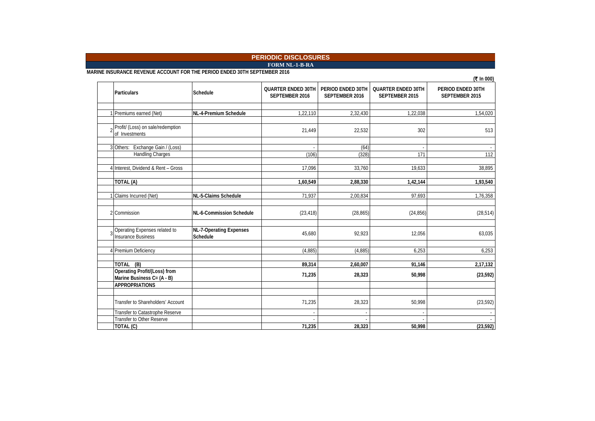### **FORM NL-1-B-RA PERIODIC DISCLOSURES**

**MARINE INSURANCE REVENUE ACCOUNT FOR THE PERIOD ENDED 30TH SEPTEMBER 2016**

|                                                                   |                                            |                                             |                                     |                                             | (₹ In 000)                          |
|-------------------------------------------------------------------|--------------------------------------------|---------------------------------------------|-------------------------------------|---------------------------------------------|-------------------------------------|
| <b>Particulars</b>                                                | <b>Schedule</b>                            | <b>QUARTER ENDED 30TH</b><br>SEPTEMBER 2016 | PERIOD ENDED 30TH<br>SEPTEMBER 2016 | <b>QUARTER ENDED 30TH</b><br>SEPTEMBER 2015 | PERIOD ENDED 30TH<br>SEPTEMBER 2015 |
| 1 Premiums earned (Net)                                           | NL-4-Premium Schedule                      | 1,22,110                                    | 2,32,430                            | 1,22,038                                    | 1,54,020                            |
| Profit/ (Loss) on sale/redemption<br>of Investments               |                                            | 21,449                                      | 22,532                              | 302                                         | 513                                 |
| 3 Others: Exchange Gain / (Loss)<br>Handling Charges              |                                            | (106)                                       | (64)<br>(328)                       | 171                                         | 112                                 |
| 4 Interest, Dividend & Rent - Gross                               |                                            | 17,096                                      | 33,760                              | 19,633                                      | 38,895                              |
| TOTAL (A)                                                         |                                            | 1,60,549                                    | 2,88,330                            | 1,42,144                                    | 1,93,540                            |
| Claims Incurred (Net)                                             | <b>NL-5-Claims Schedule</b>                | 71,937                                      | 2,00,834                            | 97,693                                      | 1,76,358                            |
| 2 Commission                                                      | NL-6-Commission Schedule                   | (23, 418)                                   | (28, 865)                           | (24, 856)                                   | (28, 514)                           |
| Operating Expenses related to<br><b>Insurance Business</b>        | <b>NL-7-Operating Expenses</b><br>Schedule | 45,680                                      | 92,923                              | 12,056                                      | 63,035                              |
| 4 Premium Deficiency                                              |                                            | (4, 885)                                    | (4,885)                             | 6,253                                       | 6,253                               |
| TOTAL (B)                                                         |                                            | 89,314                                      | 2,60,007                            | 91,146                                      | 2,17,132                            |
| <b>Operating Profit/(Loss) from</b><br>Marine Business C= (A - B) |                                            | 71,235                                      | 28,323                              | 50,998                                      | (23, 592)                           |
| <b>APPROPRIATIONS</b>                                             |                                            |                                             |                                     |                                             |                                     |
| Transfer to Shareholders' Account                                 |                                            | 71,235                                      | 28,323                              | 50,998                                      | (23, 592)                           |
| Transfer to Catastrophe Reserve                                   |                                            |                                             |                                     |                                             |                                     |
| Transfer to Other Reserve<br>TOTAL (C)                            |                                            | 71,235                                      | 28,323                              | 50,998                                      | (23, 592)                           |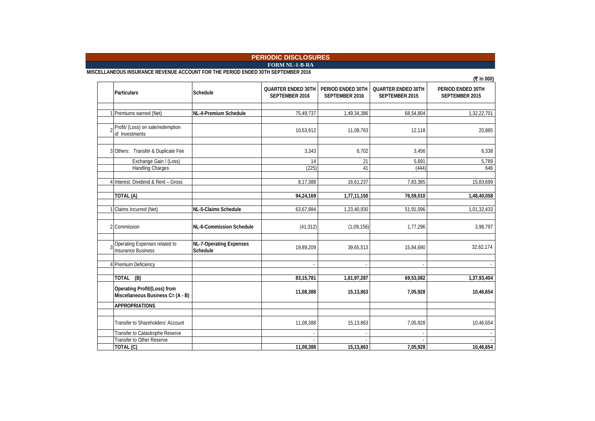### **FORM NL-1-B-RA PERIODIC DISCLOSURES**

**MISCELLANEOUS INSURANCE REVENUE ACCOUNT FOR THE PERIOD ENDED 30TH SEPTEMBER 2016**

|                                                                   |                                            |                                             |                                     |                                             | (₹ In 000)                          |
|-------------------------------------------------------------------|--------------------------------------------|---------------------------------------------|-------------------------------------|---------------------------------------------|-------------------------------------|
| <b>Particulars</b>                                                | Schedule                                   | <b>QUARTER ENDED 30TH</b><br>SEPTEMBER 2016 | PERIOD ENDED 30TH<br>SEPTEMBER 2016 | <b>QUARTER ENDED 30TH</b><br>SEPTEMBER 2015 | PERIOD ENDED 30TH<br>SEPTEMBER 2015 |
|                                                                   |                                            |                                             |                                     |                                             |                                     |
| Premiums earned (Net)                                             | NL-4-Premium Schedule                      | 75,49,737                                   | 1,49,34,386                         | 68,54,804                                   | 1,32,22,701                         |
| Profit/ (Loss) on sale/redemption<br>of Investments               |                                            | 10,53,912                                   | 11,08,763                           | 12,118                                      | 20,885                              |
| 3 Others: Transfer & Duplicate Fee                                |                                            | 3,343                                       | 6.702                               | 3,456                                       | 6,338                               |
| Exchange Gain / (Loss)                                            |                                            | 14                                          | 21                                  | 5,691                                       | 5,789                               |
| <b>Handling Charges</b>                                           |                                            | (225)                                       | 41                                  | (444)                                       | 646                                 |
| 4 Interest, Dividend & Rent - Gross                               |                                            | 8,17,388                                    | 16,61,237                           | 7,83,385                                    | 15,83,699                           |
| TOTAL (A)                                                         |                                            | 94,24,169                                   | 1,77,11,150                         | 76,59,010                                   | 1,48,40,058                         |
|                                                                   |                                            |                                             |                                     |                                             |                                     |
| Claims Incurred (Net)                                             | NL-5-Claims Schedule                       | 63,67,884                                   | 1,23,40,930                         | 51,91,096                                   | 1,01,32,433                         |
| 2 Commission                                                      | NL-6-Commission Schedule                   | (41, 312)                                   | (1,09,156)                          | 1,77,296                                    | 3,98,797                            |
| Operating Expenses related to<br>Insurance Business               | <b>NL-7-Operating Expenses</b><br>Schedule | 19,89,209                                   | 39,65,513                           | 15,84,690                                   | 32,62,174                           |
| 4 Premium Deficiency                                              |                                            |                                             |                                     |                                             |                                     |
|                                                                   |                                            |                                             |                                     |                                             |                                     |
| (B)<br>TOTAL                                                      |                                            | 83, 15, 781                                 | 1,61,97,287                         | 69,53,082                                   | 1,37,93,404                         |
| Operating Profit/(Loss) from<br>Miscellaneous Business C= (A - B) |                                            | 11,08,388                                   | 15,13,863                           | 7,05,928                                    | 10,46,654                           |
| <b>APPROPRIATIONS</b>                                             |                                            |                                             |                                     |                                             |                                     |
|                                                                   |                                            |                                             |                                     |                                             |                                     |
| Transfer to Shareholders' Account                                 |                                            | 11,08,388                                   | 15,13,863                           | 7,05,928                                    | 10,46,654                           |
| Transfer to Catastrophe Reserve                                   |                                            |                                             |                                     |                                             |                                     |
| Transfer to Other Reserve                                         |                                            |                                             |                                     |                                             |                                     |
| TOTAL (C)                                                         |                                            | 11,08,388                                   | 15,13,863                           | 7,05,928                                    | 10,46,654                           |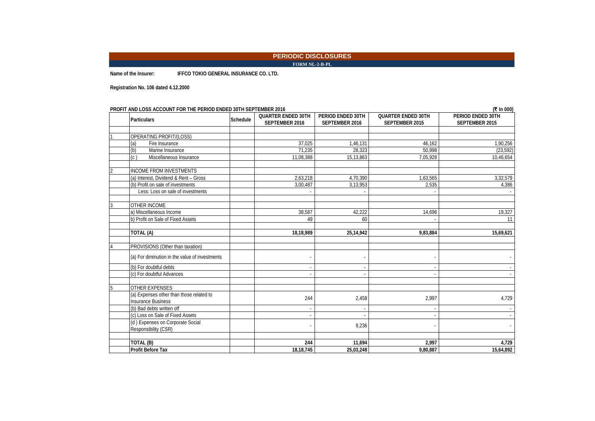#### **PERIODIC DISCLOSURES FORM NL-2-B-PL**

**Name of the Insurer: IFFCO TOKIO GENERAL INSURANCE CO. LTD.**

**Registration No. 106 dated 4.12.2000**

| <b>PROFIT AND LOSS ACCOUNT FOR THE PERIOD ENDED 30TH SEPTEMBER 2016</b><br>(₹ In 000) |                 |                           |                   |                           |                   |  |
|---------------------------------------------------------------------------------------|-----------------|---------------------------|-------------------|---------------------------|-------------------|--|
| <b>Particulars</b>                                                                    | <b>Schedule</b> | <b>QUARTER ENDED 30TH</b> | PERIOD ENDED 30TH | <b>QUARTER ENDED 30TH</b> | PERIOD ENDED 30TH |  |
|                                                                                       |                 | SEPTEMBER 2016            | SEPTEMBER 2016    | SEPTEMBER 2015            | SEPTEMBER 2015    |  |
|                                                                                       |                 |                           |                   |                           |                   |  |
| OPERATING PROFIT/(LOSS)                                                               |                 |                           |                   |                           |                   |  |
| (a)<br>Fire Insurance                                                                 |                 | 37,025                    | 1,46,131          | 46,162                    | 1,90,256          |  |
| (b)<br>Marine Insurance                                                               |                 | 71,235                    | 28,323            | 50.998                    | (23, 592)         |  |
| $\overline{c}$<br>Miscellaneous Insurance                                             |                 | 11,08,388                 | 15,13,863         | 7,05,928                  | 10,46,654         |  |
| <b>INCOME FROM INVESTMENTS</b>                                                        |                 |                           |                   |                           |                   |  |
| (a) Interest, Dividend & Rent - Gross                                                 |                 | 2,63,218                  | 4,70,390          | 1,63,565                  | 3,32,579          |  |
| (b) Profit on sale of investments                                                     |                 | 3,00,487                  | 3,13,953          | 2,535                     | 4,386             |  |
| Less: Loss on sale of investments                                                     |                 |                           |                   |                           |                   |  |
|                                                                                       |                 |                           |                   |                           |                   |  |
| OTHER INCOME<br>3                                                                     |                 |                           |                   |                           |                   |  |
| a) Miscellaneous Income                                                               |                 | 38,587                    | 42,222            | 14,696                    | 19,327            |  |
| b) Profit on Sale of Fixed Assets                                                     |                 | 49                        | 60                |                           | 11                |  |
| TOTAL (A)                                                                             |                 | 18,18,989                 | 25,14,942         | 9,83,884                  | 15,69,621         |  |
| PROVISIONS (Other than taxation)                                                      |                 |                           |                   |                           |                   |  |
|                                                                                       |                 |                           |                   |                           |                   |  |
| (a) For diminution in the value of investments                                        |                 |                           |                   |                           |                   |  |
| (b) For doubtful debts                                                                |                 |                           |                   |                           |                   |  |
| (c) For doubtful Advances                                                             |                 |                           |                   |                           |                   |  |
| <b>OTHER EXPENSES</b><br>5                                                            |                 |                           |                   |                           |                   |  |
| (a) Expenses other than those related to                                              |                 |                           |                   |                           |                   |  |
| <b>Insurance Business</b>                                                             |                 | 244                       | 2,458             | 2,997                     | 4,729             |  |
| (b) Bad debts written off                                                             |                 |                           |                   |                           |                   |  |
| (c) Loss on Sale of Fixed Assets                                                      |                 |                           |                   |                           |                   |  |
| (d) Expenses on Corporate Social                                                      |                 |                           |                   |                           |                   |  |
| Responsibility (CSR)                                                                  |                 |                           | 9,236             |                           |                   |  |
|                                                                                       |                 |                           |                   |                           |                   |  |
| TOTAL (B)                                                                             |                 | 244                       | 11,694            | 2.997                     | 4,729             |  |
| <b>Profit Before Tax</b>                                                              |                 | 18.18.745                 | 25,03,248         | 9.80.887                  | 15,64,892         |  |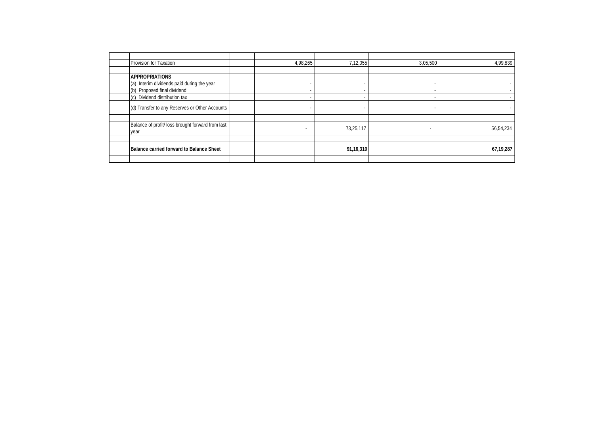| Provision for Taxation                                    | 4,98,265                 | 7,12,055  | 3,05,500                 | 4,99,839  |
|-----------------------------------------------------------|--------------------------|-----------|--------------------------|-----------|
|                                                           |                          |           |                          |           |
| <b>APPROPRIATIONS</b>                                     |                          |           |                          |           |
| (a) Interim dividends paid during the year                | $\overline{\phantom{a}}$ |           |                          |           |
| (b) Proposed final dividend                               | $\overline{\phantom{a}}$ |           |                          |           |
| (c) Dividend distribution tax                             | $\overline{\phantom{a}}$ |           | $\overline{\phantom{a}}$ |           |
| (d) Transfer to any Reserves or Other Accounts            | $\overline{\phantom{a}}$ |           | $\overline{\phantom{a}}$ |           |
|                                                           |                          |           |                          |           |
| Balance of profit/ loss brought forward from last<br>year | $\overline{\phantom{a}}$ | 73,25,117 | $\overline{\phantom{a}}$ | 56,54,234 |
|                                                           |                          |           |                          |           |
| Balance carried forward to Balance Sheet                  |                          | 91,16,310 |                          | 67,19,287 |
|                                                           |                          |           |                          |           |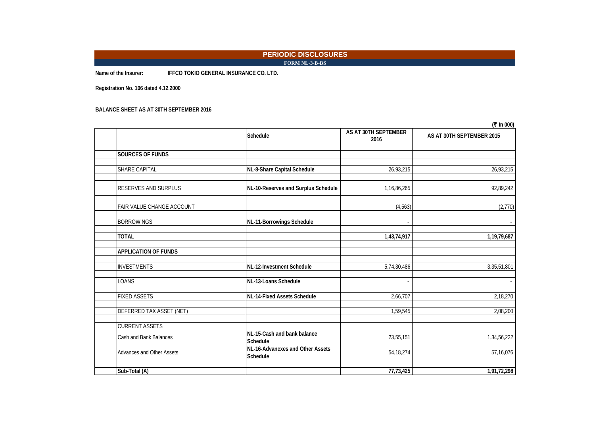### **PERIODIC DISCLOSURES FORM NL-3-B-BS**

**Name of the Insurer: IFFCO TOKIO GENERAL INSURANCE CO. LTD.**

**Registration No. 106 dated 4.12.2000**

**BALANCE SHEET AS AT 30TH SEPTEMBER 2016**

|                             |                                              |                              | (₹ In 000)                |
|-----------------------------|----------------------------------------------|------------------------------|---------------------------|
|                             | Schedule                                     | AS AT 30TH SEPTEMBER<br>2016 | AS AT 30TH SEPTEMBER 2015 |
|                             |                                              |                              |                           |
| <b>SOURCES OF FUNDS</b>     |                                              |                              |                           |
| SHARE CAPITAL               | NL-8-Share Capital Schedule                  | 26,93,215                    | 26,93,215                 |
| <b>RESERVES AND SURPLUS</b> | NL-10-Reserves and Surplus Schedule          | 1,16,86,265                  | 92,89,242                 |
| FAIR VALUE CHANGE ACCOUNT   |                                              | (4, 563)                     | (2,770)                   |
| <b>BORROWINGS</b>           | NL-11-Borrowings Schedule                    | $\overline{\phantom{a}}$     |                           |
| <b>TOTAL</b>                |                                              | 1,43,74,917                  | 1,19,79,687               |
| <b>APPLICATION OF FUNDS</b> |                                              |                              |                           |
| <b>INVESTMENTS</b>          | NL-12-Investment Schedule                    | 5,74,30,486                  | 3,35,51,801               |
| LOANS                       | NL-13-Loans Schedule                         |                              |                           |
| <b>FIXED ASSETS</b>         | NL-14-Fixed Assets Schedule                  | 2,66,707                     | 2,18,270                  |
| DEFERRED TAX ASSET (NET)    |                                              | 1,59,545                     | 2,08,200                  |
| <b>CURRENT ASSETS</b>       |                                              |                              |                           |
| Cash and Bank Balances      | NL-15-Cash and bank balance<br>Schedule      | 23,55,151                    | 1,34,56,222               |
| Advances and Other Assets   | NL-16-Advancxes and Other Assets<br>Schedule | 54, 18, 274                  | 57,16,076                 |
| Sub-Total (A)               |                                              | 77,73,425                    | 1,91,72,298               |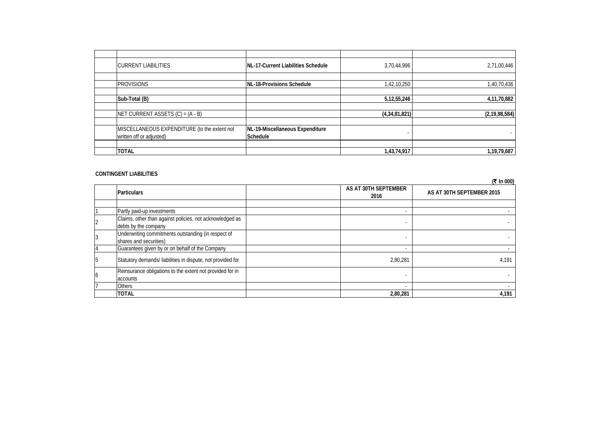| <b>CURRENT LIABILITIES</b>                   | <b>INL-17-Current Liabilities Schedule</b> | 3,70,44,996    | 2,71,00,446      |
|----------------------------------------------|--------------------------------------------|----------------|------------------|
|                                              |                                            |                |                  |
| <b>PROVISIONS</b>                            | NL-18-Provisions Schedule                  | 1,42,10,250    | 1,40,70,436      |
|                                              |                                            |                |                  |
| Sub-Total (B)                                |                                            | 5, 12, 55, 246 | 4,11,70,882      |
|                                              |                                            |                |                  |
| NET CURRENT ASSETS $(C) = (A - B)$           |                                            | (4,34,81,821)  | (2, 19, 98, 584) |
|                                              |                                            |                |                  |
| MISCELLANEOUS EXPENDITURE (to the extent not | NL-19-Miscellaneous Expenditure            |                |                  |
| written off or adjusted)                     | <b>Schedule</b>                            |                |                  |
|                                              |                                            |                |                  |
| <b>TOTAL</b>                                 |                                            | 1,43,74,917    | 1,19,79,687      |

### **CONTINGENT LIABILITIES**

|                |                                                                                  |                              | (₹ In 000)                |
|----------------|----------------------------------------------------------------------------------|------------------------------|---------------------------|
|                | <b>Particulars</b>                                                               | AS AT 30TH SEPTEMBER<br>2016 | AS AT 30TH SEPTEMBER 2015 |
|                |                                                                                  |                              |                           |
|                | Partly paid-up investments                                                       |                              |                           |
| $\overline{2}$ | Claims, other than against policies, not acknowledged as<br>debts by the company |                              |                           |
| 3              | Underwriting commitments outstanding (in respect of<br>shares and securities)    |                              |                           |
|                | Guarantees given by or on behalf of the Company                                  |                              |                           |
| 5              | Statutory demands/ liabilities in dispute, not provided for                      | 2,80,281                     | 4,191                     |
| 6              | Reinsurance obligations to the extent not provided for in<br>accounts            |                              |                           |
|                | <b>Others</b>                                                                    |                              |                           |
|                | <b>TOTAL</b>                                                                     | 2,80,281                     | 4,191                     |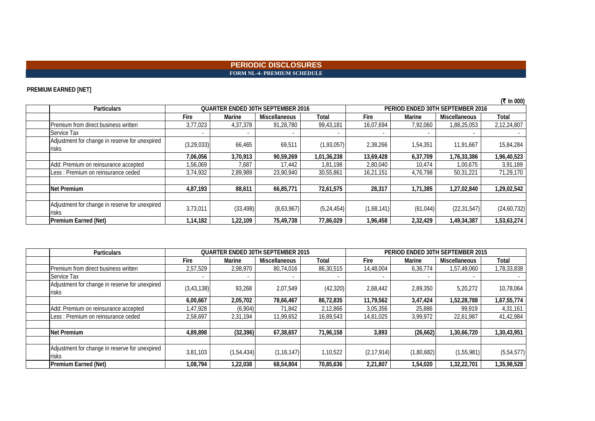### **PERIODIC DISCLOSURES FORM NL-4- PREMIUM SCHEDULE**

### **PREMIUM EARNED [NET]**

|                                                                |              |           |                                          |              |            |                                  |                      | (₹ In 000)    |
|----------------------------------------------------------------|--------------|-----------|------------------------------------------|--------------|------------|----------------------------------|----------------------|---------------|
| <b>Particulars</b>                                             |              |           | <b>QUARTER ENDED 30TH SEPTEMBER 2016</b> |              |            | PERIOD ENDED 30TH SEPTEMBER 2016 |                      |               |
|                                                                | Fire         | Marine    | <b>Miscellaneous</b>                     | Total        | Fire       | Marine                           | <b>Miscellaneous</b> | Total         |
| Premium from direct business written                           | 3,77,023     | 4,37,378  | 91,28,780                                | 99,43,181    | 16,07,694  | 7,92,060                         | 1,88,25,053          | 2,12,24,807   |
| Service Tax                                                    | ۰            |           |                                          |              |            |                                  |                      |               |
| Adjustment for change in reserve for unexpired<br>risks        | (3, 29, 033) | 66,465    | 69,511                                   | (1,93,057)   | 2,38,266   | 1,54,351                         | 11,91,667            | 15,84,284     |
|                                                                | 7,06,056     | 3,70,913  | 90,59,269                                | 1,01,36,238  | 13,69,428  | 6,37,709                         | 1,76,33,386          | 1,96,40,523   |
| Add: Premium on reinsurance accepted                           | 1,56,069     | 7,687     | 17,442                                   | 1,81,198     | 2,80,040   | 10,474                           | 1,00,675             | 3,91,189      |
| Less : Premium on reinsurance ceded                            | 3,74,932     | 2,89,989  | 23,90,940                                | 30,55,861    | 16,21,151  | 4,76,798                         | 50,31,221            | 71,29,170     |
|                                                                |              |           |                                          |              |            |                                  |                      |               |
| <b>Net Premium</b>                                             | 4,87,193     | 88,611    | 66,85,771                                | 72,61,575    | 28,317     | 1,71,385                         | 1,27,02,840          | 1,29,02,542   |
|                                                                |              |           |                                          |              |            |                                  |                      |               |
| Adjustment for change in reserve for unexpired<br><b>risks</b> | 3,73,011     | (33, 498) | (8,63,967)                               | (5, 24, 454) | (1,68,141) | (61, 044)                        | (22, 31, 547)        | (24, 60, 732) |
| Premium Earned (Net)                                           | 1,14,182     | 1,22,109  | 75,49,738                                | 77,86,029    | 1,96,458   | 2,32,429                         | 1,49,34,387          | 1,53,63,274   |

| <b>Particulars</b>                                      | <b>QUARTER ENDED 30TH SEPTEMBER 2015</b> |              |                      | PERIOD ENDED 30TH SEPTEMBER 2015 |              |            |                      |             |
|---------------------------------------------------------|------------------------------------------|--------------|----------------------|----------------------------------|--------------|------------|----------------------|-------------|
|                                                         | Fire                                     | Marine       | <b>Miscellaneous</b> | Total                            | Fire         | Marine     | <b>Miscellaneous</b> | Total       |
| Premium from direct business written                    | 2,57,529                                 | 2,98,970     | 80,74,016            | 86,30,515                        | 14,48,004    | 6,36,774   | 1,57,49,060          | 1,78,33,838 |
| Service Tax                                             | $\overline{\phantom{a}}$                 |              |                      |                                  |              |            |                      |             |
| Adjustment for change in reserve for unexpired<br>risks | (3, 43, 138)                             | 93,268       | 2,07,549             | (42, 320)                        | 2,68,442     | 2,89,350   | 5,20,272             | 10,78,064   |
|                                                         | 6,00,667                                 | 2,05,702     | 78,66,467            | 86,72,835                        | 11,79,562    | 3,47,424   | 1,52,28,788          | 1,67,55,774 |
| Add: Premium on reinsurance accepted                    | 1,47,928                                 | (6,904)      | 71,842               | 2,12,866                         | 3,05,356     | 25,886     | 99.919               | 4,31,161    |
| Less: Premium on reinsurance ceded                      | 2,58,697                                 | 2,31,194     | 11,99,652            | 16,89,543                        | 14,81,025    | 3,99,972   | 22,61,987            | 41,42,984   |
|                                                         |                                          |              |                      |                                  |              |            |                      |             |
| Net Premium                                             | 4,89,898                                 | (32, 396)    | 67,38,657            | 71,96,158                        | 3,893        | (26, 662)  | 1,30,66,720          | 1,30,43,951 |
|                                                         |                                          |              |                      |                                  |              |            |                      |             |
| Adjustment for change in reserve for unexpired<br>risks | 3,81,103                                 | (1, 54, 434) | (1, 16, 147)         | 1,10,522                         | (2, 17, 914) | (1,80,682) | (1,55,981)           | (5,54,577)  |
| Premium Earned (Net)                                    | 1,08,794                                 | 1,22,038     | 68,54,804            | 70,85,636                        | 2,21,807     | 1,54,020   | 1,32,22,701          | 1,35,98,528 |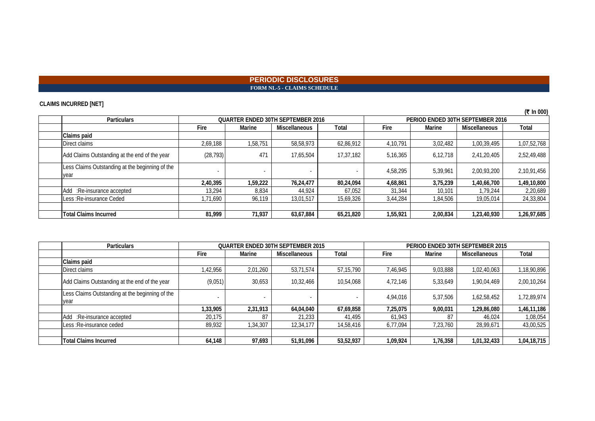### **PERIODIC DISCLOSURES FORM NL-5 - CLAIMS SCHEDULE**

### **CLAIMS INCURRED [NET]**

| ,,                                                      |                                          |          |                      |           |                                  |          |               |             |
|---------------------------------------------------------|------------------------------------------|----------|----------------------|-----------|----------------------------------|----------|---------------|-------------|
| <b>Particulars</b>                                      | <b>OUARTER ENDED 30TH SEPTEMBER 2016</b> |          |                      |           | PERIOD ENDED 30TH SEPTEMBER 2016 |          |               |             |
|                                                         | Fire                                     | Marine   | <b>Miscellaneous</b> | Total     | <b>Fire</b>                      | Marine   | Miscellaneous | Total       |
| Claims paid                                             |                                          |          |                      |           |                                  |          |               |             |
| Direct claims                                           | 2,69,188                                 | 1,58,751 | 58,58,973            | 62,86,912 | 4,10,791                         | 3,02,482 | 1,00,39,495   | 1,07,52,768 |
| Add Claims Outstanding at the end of the year           | (28, 793)                                | 471      | 17.65.504            | 17,37,182 | 5, 16, 365                       | 6,12,718 | 2,41,20,405   | 2,52,49,488 |
| Less Claims Outstanding at the beginning of the<br>year |                                          |          |                      |           | 4,58,295                         | 5,39,961 | 2,00,93,200   | 2,10,91,456 |
|                                                         | 2.40.395                                 | 1,59,222 | 76,24,477            | 80,24,094 | 4,68,861                         | 3,75,239 | 1,40,66,700   | 1,49,10,800 |
| Add :Re-insurance accepted                              | 13,294                                   | 8,834    | 44.924               | 67,052    | 31,344                           | 10,101   | 1,79,244      | 2,20,689    |
| Less: Re-insurance Ceded                                | 1,71,690                                 | 96,119   | 13,01,517            | 15,69,326 | 3,44,284                         | 1,84,506 | 19,05,014     | 24,33,804   |
|                                                         |                                          |          |                      |           |                                  |          |               |             |
| <b>Total Claims Incurred</b>                            | 81,999                                   | 71,937   | 63,67,884            | 65,21,820 | 1,55,921                         | 2,00,834 | 1,23,40,930   | 1,26,97,685 |

| <b>Particulars</b>                                      | <b>QUARTER ENDED 30TH SEPTEMBER 2015</b> |          |               | PERIOD ENDED 30TH SEPTEMBER 2015 |          |          |                      |             |
|---------------------------------------------------------|------------------------------------------|----------|---------------|----------------------------------|----------|----------|----------------------|-------------|
|                                                         | Fire                                     | Marine   | Miscellaneous | Total                            | Fire     | Marine   | <b>Miscellaneous</b> | Total       |
| Claims paid                                             |                                          |          |               |                                  |          |          |                      |             |
| Direct claims                                           | 1,42,956                                 | 2,01,260 | 53,71,574     | 57,15,790                        | 7,46,945 | 9,03,888 | 1,02,40,063          | 1,18,90,896 |
| Add Claims Outstanding at the end of the year           | (9,051)                                  | 30,653   | 10,32,466     | 10,54,068                        | 4.72.146 | 5,33,649 | 1,90,04,469          | 2,00,10,264 |
| Less Claims Outstanding at the beginning of the<br>year |                                          |          |               |                                  | 4,94,016 | 5,37,506 | 1,62,58,452          | 1,72,89,974 |
|                                                         | 1,33,905                                 | 2,31,913 | 64,04,040     | 67,69,858                        | 7,25,075 | 9,00,031 | 1,29,86,080          | 1,46,11,186 |
| Add :Re-insurance accepted                              | 20,175                                   |          | 21,233        | 41.495                           | 61.943   | 87       | 46.024               | 1,08,054    |
| Less : Re-insurance ceded                               | 89,932                                   | 1,34,307 | 12,34,177     | 14,58,416                        | 6,77,094 | 7,23,760 | 28,99,671            | 43,00,525   |
|                                                         |                                          |          |               |                                  |          |          |                      |             |
| Total Claims Incurred                                   | 64.148                                   | 97.693   | 51,91,096     | 53,52,937                        | 1,09,924 | 1,76,358 | 1,01,32,433          | 1,04,18,715 |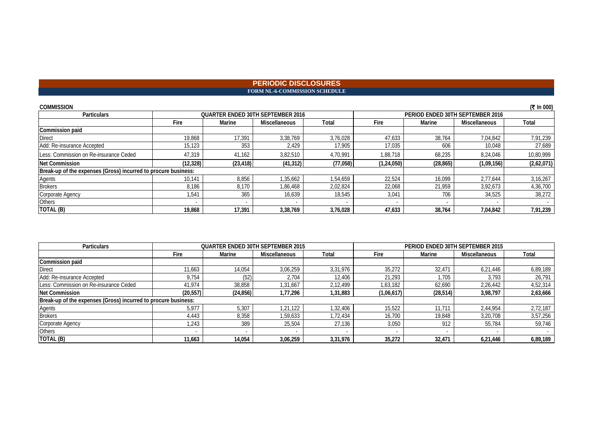### **PERIODIC DISCLOSURES FORM NL-6-COMMISSION SCHEDULE**

| <b>COMMISSION</b>                                              |           |           |                                          |           |                                  |           |                      | (₹ In 000) |
|----------------------------------------------------------------|-----------|-----------|------------------------------------------|-----------|----------------------------------|-----------|----------------------|------------|
| <b>Particulars</b>                                             |           |           | <b>QUARTER ENDED 30TH SEPTEMBER 2016</b> |           | PERIOD ENDED 30TH SEPTEMBER 2016 |           |                      |            |
|                                                                | Fire      | Marine    | <b>Miscellaneous</b>                     | Total     | Fire                             | Marine    | <b>Miscellaneous</b> | Total      |
| Commission paid                                                |           |           |                                          |           |                                  |           |                      |            |
| <b>Direct</b>                                                  | 19,868    | 17.391    | 3,38,769                                 | 3,76,028  | 47,633                           | 38,764    | 7.04.842             | 7,91,239   |
| Add: Re-insurance Accepted                                     | 15,123    | 353       | 2,429                                    | 17,905    | 17,035                           | 606       | 10,048               | 27,689     |
| Less: Commission on Re-insurance Ceded                         | 47.319    | 41.162    | 3,82,510                                 | 4.70.991  | 1.88.718                         | 68,235    | 8.24.046             | 10,80,999  |
| <b>Net Commission</b>                                          | (12, 328) | (23, 418) | (41, 312)                                | (77, 058) | (1, 24, 050)                     | (28, 865) | (1,09,156)           | (2,62,071) |
| Break-up of the expenses (Gross) incurred to procure business: |           |           |                                          |           |                                  |           |                      |            |
| Agents                                                         | 10,141    | 8,856     | 1,35,662                                 | 1.54.659  | 22,524                           | 16,099    | 2.77.644             | 3,16,267   |
| <b>Brokers</b>                                                 | 8.186     | 8.170     | 1.86.468                                 | 2,02,824  | 22.068                           | 21.959    | 3.92.673             | 4,36,700   |
| Corporate Agency                                               | 1,541     | 365       | 16,639                                   | 18,545    | 3,041                            | 706       | 34,525               | 38,272     |
| Others                                                         |           |           |                                          |           |                                  |           |                      |            |
| TOTAL (B)                                                      | 19,868    | 17.391    | 3,38,769                                 | 3,76,028  | 47,633                           | 38,764    | 7,04,842             | 7,91,239   |

| <b>Particulars</b>                                             |           | <b>QUARTER ENDED 30TH SEPTEMBER 2015</b> |               | PERIOD ENDED 30TH SEPTEMBER 2015 |            |           |                      |          |
|----------------------------------------------------------------|-----------|------------------------------------------|---------------|----------------------------------|------------|-----------|----------------------|----------|
|                                                                | Fire      | Marine                                   | Miscellaneous | <b>Total</b>                     | Fire       | Marine    | <b>Miscellaneous</b> | Total    |
| Commission paid                                                |           |                                          |               |                                  |            |           |                      |          |
| <b>Direct</b>                                                  | 11,663    | 14.054                                   | 3.06.259      | 3.31.976                         | 35.272     | 32,471    | 6.21.446             | 6,89,189 |
| Add: Re-insurance Accepted                                     | 9.754     | (52)                                     | 2,704         | 12.406                           | 21.293     | .705      | 3.793                | 26,791   |
| Less: Commission on Re-insurance Ceded                         | 41,974    | 38,858                                   | 1.31.667      | 2.12.499                         | 1.63.182   | 62,690    | 2.26.442             | 4,52,314 |
| <b>Net Commission</b>                                          | (20, 557) | (24, 856)                                | 1,77,296      | 1,31,883                         | (1,06,617) | (28, 514) | 3,98,797             | 2,63,666 |
| Break-up of the expenses (Gross) incurred to procure business: |           |                                          |               |                                  |            |           |                      |          |
| Agents                                                         | 5,977     | 5,307                                    | 1,21,122      | .32.406                          | 15,522     | 11.711    | 2.44.954             | 2,72,187 |
| <b>Brokers</b>                                                 | 4.443     | 8,358                                    | 1,59,633      | 1,72,434                         | 16.700     | 19,848    | 3,20,708             | 3,57,256 |
| Corporate Agency                                               | 1,243     | 389                                      | 25,504        | 27,136                           | 3,050      | 912       | 55,784               | 59,746   |
| Others                                                         |           |                                          |               |                                  |            |           |                      |          |
| TOTAL (B)                                                      | 11,663    | 14,054                                   | 3.06.259      | 3,31,976                         | 35,272     | 32,471    | 6,21,446             | 6,89,189 |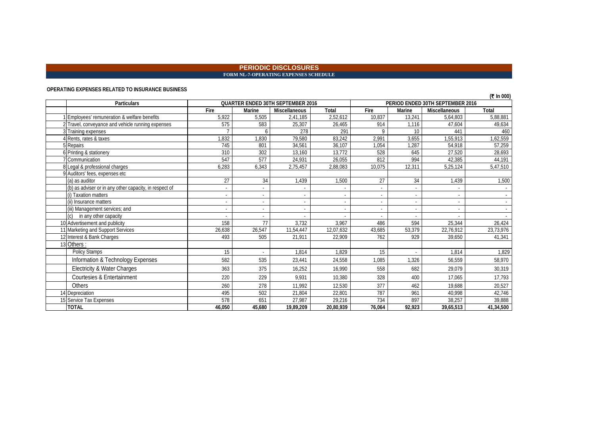#### **PERIODIC DISCLOSURES FORM NL-7-OPERATING EXPENSES SCHEDULE**

#### **OPERATING EXPENSES RELATED TO INSURANCE BUSINESS**

|                                                        |        |        |                                          |              |        |        |                                  | (₹ In 000)               |
|--------------------------------------------------------|--------|--------|------------------------------------------|--------------|--------|--------|----------------------------------|--------------------------|
| <b>Particulars</b>                                     |        |        | <b>QUARTER ENDED 30TH SEPTEMBER 2016</b> |              |        |        | PERIOD ENDED 30TH SEPTEMBER 2016 |                          |
|                                                        | Fire   | Marine | <b>Miscellaneous</b>                     | <b>Total</b> | Fire   | Marine | Miscellaneous                    | Total                    |
| Employees' remuneration & welfare benefits             | 5,922  | 5,505  | 2,41,185                                 | 2,52,612     | 10,837 | 13,241 | 5,64,803                         | 5,88,881                 |
| 2 Travel, conveyance and vehicle running expenses      | 575    | 583    | 25,307                                   | 26,465       | 914    | 1.116  | 47.604                           | 49,634                   |
| Training expenses                                      |        |        | 278                                      | 291          |        | 10     | 441                              | 460                      |
| Rents, rates & taxes                                   | 1.832  | 1,830  | 79,580                                   | 83,242       | 2,991  | 3,655  | 1,55,913                         | 1,62,559                 |
| 5 Repairs                                              | 745    | 801    | 34,561                                   | 36,107       | 1,054  | 1,287  | 54,918                           | 57.259                   |
| 6 Printing & stationery                                | 310    | 302    | 13,160                                   | 13,772       | 528    | 645    | 27,520                           | 28,693                   |
| Communication                                          | 547    | 577    | 24,931                                   | 26,055       | 812    | 994    | 42,385                           | 44,191                   |
| 8 Legal & professional charges                         | 6,283  | 6,343  | 2,75,457                                 | 2,88,083     | 10,075 | 12,311 | 5,25,124                         | 5,47,510                 |
| 9 Auditors' fees, expenses etc                         |        |        |                                          |              |        |        |                                  |                          |
| (a) as auditor                                         | 27     | 34     | 1,439                                    | 1,500        | 27     | 34     | 1,439                            | 1,500                    |
| (b) as adviser or in any other capacity, in respect of |        |        |                                          |              |        |        |                                  |                          |
| (i) Taxation matters                                   |        |        | $\overline{a}$                           |              |        |        | $\overline{\phantom{a}}$         | $\overline{\phantom{a}}$ |
| (ii) Insurance matters                                 |        |        |                                          |              |        |        |                                  | $\sim$                   |
| (iii) Management services; and                         |        |        | $\sim$                                   |              |        |        |                                  |                          |
| in any other capacity                                  |        |        |                                          |              |        |        |                                  |                          |
| 10 Advertisement and publicity                         | 158    | 77     | 3.732                                    | 3.967        | 486    | 594    | 25,344                           | 26,424                   |
| 11 Marketing and Support Services                      | 26,638 | 26,547 | 11,54,447                                | 12,07,632    | 43,685 | 53,379 | 22,76,912                        | 23,73,976                |
| 12 Interest & Bank Charges                             | 493    | 505    | 21,911                                   | 22,909       | 762    | 929    | 39,650                           | 41,341                   |
| 13 Others:                                             |        |        |                                          |              |        |        |                                  |                          |
| Policy Stamps                                          | 15     |        | 1.814                                    | 1.829        | 15     |        | 1.814                            | 1.829                    |
| Information & Technology Expenses                      | 582    | 535    | 23,441                                   | 24,558       | 1,085  | 1,326  | 56,559                           | 58,970                   |
| Electricity & Water Charges                            | 363    | 375    | 16,252                                   | 16.990       | 558    | 682    | 29.079                           | 30,319                   |
| Courtesies & Entertainment                             | 220    | 229    | 9,931                                    | 10,380       | 328    | 400    | 17,065                           | 17,793                   |
| Others                                                 | 260    | 278    | 11,992                                   | 12,530       | 377    | 462    | 19,688                           | 20,527                   |
| 14 Depreciation                                        | 495    | 502    | 21,804                                   | 22,801       | 787    | 961    | 40,998                           | 42,746                   |
| Service Tax Expenses                                   | 578    | 651    | 27,987                                   | 29,216       | 734    | 897    | 38,257                           | 39,888                   |
| <b>TOTAL</b>                                           | 46.050 | 45,680 | 19,89,209                                | 20,80,939    | 76,064 | 92,923 | 39,65,513                        | 41,34,500                |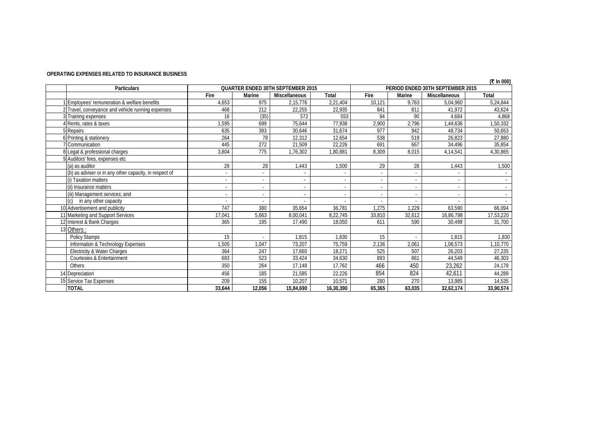### **OPERATING EXPENSES RELATED TO INSURANCE BUSINESS**

| In 000) |
|---------|
|---------|

| <b>Particulars</b>                                     |        |        | <b>QUARTER ENDED 30TH SEPTEMBER 2015</b> |              |        |        | PERIOD ENDED 30TH SEPTEMBER 2015 | , <u>.</u> |
|--------------------------------------------------------|--------|--------|------------------------------------------|--------------|--------|--------|----------------------------------|------------|
|                                                        | Fire   | Marine | Miscellaneous                            | <b>Total</b> | Fire   | Marine | <b>Miscellaneous</b>             | Total      |
| Employees' remuneration & welfare benefits             | 4,653  | 975    | 2,15,776                                 | 2,21,404     | 10,121 | 9,763  | 5,04,960                         | 5,24,844   |
| 2 Travel, conveyance and vehicle running expenses      | 468    | 212    | 22,255                                   | 22,935       | 841    | 811    | 41,972                           | 43,624     |
| 3 Training expenses                                    | 16     | (35)   | 572                                      | 553          | 94     | 90     | 4,684                            | 4,868      |
| Rents, rates & taxes                                   | 1,595  | 699    | 75,644                                   | 77,938       | 2,900  | 2,796  | 1,44,636                         | 1,50,332   |
| 5 Repairs                                              | 635    | 393    | 30.646                                   | 31.674       | 977    | 942    | 48.734                           | 50,653     |
| 6 Printing & stationery                                | 264    | 78     | 12,312                                   | 12,654       | 538    | 519    | 26,823                           | 27,880     |
| Communication                                          | 445    | 272    | 21.509                                   | 22,226       | 691    | 667    | 34,496                           | 35,854     |
| 8 Legal & professional charges                         | 3,804  | 775    | 1,76,302                                 | 1,80,881     | 8,309  | 8,015  | 4,14,541                         | 4,30,865   |
| 9 Auditors' fees, expenses etc                         |        |        |                                          |              |        |        |                                  |            |
| (a) as auditor                                         | 29     | 28     | 1.443                                    | 1.500        | 29     | 28     | 1.443                            | 1,500      |
| (b) as adviser or in any other capacity, in respect of |        |        | ä,                                       |              |        |        |                                  |            |
| (i) Taxation matters                                   |        |        | $\overline{\phantom{a}}$                 |              |        |        | $\overline{\phantom{a}}$         |            |
| (ii) Insurance matters                                 |        |        | ٠                                        |              |        |        |                                  |            |
| (iii) Management services; and                         |        |        |                                          |              |        |        |                                  |            |
| in any other capacity                                  |        |        |                                          |              |        |        |                                  |            |
| 10 Advertisement and publicity                         | 747    | 380    | 35.654                                   | 36,781       | 1,275  | 1.229  | 63.590                           | 66,094     |
| 11 Marketing and Support Services                      | 17,041 | 5,663  | 8,00,041                                 | 8,22,745     | 33,810 | 32,612 | 16,86,798                        | 17,53,220  |
| 12 Interest & Bank Charges                             | 365    | 195    | 17,490                                   | 18,050       | 611    | 590    | 30,499                           | 31,700     |
| 13 Others:                                             |        |        |                                          |              |        |        |                                  |            |
| <b>Policy Stamps</b>                                   | 15     |        | 1,815                                    | 1,830        | 15     |        | 1,815                            | 1,830      |
| Information & Technology Expenses                      | 1,505  | 1.047  | 73,207                                   | 75,759       | 2,136  | 2,061  | 1,06,573                         | 1,10,770   |
| Electricity & Water Charges                            | 364    | 247    | 17,660                                   | 18.271       | 525    | 507    | 26,203                           | 27,235     |
| Courtesies & Entertainment                             | 683    | 523    | 33,424                                   | 34,630       | 893    | 861    | 44,549                           | 46,303     |
| Others                                                 | 350    | 264    | 17.148                                   | 17.762       | 466    | 450    | 23,262                           | 24,178     |
| 14 Depreciation                                        | 456    | 185    | 21,585                                   | 22,226       | 854    | 824    | 42,611                           | 44,289     |
| 15 Service Tax Expenses                                | 209    | 155    | 10,207                                   | 10,571       | 280    | 270    | 13,985                           | 14,535     |
| <b>TOTAL</b>                                           | 33,644 | 12,056 | 15,84,690                                | 16,30,390    | 65,365 | 63,035 | 32,62,174                        | 33,90,574  |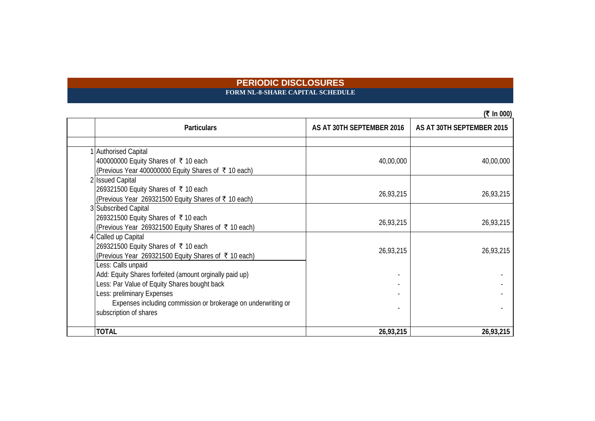### **PERIODIC DISCLOSURES FORM NL-8-SHARE CAPITAL SCHEDULE**

|                                                               |                           | (₹ In 000)                |
|---------------------------------------------------------------|---------------------------|---------------------------|
| <b>Particulars</b>                                            | AS AT 30TH SEPTEMBER 2016 | AS AT 30TH SEPTEMBER 2015 |
|                                                               |                           |                           |
| 1 Authorised Capital                                          |                           |                           |
| 400000000 Equity Shares of ₹ 10 each                          | 40,00,000                 | 40,00,000                 |
| (Previous Year 400000000 Equity Shares of ₹ 10 each)          |                           |                           |
| 2 Issued Capital                                              |                           |                           |
| 269321500 Equity Shares of ₹ 10 each                          | 26,93,215                 | 26,93,215                 |
| (Previous Year 269321500 Equity Shares of ₹ 10 each)          |                           |                           |
| 3 Subscribed Capital                                          |                           |                           |
| 269321500 Equity Shares of ₹10 each                           | 26,93,215                 | 26,93,215                 |
| (Previous Year 269321500 Equity Shares of ₹ 10 each)          |                           |                           |
| 4 Called up Capital                                           |                           |                           |
| 269321500 Equity Shares of ₹ 10 each                          | 26,93,215                 | 26,93,215                 |
| (Previous Year 269321500 Equity Shares of ₹10 each)           |                           |                           |
| Less: Calls unpaid                                            |                           |                           |
| Add: Equity Shares forfeited (amount orginally paid up)       |                           |                           |
| Less: Par Value of Equity Shares bought back                  |                           |                           |
| Less: preliminary Expenses                                    |                           |                           |
| Expenses including commission or brokerage on underwriting or |                           |                           |
| subscription of shares                                        |                           |                           |
| <b>TOTAL</b>                                                  | 26,93,215                 | 26,93,215                 |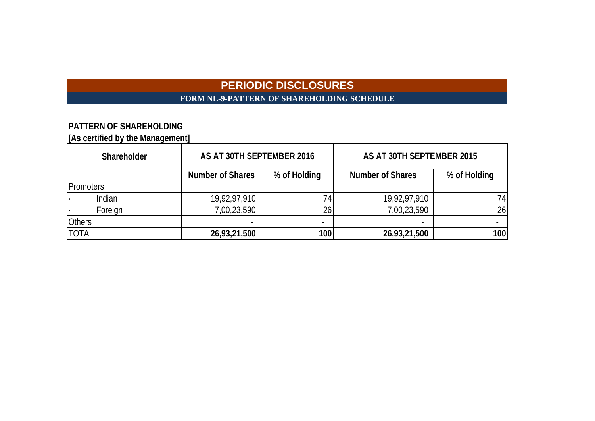# **PERIODIC DISCLOSURES FORM NL-9-PATTERN OF SHAREHOLDING SCHEDULE**

# **PATTERN OF SHAREHOLDING**

**[As certified by the Management]**

| Shareholder   | AS AT 30TH SEPTEMBER 2016 |                          | AS AT 30TH SEPTEMBER 2015 |              |  |
|---------------|---------------------------|--------------------------|---------------------------|--------------|--|
|               | <b>Number of Shares</b>   | % of Holding             | <b>Number of Shares</b>   | % of Holding |  |
| Promoters     |                           |                          |                           |              |  |
| Indian        | 19,92,97,910              | 74                       | 19,92,97,910              | 74           |  |
| Foreign       | 7,00,23,590               | 26                       | 7,00,23,590               | 26           |  |
| <b>Others</b> |                           | $\overline{\phantom{0}}$ | $\overline{\phantom{a}}$  |              |  |
| <b>TOTAL</b>  | 26,93,21,500              | 100                      | 26,93,21,500              | <b>100</b>   |  |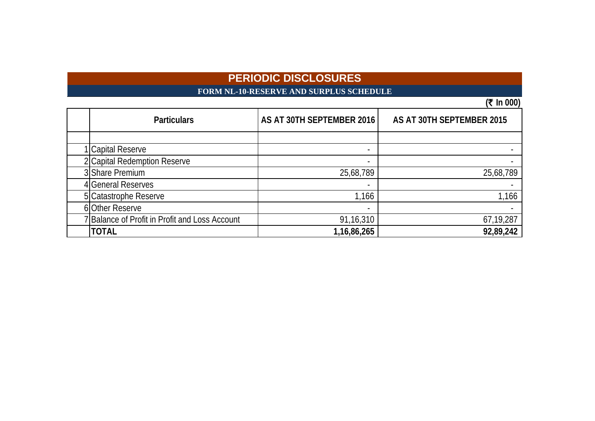# **FORM NL-10-RESERVE AND SURPLUS SCHEDULE**

| <b>Particulars</b>                             | AS AT 30TH SEPTEMBER 2016 | AS AT 30TH SEPTEMBER 2015 |
|------------------------------------------------|---------------------------|---------------------------|
|                                                |                           |                           |
| 1 Capital Reserve                              |                           |                           |
| 2 Capital Redemption Reserve                   |                           |                           |
| 3 Share Premium                                | 25,68,789                 | 25,68,789                 |
| 4 General Reserves                             |                           |                           |
| 5 Catastrophe Reserve                          | 1,166                     | 1,166                     |
| 6 Other Reserve                                | $\overline{\phantom{a}}$  |                           |
| 7 Balance of Profit in Profit and Loss Account | 91,16,310                 | 67,19,287                 |
| <b>TOTAL</b>                                   | 1, 16, 86, 265            | 92,89,242                 |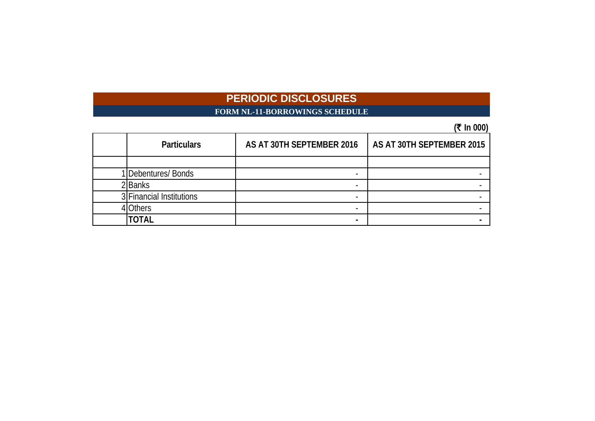# **FORM NL-11-BORROWINGS SCHEDULE**

|                          |                           | $  \prime$                |
|--------------------------|---------------------------|---------------------------|
| <b>Particulars</b>       | AS AT 30TH SEPTEMBER 2016 | AS AT 30TH SEPTEMBER 2015 |
|                          |                           |                           |
| 1 Debentures/ Bonds      |                           |                           |
| 2Banks                   |                           |                           |
| 3 Financial Institutions |                           |                           |
| <b>IOthers</b>           |                           |                           |
| TOTAL                    |                           |                           |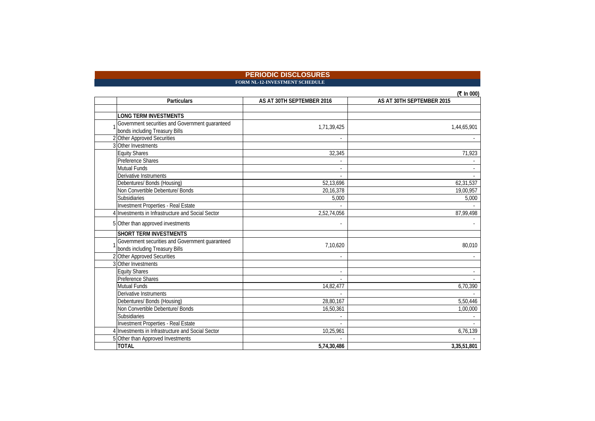#### **PERIODIC DISCLOSURES FORM NL-12-INVESTMENT SCHEDULE**

| Particulars                                     | AS AT 30TH SEPTEMBER 2016 | AS AT 30TH SEPTEMBER 2015 |
|-------------------------------------------------|---------------------------|---------------------------|
|                                                 |                           |                           |
| <b>LONG TERM INVESTMENTS</b>                    |                           |                           |
| Government securities and Government guaranteed | 1,71,39,425               | 1,44,65,901               |
| bonds including Treasury Bills                  |                           |                           |
| Other Approved Securities                       |                           |                           |
| 3 Other Investments                             |                           |                           |
| <b>Equity Shares</b>                            | 32,345                    | 71,923                    |
| <b>Preference Shares</b>                        |                           |                           |
| Mutual Funds                                    |                           |                           |
| Derivative Instruments                          |                           |                           |
| Debentures/ Bonds (Housing)                     | 52,13,696                 | 62,31,537                 |
| Non Convertible Debenture/ Bonds                | 20,16,378                 | 19,00,957                 |
| Subsidiaries                                    | 5,000                     | 5,000                     |
| Investment Properties - Real Estate             |                           |                           |
| Investments in Infrastructure and Social Sector | 2,52,74,056               | 87,99,498                 |
| 5 Other than approved investments               |                           |                           |
| <b>SHORT TERM INVESTMENTS</b>                   |                           |                           |
| Government securities and Government guaranteed | 7,10,620                  | 80,010                    |
| bonds including Treasury Bills                  |                           |                           |
| 2 Other Approved Securities                     |                           |                           |
| 3 Other Investments                             |                           |                           |
| <b>Equity Shares</b>                            |                           |                           |
| Preference Shares                               |                           |                           |
| Mutual Funds                                    | 14,82,477                 | 6,70,390                  |
| Derivative Instruments                          |                           |                           |
| Debentures/ Bonds (Housing)                     | 28,80,167                 | 5,50,446                  |
| Non Convertible Debenture/ Bonds                | 16,50,361                 | 1,00,000                  |
| Subsidiaries                                    |                           |                           |
| Investment Properties - Real Estate             |                           |                           |
| Investments in Infrastructure and Social Sector | 10,25,961                 | 6,76,139                  |
| 5 Other than Approved Investments               |                           |                           |
| <b>TOTAL</b>                                    | 5.74.30.486               | 3,35,51,801               |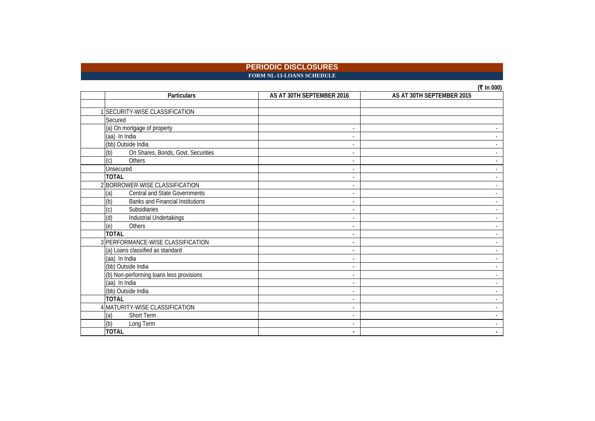### **PERIODIC DISCLOSURES FORM NL-13-LOANS SCHEDULE**

| <b>Particulars</b>                             | AS AT 30TH SEPTEMBER 2016 | $(1)$ III VVV)<br>AS AT 30TH SEPTEMBER 2015 |
|------------------------------------------------|---------------------------|---------------------------------------------|
|                                                |                           |                                             |
| 1 SECURITY-WISE CLASSIFICATION                 |                           |                                             |
| Secured                                        |                           |                                             |
| (a) On mortgage of property                    | $\blacksquare$            |                                             |
| (aa) In India                                  | $\blacksquare$            |                                             |
| (bb) Outside India                             | $\overline{\phantom{a}}$  |                                             |
| On Shares, Bonds, Govt. Securities<br>(b)      | $\overline{\phantom{a}}$  |                                             |
| $\overline{c}$<br>Others                       | ٠                         |                                             |
| Unsecured                                      | ٠                         |                                             |
| <b>TOTAL</b>                                   | $\sim$                    |                                             |
| 2 BORROWER-WISE CLASSIFICATION                 | ٠                         |                                             |
| <b>Central and State Governments</b><br>(a)    | $\overline{\phantom{a}}$  |                                             |
| (b)<br><b>Banks and Financial Institutions</b> | $\overline{\phantom{a}}$  |                                             |
| (c)<br>Subsidiaries                            | $\overline{\phantom{a}}$  |                                             |
| (d)<br>Industrial Undertakings                 | $\blacksquare$            |                                             |
| Others<br>(e)                                  | $\blacksquare$            |                                             |
| <b>TOTAL</b>                                   | ٠                         |                                             |
| 3 PERFORMANCE-WISE CLASSIFICATION              | $\overline{\phantom{a}}$  |                                             |
| (a) Loans classified as standard               | $\overline{\phantom{a}}$  |                                             |
| (aa) In India                                  | ٠                         |                                             |
| (bb) Outside India                             | $\overline{\phantom{a}}$  |                                             |
| (b) Non-performing loans less provisions       | $\overline{\phantom{a}}$  |                                             |
| (aa) In India                                  | $\overline{\phantom{a}}$  |                                             |
| (bb) Outside India                             | ٠                         |                                             |
| <b>TOTAL</b>                                   | $\overline{\phantom{a}}$  |                                             |
| 4 MATURITY-WISE CLASSIFICATION                 | $\overline{\phantom{a}}$  |                                             |
| (a)<br>Short Term                              | $\overline{\phantom{a}}$  |                                             |
| (b)<br>Long Term                               | $\overline{\phantom{a}}$  | $\sim$                                      |
| <b>TOTAL</b>                                   | ٠                         |                                             |

**(₹ In 000)**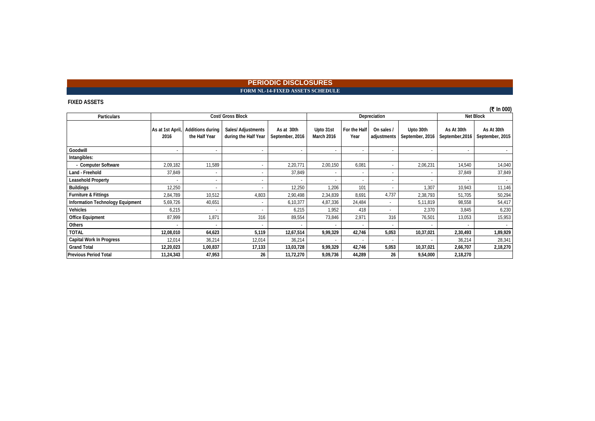### **PERIODIC DISCLOSURES** FORM NL-14-FIXED ASSETS SCHEDULE

#### **FIXED ASSETS**

| <b>Particulars</b>               |                          |                                          | Cost/ Gross Block                          |                               |                         |                          | Depreciation              |                              |                               | <b>Net Block</b>              |
|----------------------------------|--------------------------|------------------------------------------|--------------------------------------------|-------------------------------|-------------------------|--------------------------|---------------------------|------------------------------|-------------------------------|-------------------------------|
|                                  | As at 1st April<br>2016  | <b>Additions during</b><br>the Half Year | Sales/ Adjustments<br>during the Half Year | As at 30th<br>September, 2016 | Upto 31st<br>March 2016 | For the Half<br>Year     | On sales /<br>adjustments | Upto 30th<br>September, 2016 | As At 30th<br>September, 2016 | As At 30th<br>September, 2015 |
| Goodwill                         | $\overline{\phantom{a}}$ |                                          |                                            |                               |                         | $\sim$                   | $\sim$                    |                              |                               |                               |
| Intangibles:                     |                          |                                          |                                            |                               |                         |                          |                           |                              |                               |                               |
| - Computer Software              | 2,09,182                 | 11,589                                   |                                            | 2,20,771                      | 2,00,150                | 6,081                    |                           | 2,06,231                     | 14,540                        | 14,040                        |
| Land - Freehold                  | 37,849                   |                                          |                                            | 37,849                        |                         |                          |                           |                              | 37,849                        | 37,849                        |
| <b>Leasehold Property</b>        | ۰                        |                                          |                                            |                               |                         | ٠                        | ж.                        |                              |                               |                               |
| <b>Buildings</b>                 | 12,250                   |                                          |                                            | 12,250                        | 1,206                   | 101                      | ж.                        | 1,307                        | 10,943                        | 11,146                        |
| <b>Furniture &amp; Fittings</b>  | 2,84,789                 | 10,512                                   | 4,803                                      | 2,90,498                      | 2,34,839                | 8,691                    | 4,737                     | 2,38,793                     | 51,705                        | 50,294                        |
| Information Technology Equipment | 5,69,726                 | 40,651                                   |                                            | 6,10,377                      | 4,87,336                | 24,484                   |                           | 5,11,819                     | 98,558                        | 54,417                        |
| Vehicles                         | 6,215                    |                                          |                                            | 6,215                         | 1,952                   | 418                      |                           | 2,370                        | 3,845                         | 6,230                         |
| <b>Office Equipment</b>          | 87,999                   | 1,871                                    | 316                                        | 89,554                        | 73,846                  | 2,971                    | 316                       | 76,501                       | 13,053                        | 15,953                        |
| Others                           | $\overline{\phantom{a}}$ |                                          |                                            |                               |                         | $\overline{\phantom{a}}$ | $\sim$                    |                              |                               |                               |
| <b>TOTAL</b>                     | 12,08,010                | 64,623                                   | 5,119                                      | 12,67,514                     | 9,99,329                | 42,746                   | 5,053                     | 10,37,021                    | 2,30,493                      | 1,89,929                      |
| <b>Capital Work In Progress</b>  | 12,014                   | 36,214                                   | 12,014                                     | 36,214                        |                         |                          |                           |                              | 36,214                        | 28,341                        |
| <b>Grand Total</b>               | 12,20,023                | 1,00,837                                 | 17,133                                     | 13,03,728                     | 9,99,329                | 42,746                   | 5,053                     | 10,37,021                    | 2,66,707                      | 2,18,270                      |
| <b>Previous Period Total</b>     | 11,24,343                | 47,953                                   | 26                                         | 11,72,270                     | 9,09,736                | 44,289                   | 26                        | 9,54,000                     | 2,18,270                      |                               |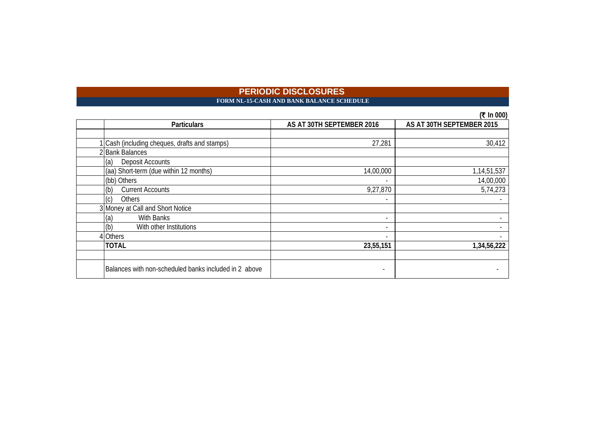# FORM NL-15-CASH AND BANK BALANCE SCHEDULE

|                                                       |                           | (₹ In 000)                |
|-------------------------------------------------------|---------------------------|---------------------------|
| <b>Particulars</b>                                    | AS AT 30TH SEPTEMBER 2016 | AS AT 30TH SEPTEMBER 2015 |
|                                                       |                           |                           |
| Cash (including cheques, drafts and stamps)           | 27,281                    | 30,412                    |
| 2 Bank Balances                                       |                           |                           |
| (a)<br>Deposit Accounts                               |                           |                           |
| (aa) Short-term (due within 12 months)                | 14,00,000                 | 1,14,51,537               |
| (bb) Others                                           |                           | 14,00,000                 |
| (b)<br><b>Current Accounts</b>                        | 9,27,870                  | 5,74,273                  |
| <b>Others</b><br>(c)                                  |                           |                           |
| 3 Money at Call and Short Notice                      |                           |                           |
| (a)<br><b>With Banks</b>                              | $\overline{\phantom{a}}$  |                           |
| (b)<br>With other Institutions                        |                           |                           |
| 4 Others                                              |                           |                           |
| <b>TOTAL</b>                                          | 23,55,151                 | 1,34,56,222               |
|                                                       |                           |                           |
| Balances with non-scheduled banks included in 2 above |                           |                           |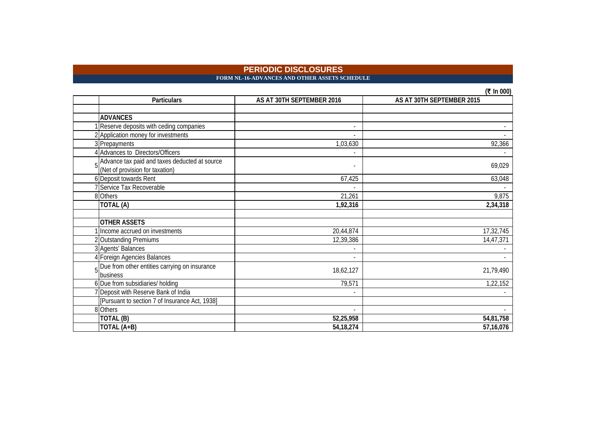**FORM NL-16-ADVANCES AND OTHER ASSETS SCHEDULE** 

|   |                                                                                  |                           | $(5 \text{ m})$           |
|---|----------------------------------------------------------------------------------|---------------------------|---------------------------|
|   | <b>Particulars</b>                                                               | AS AT 30TH SEPTEMBER 2016 | AS AT 30TH SEPTEMBER 2015 |
|   |                                                                                  |                           |                           |
|   | <b>ADVANCES</b>                                                                  |                           |                           |
|   | Reserve deposits with ceding companies                                           |                           |                           |
|   | 2 Application money for investments                                              |                           |                           |
|   | 3 Prepayments                                                                    | 1,03,630                  | 92,366                    |
|   | 4 Advances to Directors/Officers                                                 |                           |                           |
|   | Advance tax paid and taxes deducted at source<br>(Net of provision for taxation) |                           | 69,029                    |
|   | 6 Deposit towards Rent                                                           | 67,425                    | 63,048                    |
|   | 7 Service Tax Recoverable                                                        |                           |                           |
|   | 8 Others                                                                         | 21,261                    | 9,875                     |
|   | TOTAL (A)                                                                        | 1,92,316                  | 2,34,318                  |
|   |                                                                                  |                           |                           |
|   | <b>OTHER ASSETS</b>                                                              |                           |                           |
|   | 1 Income accrued on investments                                                  | 20,44,874                 | 17,32,745                 |
|   | 2 Outstanding Premiums                                                           | 12,39,386                 | 14,47,371                 |
|   | 3 Agents' Balances                                                               |                           |                           |
|   | 4 Foreign Agencies Balances                                                      |                           |                           |
| 5 | Due from other entities carrying on insurance                                    | 18,62,127                 | 21,79,490                 |
|   | business                                                                         |                           |                           |
|   | 6 Due from subsidiaries/ holding                                                 | 79,571                    | 1,22,152                  |
|   | Deposit with Reserve Bank of India                                               |                           |                           |
|   | [Pursuant to section 7 of Insurance Act, 1938]                                   |                           |                           |
|   | 8 Others                                                                         |                           |                           |
|   | TOTAL (B)                                                                        | 52,25,958                 | 54,81,758                 |
|   | TOTAL (A+B)                                                                      | 54, 18, 274               | 57,16,076                 |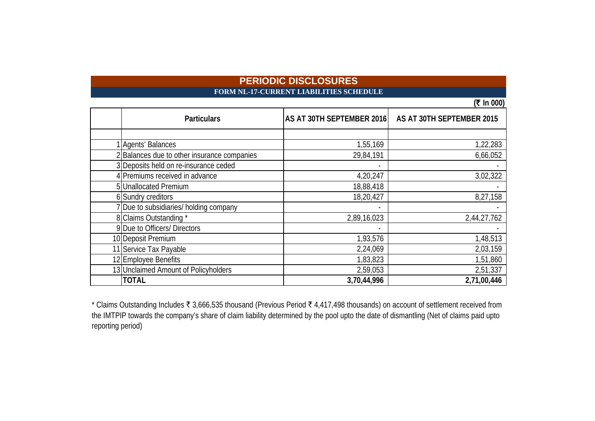# **PERIODIC DISCLOSURES FORM NL-17-CURRENT LIABILITIES SCHEDULE**

|                                           |                           | (₹ In 000)                |
|-------------------------------------------|---------------------------|---------------------------|
| <b>Particulars</b>                        | AS AT 30TH SEPTEMBER 2016 | AS AT 30TH SEPTEMBER 2015 |
|                                           |                           |                           |
| Agents' Balances                          | 1,55,169                  | 1,22,283                  |
| Balances due to other insurance companies | 29,84,191                 | 6,66,052                  |
| 3 Deposits held on re-insurance ceded     |                           |                           |
| 4 Premiums received in advance            | 4,20,247                  | 3,02,322                  |
| 5 Unallocated Premium                     | 18,88,418                 |                           |
| 6 Sundry creditors                        | 18,20,427                 | 8,27,158                  |
| Due to subsidiaries/ holding company      |                           |                           |
| 8 Claims Outstanding *                    | 2,89,16,023               | 2,44,27,762               |
| 9 Due to Officers/ Directors              |                           |                           |
| 10 Deposit Premium                        | 1,93,576                  | 1,48,513                  |
| 11 Service Tax Payable                    | 2,24,069                  | 2,03,159                  |
| 12 Employee Benefits                      | 1,83,823                  | 1,51,860                  |
| 13 Unclaimed Amount of Policyholders      | 2,59,053                  | 2,51,337                  |
| <b>TOTAL</b>                              | 3,70,44,996               | 2,71,00,446               |

\* Claims Outstanding Includes ₹ 3,666,535 thousand (Previous Period ₹ 4,417,498 thousands) on account of settlement received from the IMTPIP towards the company's share of claim liability determined by the pool upto the date of dismantling (Net of claims paid upto reporting period)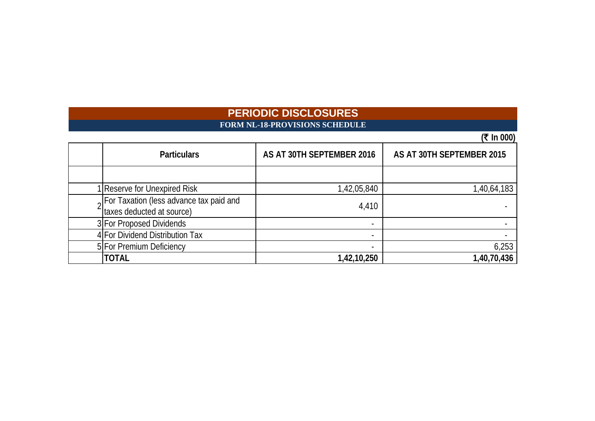# **FORM NL-18-PROVISIONS SCHEDULE**

| <b>Particulars</b>                                                                | AS AT 30TH SEPTEMBER 2016 | AS AT 30TH SEPTEMBER 2015 |
|-----------------------------------------------------------------------------------|---------------------------|---------------------------|
|                                                                                   |                           |                           |
| 1 Reserve for Unexpired Risk                                                      | 1,42,05,840               | 1,40,64,183               |
| <sub>2</sub> For Taxation (less advance tax paid and<br>taxes deducted at source) | 4,410                     |                           |
| 3 For Proposed Dividends                                                          |                           |                           |
| 4 For Dividend Distribution Tax                                                   |                           |                           |
| 5 For Premium Deficiency                                                          | $\overline{\phantom{a}}$  | 6,253                     |
| <b>TOTAL</b>                                                                      | 1,42,10,250               | 1,40,70,436               |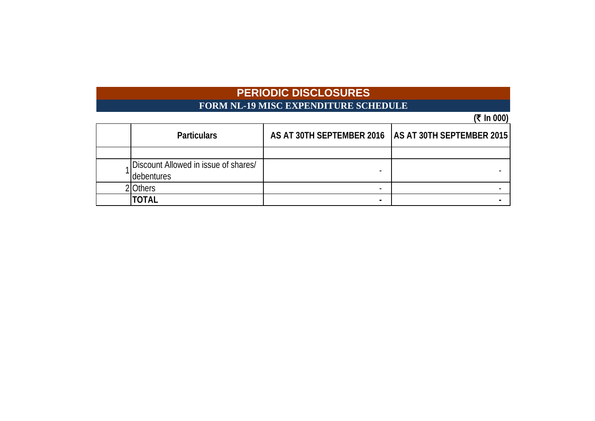# **FORM NL-19 MISC EXPENDITURE SCHEDULE**

 $(\bar{x} \ln 000)$ 

|                                                    |                                                       | . <u>.</u> |
|----------------------------------------------------|-------------------------------------------------------|------------|
| <b>Particulars</b>                                 | AS AT 30TH SEPTEMBER 2016   AS AT 30TH SEPTEMBER 2015 |            |
|                                                    |                                                       |            |
| Discount Allowed in issue of shares/<br>debentures |                                                       |            |
| Others                                             |                                                       |            |
| TOTAL                                              | -                                                     |            |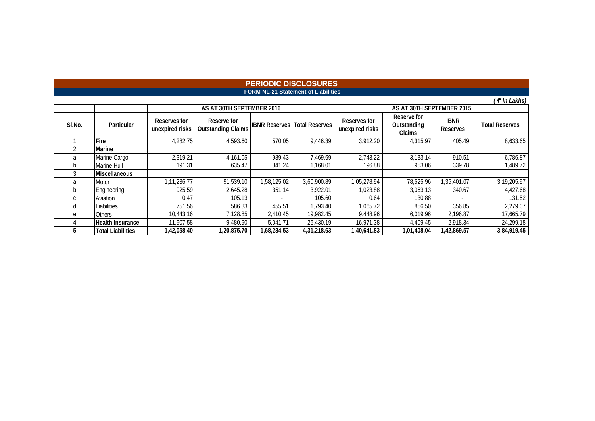### **FORM NL-21 Statement of Liabilities PERIODIC DISCLOSURES**

*(* ` *In Lakhs)*

|              |                          |                                 | AS AT 30TH SEPTEMBER 2016                |                      |                       | AS AT 30TH SEPTEMBER 2015       |                                      |                                |                       |  |
|--------------|--------------------------|---------------------------------|------------------------------------------|----------------------|-----------------------|---------------------------------|--------------------------------------|--------------------------------|-----------------------|--|
| SI.No.       | Particular               | Reserves for<br>unexpired risks | Reserve for<br><b>Outstanding Claims</b> | <b>IBNR Reserves</b> | <b>Total Reserves</b> | Reserves for<br>unexpired risks | Reserve for<br>Outstanding<br>Claims | <b>IBNR</b><br><b>Reserves</b> | <b>Total Reserves</b> |  |
|              | Fire                     | 4,282.75                        | 4,593.60                                 | 570.05               | 9,446.39              | 3,912.20                        | 4,315.97                             | 405.49                         | 8,633.65              |  |
|              | Marine                   |                                 |                                          |                      |                       |                                 |                                      |                                |                       |  |
| a            | Marine Cargo             | 2,319.21                        | 4,161.05                                 | 989.43               | 7,469.69              | 2,743.22                        | 3,133.14                             | 910.51                         | 6,786.87              |  |
| <sub>n</sub> | Marine Hull              | 191.31                          | 635.47                                   | 341.24               | 1.168.01              | 196.88                          | 953.06                               | 339.78                         | 1,489.72              |  |
|              | <b>Miscellaneous</b>     |                                 |                                          |                      |                       |                                 |                                      |                                |                       |  |
| a            | Motor                    | 1,11,236.77                     | 91,539.10                                | 1,58,125.02          | 3.60.900.89           | 1,05,278.94                     | 78,525.96                            | 1,35,401.07                    | 3,19,205.97           |  |
| b            | Engineering              | 925.59                          | 2,645.28                                 | 351.14               | 3.922.01              | 1,023.88                        | 3,063.13                             | 340.67                         | 4,427.68              |  |
| C            | Aviation                 | 0.47                            | 105.13                                   |                      | 105.60                | 0.64                            | 130.88                               |                                | 131.52                |  |
| U            | Liabilities              | 751.56                          | 586.33                                   | 455.51               | 1,793.40              | 1,065.72                        | 856.50                               | 356.85                         | 2,279.07              |  |
| e            | <b>Others</b>            | 10,443.16                       | 7,128.85                                 | 2,410.45             | 19,982.45             | 9.448.96                        | 6.019.96                             | 2,196.87                       | 17,665.79             |  |
|              | <b>Health Insurance</b>  | 11,907.58                       | 9,480.90                                 | 5,041.71             | 26,430.19             | 16,971.38                       | 4,409.45                             | 2,918.34                       | 24,299.18             |  |
| h            | <b>Total Liabilities</b> | 1,42,058.40                     | 1.20.875.70                              | 1,68,284.53          | 4,31,218.63           | 1,40,641.83                     | 1,01,408.04                          | 1,42,869.57                    | 3,84,919.45           |  |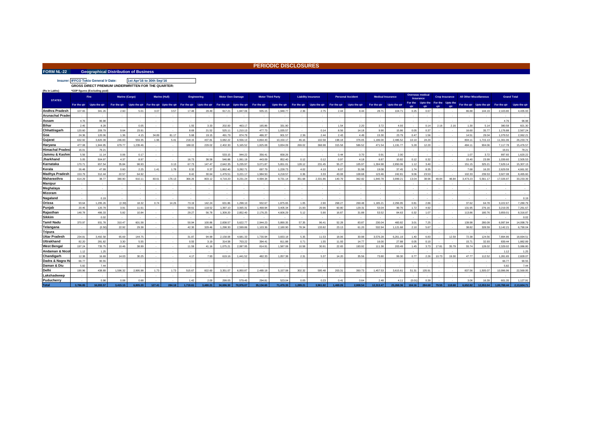#### **FORM NL-22 Geographical Distribution of Business**

**PERIODIC DISCLOSURES**

# **Insurer: IFFCO Tokio General In Date: GROSS DIRECT PREMIUM UNDERWRITTEN FOR THE QUARTER: 1st Apr'16 to 30th Sep'16**

| (Rs in Lakhs)                  |                 | *GDP figures (Excluding pool) |                |               |        |                      |                                                                                                     |          |                         |                    |           |                          |             |                            |                |                          |                          |                 |           |                                          |       |                       |                                |                                      |                    |                      |
|--------------------------------|-----------------|-------------------------------|----------------|---------------|--------|----------------------|-----------------------------------------------------------------------------------------------------|----------|-------------------------|--------------------|-----------|--------------------------|-------------|----------------------------|----------------|--------------------------|--------------------------|-----------------|-----------|------------------------------------------|-------|-----------------------|--------------------------------|--------------------------------------|--------------------|----------------------|
| <b>STATES</b>                  |                 | <b>Fire</b>                   | Marine (Cargo) |               |        | <b>Marine (Hull)</b> | <b>Engineering</b>                                                                                  |          | <b>Motor Own Damage</b> |                    |           | <b>Motor Third Party</b> |             | <b>Liability insurance</b> |                | <b>Personal Accident</b> | <b>Medical Insurance</b> |                 | Insurance | Overseas medical                         |       | <b>Crop Insurance</b> | <b>All Other Miscellaneous</b> |                                      | <b>Grand Total</b> |                      |
|                                |                 | For the qtr Upto the qtr      | For the gtr    |               |        |                      | Upto the gtr For the gtr Upto the gtr For the gtr Upto the gtr For the gtr Upto the gtr For the gtr |          |                         |                    |           | Upto the gtr             | For the gtr | Upto the gtr               | For the qtr    | Upto the gtr             | For the qtr Upto the qtr |                 | qtr       | For the Upto the For the Upto the<br>atr | qtr   | qtr                   |                                | For the gtr Upto the gtr For the gtr |                    | Upto the qtr         |
| Andhra Pradesh                 | 107.65          | 341.2                         | 2.60           | 5.01          | 3.07   | 3.57                 | 17.48                                                                                               | 29.49    | 917.21                  | 1.847.06           | 935.15    | 1.948.7                  | 2.36        | 2.75                       | 2.44           | 8.44                     | 28.71                    | 104.71          | 0.25      | 0.67                                     |       |                       | 86.88                          | 144.19                               | 2.103.80           | 4.435.93             |
| Arunachal Prade                |                 |                               |                |               |        |                      |                                                                                                     |          |                         |                    |           |                          |             |                            |                |                          |                          |                 |           |                                          |       |                       |                                |                                      |                    |                      |
| Assam                          | 4.76            | 96.98                         |                |               |        |                      |                                                                                                     |          |                         |                    |           |                          |             |                            |                |                          |                          |                 |           |                                          |       |                       |                                |                                      | 4.76               | 96.98                |
| Bihar                          | 2.45            | 8.28                          |                | 0.05          |        |                      | 1.55                                                                                                | 3.33     | 202.00                  | 463.17             | 165.86    | 331.90                   |             |                            | 1.54           | 2.20                     | 3.72                     | 4.93            |           | 0.14                                     | 2.16  | 2.16                  | 1.30                           | 5.14                                 | 380.58             | 821.30               |
| Chhattisgarh                   | 120.60          | 209.79                        | 9.64           | 23.91         |        |                      | 8.69                                                                                                | 21.52    | 525.11                  | 1.210.13           | 477.73    | 1.035.57                 |             | 0.14                       | 8.56           | 14.18                    | 9.90                     | 15.86           | 0.05      | 0.37                                     |       |                       | 16.60                          | 35.77                                | 1.176.88           | 2.567.24             |
| Goa                            | 24.36           | 120.06                        | 1.36           | 4 1 5         | 34.89  | 81.17                | 5.68                                                                                                | 19.15    | 491.79                  | 874.79             | 486.37    | 901.57                   | 2.36        | 2.44                       | 2.43           | 4.49                     | 15.30                    | 23.79           | 0.47      | 1.56                                     |       |                       | 14.51                          | 29.04                                | 1.079.5            | 2,062.21             |
| Guiarat                        | 632.92          | 3.820.39                      | 246.83         | 559.35        | 1.96   | 5.41                 | 218.15                                                                                              | 437.81   | 3.082.22                | 6,556.13           | 4.864.43  | 10.150.17                | 46.16       | 102.58                     | 198.18         | 376.05                   | 1.196.00                 | 2.486.52        | 10.10     | 24.20                                    |       |                       | 804.11                         | 1.715.13                             | 11.301.06          | 26.233.74            |
| Haryana                        | 477.08          | 1.944.95                      | 679.77         | 1.239.46      |        |                      | 188.02                                                                                              | 229.02   | 2.402.30                | 5.165.52           | 1.825.08  | 3.834.09                 | 269.02      | 368.98                     | 315.58         | 586.52                   | 471.54                   | 1.191.77        | 5.28      | 12.20                                    |       |                       | 484 11                         | 904.06                               | 7.117.78           | 15,476.57            |
| Himachal Prades                | 16.01           | 79.21                         |                |               |        |                      |                                                                                                     |          |                         |                    |           |                          |             |                            |                |                          |                          |                 |           |                                          |       |                       |                                |                                      | $16.0^{\circ}$     | 79.21                |
| Jammu & Kashr                  | 5.56            | 11 14                         | 0.06           | 0.17          |        |                      |                                                                                                     |          | 533 15                  | 944.22             | 356.41    | 658.26                   |             |                            | 0.44           | 0.70                     | 0.91                     | 2.00            |           |                                          |       |                       | 1.07                           | 3.72                                 | 897.60             | 1.620.22             |
| Jharkhand                      | 5.05            | 504.97                        | 4.37           | 8.97          |        |                      | 16.73                                                                                               | 38.58    | 546.88                  | 1.061.19           | 443.09    | 852.40                   | 0.12        | 0.12                       | 0.97           | 4.18                     | 6.87                     | 10.82           | 0.12      | 0.32                                     |       |                       | 15.40                          | 23.99                                | 1.039.60           | 2,505.53             |
| Karnataka                      | 170.71          | 657.54                        | 35.84          | 98.93         |        | 0.13                 | 67.73                                                                                               | 147.47   | 2.642.35                | 5.235.97           | 3.071.87  | 5.651.01                 | 128.12      | 231.45                     | 55.27          | 105.97                   | 1.304.98                 | 2.850.06        | 1.12      | 3.40                                     |       |                       | 151.15                         | 325.21                               | 7.629.14           | 15,307.13            |
| Kerala                         | 26.48           | 47.99                         | 0.60           | 2.25          | 141    | 1.78                 | 0.32                                                                                                | 0.37     | 1.862.40                | 3.282.71           | 697.79    | 1.228.73                 | 4.02        | 4 1 0                      | 8.07           | 31.98                    | 19.08                    | 37.45           | 1.74      | 8.35                                     |       |                       | 7.68                           | 16.20                                | 2.629.59           | 4.661.92             |
| Madhya Pradesh                 | 153.79          | 312.44                        | 22.57          | 64.92         |        |                      | 8.42                                                                                                | 30.64    | 1.479.5                 | 3.221.17           | 1.984.50  | 4.218.57                 | 0.36        | 3.33                       | 43.08          | 108.68                   | 123.46                   | 242.81          | 9.06      | 23.53                                    |       |                       | 102.33                         | 239.53                               | 3.927.0            | 8,465.60             |
| Maharasthra                    | 614.29          | 38.77                         | 380.90         | 910.11        | 83.61  | 176.13               | 366.26                                                                                              | 803.12   | 4.719.20                | 9.231.24           | 4.994.34  | 9.731.14                 | 351.68      | 2.331.86                   | 140.79         | 362.82                   | 1.840.78                 | 3.999.21        | 13.04     | 38.96                                    | 48.84 | 48.84                 | 3.473.23                       | 5.561.17                             | 17.026.97          | 33.233.39            |
| Manipur                        |                 |                               |                |               |        |                      |                                                                                                     |          |                         |                    |           |                          |             |                            |                |                          |                          |                 |           |                                          |       |                       |                                |                                      |                    |                      |
| Meghalaya                      |                 |                               |                |               |        |                      |                                                                                                     |          |                         |                    |           |                          |             |                            |                |                          |                          |                 |           |                                          |       |                       |                                |                                      |                    |                      |
| Mizoram                        |                 |                               |                |               |        |                      |                                                                                                     |          |                         |                    |           |                          |             |                            |                |                          |                          |                 |           |                                          |       |                       |                                |                                      |                    |                      |
| Nagaland                       |                 | 0.19                          |                |               |        |                      |                                                                                                     |          |                         |                    |           |                          |             |                            |                |                          |                          |                 |           |                                          |       |                       |                                |                                      |                    | 0.19                 |
| Orissa                         | 93.64           | 1.295.26                      | (2.39)         | 18.32         | 0.74   | 14.26                | 73.19                                                                                               | 142.24   | 631.86                  | 1.298.10           | 932.67    | 1.875.65                 | 1.05        | 2.90                       | 268.27         | 269.48                   | 1,185.21                 | 2.296.95        | 0.81      | 2.86                                     |       |                       | 37.62                          | 64.78                                | 3,222.67           | 7,280.79             |
| Puniab                         | 20.45           | 120.79                        | 3.91           | 11.61         |        |                      | 59.61                                                                                               | 118.52   | 1.397.10                | 3.065.31           | 1.468.94  | 3.405.34                 | 21.83       | 29.96                      | 60.80          | 129.31                   | 53.04                    | 99.76           | 1.72      | 4.92                                     |       |                       | 131.95                         | 276.16                               | 3.219.35           | 7.261.67             |
| Raiasthan                      | 148.78          | 486.33                        | 5.82           | 10.84         |        |                      | 29.27                                                                                               | 56.78    | 1.309.20                | 2.852.40           | 2.176.25  | 4.606.29                 | 5.12        | 5.90                       | 16.87          | 31.88                    | 53.52                    | 84.63           | 0.32      | 1.07                                     |       |                       | 113.86                         | 180.76                               | 3.859.0            | 8,316.87             |
| Sikkim                         |                 | 0.02                          |                |               |        |                      |                                                                                                     |          |                         |                    |           |                          |             |                            |                |                          |                          |                 |           |                                          |       |                       |                                |                                      |                    | 0.02                 |
| Tamil Nadu                     | 370.97          | 931.78                        | 310.47         | 601.58        |        |                      | 50.94                                                                                               | 100.86   | 2838.57                 | 5.622.77           | 2 944 23  | 5.890.35                 | 57.35       | 96.41                      | 52.28          | 83.87                    | 230.04                   | 48382           | 3.01      | 7.25                                     |       |                       | 139.98                         | 280.09                               | 6.997.84           | 14.098.79            |
| Telangana                      |                 | (0.50)                        | 22.92          | 29.38         |        |                      | 42.30                                                                                               | 329.46   | 1,298.30                | 2,599.86           | 1,103.36  | 2.180.90                 | 78.34       | 133.82                     | 23.13          | 61.20                    | 532.94                   | 1,121.68        | 2.10      | 5.67                                     |       |                       | 38.82                          | 328.59                               | 3,142.2            | 6,790.04             |
| Tripura                        |                 |                               |                |               |        |                      |                                                                                                     |          |                         |                    |           |                          |             |                            |                |                          |                          |                 |           |                                          |       |                       |                                |                                      |                    |                      |
| Uttar Pradesh                  | 234.81          | 3.492.58                      | 65.69          | 144.75        |        |                      | 31.87                                                                                               | 94.99    | 2.158.08                | 4.681.33           | 1.730.94  | 3.833.18                 | 5.35        | 11.53                      | 18.06          | 30.98                    | 3,576.28                 | 6.261.19        | 1.40      | 6.83                                     |       | 12.59                 | 72.38                          | 124.56                               | 7,894.86           | 18,694.51            |
| Uttrakhand<br>West Bengal      | 82.20<br>197.24 | 281.82<br>735.75              | 3.30<br>10.46  | 5.55<br>38.99 |        |                      | 0.55<br>11.59                                                                                       | 3.19     | 314.58<br>1.075.21      | 703.22<br>2.087.95 | 394.41    | 811.88<br>1.587.08       | 0.71        | 1.55<br>30.91              | 11.93<br>22.65 | 14.77<br>193.92          | 16.00<br>111.38          | 27.88<br>203.49 | 0.05      | 0.10<br>3.73                             | 17.81 | 35.79                 | 15.71<br>55.74                 | 32.93<br>128.02                      | 839.4<br>2.329.02  | 1,882.89<br>5.086.80 |
| Andaman & Nico                 | 1.12            | 1.25                          |                |               |        |                      |                                                                                                     | 41.16    |                         |                    | 814.91    |                          | 10.58       |                            |                |                          |                          |                 | 1.45      |                                          |       |                       |                                |                                      | 1.12               | 1.25                 |
| Chandigarh                     | 12.38           | 16.69                         | 14.03          |               |        |                      | 4.17                                                                                                | 7.93     | 619.16                  | 1.441.52           | 482.33    | 1.057.38                 | 2.31        | 5.37                       |                |                          | 73.80                    | 99.30           | 0.77      | 2.26                                     | 10.73 | 19.30                 | 47.77                          | 112.52                               |                    |                      |
|                                | 66.77           | 90.55                         |                | 30.25         |        |                      |                                                                                                     |          |                         |                    |           |                          |             |                            | 14.20          | 35.56                    |                          |                 |           |                                          |       |                       |                                |                                      | 1,281.65<br>66.77  | 2,828.07<br>90.55    |
| Dadra & Nagra H<br>Daman & Diu | 5.82            | 7.44                          |                |               |        |                      |                                                                                                     |          |                         |                    |           |                          |             |                            |                |                          |                          |                 |           |                                          |       |                       |                                |                                      | 5.82               | 7.44                 |
| Delhi                          | 190.96          | 438.89                        | 1.596.32       | 2.995.98      | 1.73   | 1.73                 | 515.67                                                                                              | 822.60   | 3.351.07                | 6.950.87           | 2.489.18  | 5.157.08                 | 302.32      | 595.48                     | 203.31         | 350.73                   | 1.457.53                 | 3.615.61        | 51.31     | 135.91                                   |       |                       | 837.56                         | 1.505.07                             | 10.996.96          | 22.569.95            |
| Lakshadweep                    |                 |                               |                |               |        |                      |                                                                                                     |          |                         |                    |           |                          |             |                            |                |                          |                          |                 |           |                                          |       |                       |                                |                                      |                    |                      |
| Puducherrv                     |                 | 0.98                          | 0.08           | 0.68          |        |                      | 1.42                                                                                                | 2.00     | 299.05                  | 579.45             | 294.81    | 523.04                   | 0.05        | 0.23                       | 0.41           | 0.64                     | 2.48                     | 4.11            | (0.01)    | 0.39                                     |       |                       | 3.06                           | 16.39                                | 601.35             | 1.127.91             |
| Total                          | 3,786,85        | 16.093.57                     | 3,415.15       | 6.805.20      | 127.41 | 284.18               | 1.719.61                                                                                            | 3.480.21 | 34,696.30               | 70.976.07          | 35,134,65 | 71,470,35                | 1.289.21    | 3.961.82                   | 1.469.26       | 2.808.54                 | 12.313.47                | 25,268,36       | 104.16    | 284.68                                   | 79.55 | 118.68                | 6,652.82                       | 12.053.04                            | 1.00.788.44        | 2.13.604.71          |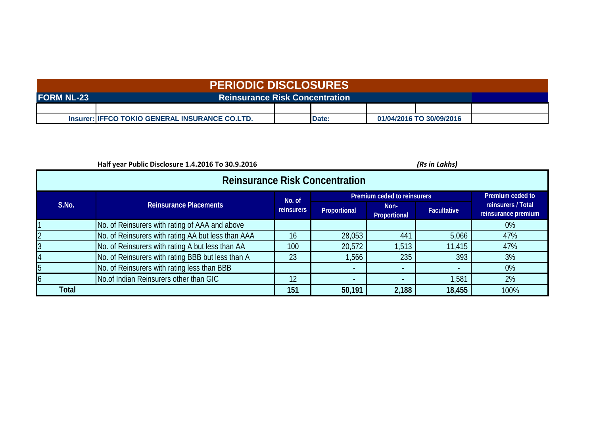| <b>PERIODIC DISCLOSURES</b> |                                                 |  |       |  |                          |  |  |  |  |
|-----------------------------|-------------------------------------------------|--|-------|--|--------------------------|--|--|--|--|
| <b>FORM NL-23</b>           |                                                 |  |       |  |                          |  |  |  |  |
|                             |                                                 |  |       |  |                          |  |  |  |  |
|                             | Insurer: IIFFCO TOKIO GENERAL INSURANCE CO.LTD. |  | Date: |  | 01/04/2016 TO 30/09/2016 |  |  |  |  |

|              | Half year Public Disclosure 1.4.2016 To 30.9.2016  |            |              |                      | (Rs in Lakhs)      |                                           |  |  |  |  |  |  |  |
|--------------|----------------------------------------------------|------------|--------------|----------------------|--------------------|-------------------------------------------|--|--|--|--|--|--|--|
|              | <b>Reinsurance Risk Concentration</b>              |            |              |                      |                    |                                           |  |  |  |  |  |  |  |
|              | Premium ceded to reinsurers<br>No. of              |            |              |                      |                    |                                           |  |  |  |  |  |  |  |
| S.No.        | <b>Reinsurance Placements</b>                      | reinsurers | Proportional | Non-<br>Proportional | <b>Facultative</b> | reinsurers / Total<br>reinsurance premium |  |  |  |  |  |  |  |
|              | No. of Reinsurers with rating of AAA and above     |            |              |                      |                    | $0\%$                                     |  |  |  |  |  |  |  |
|              | No. of Reinsurers with rating AA but less than AAA | 16         | 28,053       | 441                  | 5,066              | 47%                                       |  |  |  |  |  |  |  |
|              | No. of Reinsurers with rating A but less than AA   | 100        | 20,572       | 1,513                | 11,415             | 47%                                       |  |  |  |  |  |  |  |
|              | No. of Reinsurers with rating BBB but less than A  | 23         | ,566         | 235                  | 393                | 3%                                        |  |  |  |  |  |  |  |
|              | No. of Reinsurers with rating less than BBB        |            | $\sim$       | $\sim$               |                    | $0\%$                                     |  |  |  |  |  |  |  |
|              | No.of Indian Reinsurers other than GIC             | 12         | $\sim$       | $\sim$               | ,581               | 2%                                        |  |  |  |  |  |  |  |
| <b>Total</b> |                                                    | 151        | 50,191       | 2,188                | 18,455             | 100%                                      |  |  |  |  |  |  |  |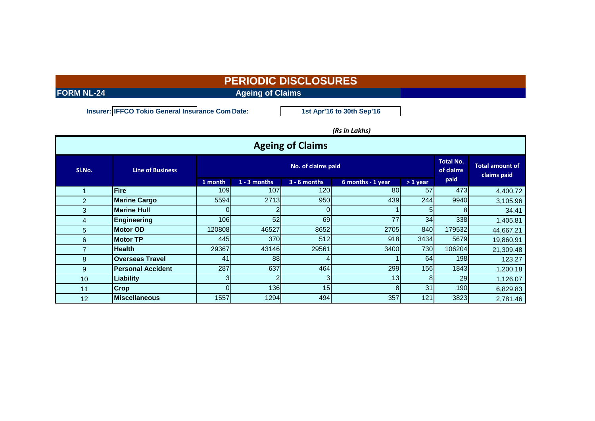**FORM NL-24 Ageing of Claims**

**Insurer: IFFCO Tokio General Insurance Com Date:**

**1st Apr'16 to 30th Sep'16**

### *(Rs in Lakhs)*

| <b>Ageing of Claims</b> |                          |          |                |                               |                                       |                |        |           |  |  |  |  |  |
|-------------------------|--------------------------|----------|----------------|-------------------------------|---------------------------------------|----------------|--------|-----------|--|--|--|--|--|
| SI.No.                  | <b>Line of Business</b>  |          |                | <b>Total No.</b><br>of claims | <b>Total amount of</b><br>claims paid |                |        |           |  |  |  |  |  |
|                         |                          | 1 month  | $1 - 3$ months | $3 - 6$ months                | 6 months - 1 year                     | $>1$ year      | paid   |           |  |  |  |  |  |
|                         | Fire                     | 109      | 107            | 120                           | 80                                    | 57             | 473    | 4,400.72  |  |  |  |  |  |
| $\overline{2}$          | <b>Marine Cargo</b>      | 5594     | 2713           | 950                           | 439                                   | 244            | 9940   | 3,105.96  |  |  |  |  |  |
| 3                       | <b>Marine Hull</b>       |          |                |                               |                                       | 5              | 8      | 34.41     |  |  |  |  |  |
| 4                       | Engineering              | 106      | 52             | 69                            | 77                                    | 34             | 338    | 1,405.81  |  |  |  |  |  |
| 5                       | <b>Motor OD</b>          | 120808   | 46527          | 8652                          | 2705                                  | 840            | 179532 | 44,667.21 |  |  |  |  |  |
| 6                       | <b>Motor TP</b>          | 445      | 370            | 512                           | 918                                   | 3434           | 5679   | 19,860.91 |  |  |  |  |  |
| 7                       | <b>Health</b>            | 29367    | 43146          | 29561                         | 3400                                  | 730            | 106204 | 21,309.48 |  |  |  |  |  |
| 8                       | <b>Overseas Travel</b>   | 41       | 88             |                               |                                       | 64             | 198    | 123.27    |  |  |  |  |  |
| 9                       | <b>Personal Accident</b> | 287      | 637            | 464                           | 299                                   | 156            | 1843   | 1,200.18  |  |  |  |  |  |
| 10 <sup>°</sup>         | Liability                |          |                |                               | 13                                    | 8 <sup>1</sup> | 29     | 1,126.07  |  |  |  |  |  |
| 11                      | <b>Crop</b>              | $\Omega$ | 136            | 15                            | 8                                     | 31             | 190    | 6,829.83  |  |  |  |  |  |
| 12                      | <b>Miscellaneous</b>     | 1557     | 1294           | 494                           | 357                                   | 121            | 3823   | 2,781.46  |  |  |  |  |  |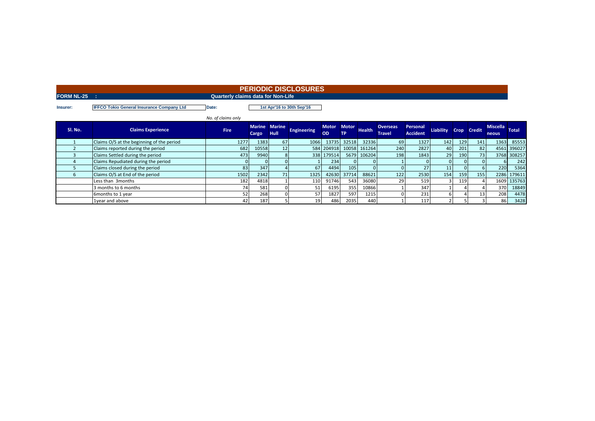### **FORM NL-25 : Quarterly claims data for Non-Life PERIODIC DISCLOSURES**

**Insurer: IFFCO Tokio General Insurance Company Ltd Date:**

**1st Apr'16 to 30th Sep'16**

|         |                                           | No. of claims only |       |                              |                    |                    |                     |               |                                  |                             |                  |      |               |                                 |              |
|---------|-------------------------------------------|--------------------|-------|------------------------------|--------------------|--------------------|---------------------|---------------|----------------------------------|-----------------------------|------------------|------|---------------|---------------------------------|--------------|
| Sl. No. | <b>Claims Experience</b>                  | <b>Fire</b>        | Cargo | Marine Marine<br><b>Hull</b> | <b>Engineering</b> | <b>Motor</b><br>OD | <b>Motor</b><br>TP. | <b>Health</b> | <b>Overseas</b><br><b>Travel</b> | Personal<br><b>Accident</b> | <b>Liability</b> | Crop | <b>Credit</b> | <b>Miscella</b><br><b>neous</b> | <b>Total</b> |
|         | Claims O/S at the beginning of the period | 1277               | 1383  | 67                           | 1066               | 13735              | 32518               | 32336         | <b>69</b>                        | 1327                        | 142              | 129  | 141           |                                 | 1363 85553   |
|         | Claims reported during the period         | 682                | 10558 | 12                           |                    | 584 204918         |                     | 10058 161264  | 240                              | 2827                        | 40               | 201  | 82            |                                 | 4561 396027  |
|         | Claims Settled during the period          | 473                | 9940  | 8                            |                    | 338 179514         |                     | 5679 106204   | 198                              | 1843                        | 29               | 190  | 73            |                                 | 3768 308257  |
|         | Claims Repudiated during the period       |                    |       |                              |                    | 234                |                     |               |                                  |                             | $\Omega$         |      | $\Omega$      |                                 | 242          |
|         | Claims closed during the period           | 83                 | 347   |                              | 67                 | 4494               | 105                 |               |                                  |                             | 11               |      |               | <b>220</b>                      | 5364         |
|         | Claims O/S at End of the period           | 1502               | 2342  | 71 <sub>1</sub>              | 1325               | 42630              | 37714               | 88621         | 122                              | 2530                        | 154              | 159  | 155           |                                 | 2286 179611  |
|         | Less than 3 months                        | 182                | 4818  |                              | 110                | 91746              | 543                 | 36080         | 29                               | 519                         |                  | 119  |               |                                 | 1609 135763  |
|         | 3 months to 6 months                      | 74                 | 581   |                              | 51                 | 6195               | 355                 | 10866         |                                  | 347                         |                  |      |               | 370                             | 18849        |
|         | 6months to 1 year                         | 52                 | 268   |                              | 57                 | 1827               | 597                 | 1215          |                                  | 231                         | 61               |      | 13            | 208                             | 4478         |
|         | 1 vear and above                          | 42                 | 187   |                              | 19                 | 486                | 2035                | 440           |                                  | 117                         |                  |      |               | 86                              | 3428         |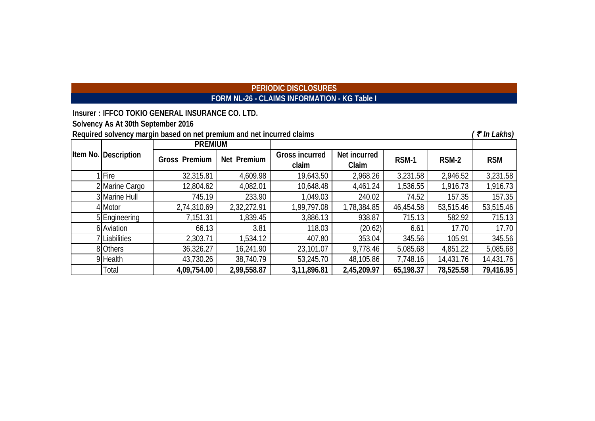# **PERIODIC DISCLOSURES FORM NL-26 - CLAIMS INFORMATION - KG Table I**

| Insurer: IFFCO TOKIO GENERAL INSURANCE CO. LTD. |  |  |
|-------------------------------------------------|--|--|
|                                                 |  |  |

**Solvency As At 30th September 2016**

**Required solvency margin based on net premium and net incurred claims** *(₹ In Lakhs)* **(***₹ In Lakhs)* 1|Fire 32,315.81 | 4,609.98 | 19,643.50 | 2,968.26 | 3,231.58 | 2,946.52 | 3,231.58 2 Marine Cargo 1 12,804.62 4,082.01 10,648.48 4,461.24 1,536.55 1,916.73 1,916.73 3 Marine Hull 745.19 233.90 1,049.03 240.02 74.52 157.35 157.35 4|Motor | 2,74,310.69 | 2,32,272.91 | 1,99,797.08 | 1,78,384.85 | 46,454.58 | 53,515.46 | 53,515.46 5 | Engineering | 7,151.31 | 1,839.45 | 3,886.13 | 938.87 | 715.13 | 582.92 | 715.13 6 Aviation | 66.13 | 3.81 | 118.03 | (20.62) 6.61 | 17.70 | 17.70 7 | Liabilities | 2,303.71 | 1,534.12 | 407.80 | 353.04 | 345.56 | 105.91 | 345.56 8|Others | 36,326.27 | 16,241.90 | 23,101.07 | 9,778.46 | 5,085.68 | 4,851.22 | 5,085.68 9 Health 43,730.26 38,740.79 53,245.70 48,105.86 7,748.16 14,431.76 14,431.76 Total **4,09,754.00 2,99,558.87 3,11,896.81 2,45,209.97 65,198.37 78,525.58 79,416.95 RSM-1 RSM-2 RSM Item No. Description PREMIUM Gross Premium Net Premium Gross incurred claim Net incurred Claim**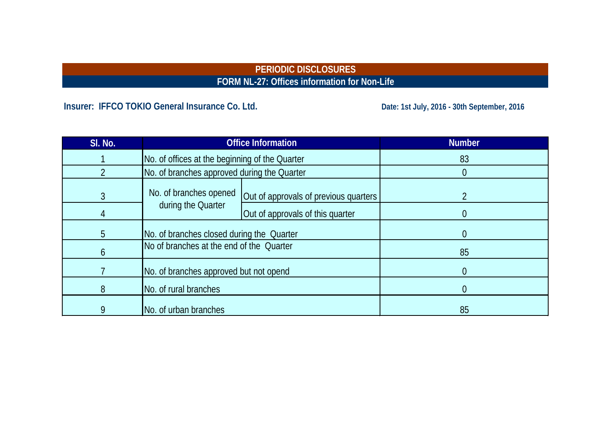# **PERIODIC DISCLOSURES FORM NL-27: Offices information for Non-Life**

# Insurer: IFFCO TOKIO General Insurance Co. Ltd. **Date: 1st July, 2016 - 30th September, 2016**

| SI. No. |                                                | <b>Office Information</b>             | <b>Number</b>  |
|---------|------------------------------------------------|---------------------------------------|----------------|
|         | No. of offices at the beginning of the Quarter |                                       | 83             |
|         | No. of branches approved during the Quarter    |                                       |                |
| 3       | No. of branches opened                         | Out of approvals of previous quarters |                |
| 4       | during the Quarter                             | Out of approvals of this quarter      | $\theta$       |
| 5       | No. of branches closed during the Quarter      |                                       | $\overline{0}$ |
| 6       | No of branches at the end of the Quarter       |                                       | 85             |
|         | No. of branches approved but not opend         |                                       | $\overline{0}$ |
| 8       | No. of rural branches                          |                                       | $\overline{0}$ |
| 9       | No. of urban branches                          |                                       | 85             |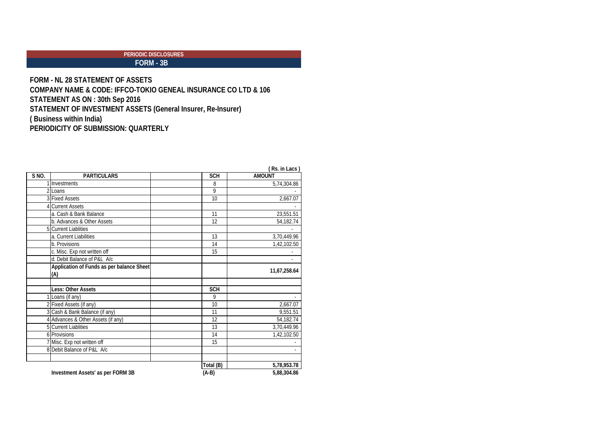# **FORM - 3B**

**FORM - NL 28 STATEMENT OF ASSETS COMPANY NAME & CODE: IFFCO-TOKIO GENEAL INSURANCE CO LTD & 106 STATEMENT AS ON : 30th Sep 2016 STATEMENT OF INVESTMENT ASSETS (General Insurer, Re-Insurer) ( Business within India) PERIODICITY OF SUBMISSION: QUARTERLY**

|       |                                           |            | <b>RS. III LAGS</b> |
|-------|-------------------------------------------|------------|---------------------|
| S NO. | <b>PARTICULARS</b>                        | <b>SCH</b> | <b>AMOUNT</b>       |
|       | 1 Investments                             | 8          | 5,74,304.86         |
|       | 2 Loans                                   | 9          |                     |
|       | 3 Fixed Assets                            | 10         | 2,667.07            |
|       | 4 Current Assets                          |            |                     |
|       | a. Cash & Bank Balance                    | 11         | 23,551.51           |
|       | b. Advances & Other Assets                | 12         | 54,182.74           |
|       | <b>5</b> Current Liablities               |            |                     |
|       | a. Current Liabilities                    | 13         | 3,70,449.96         |
|       | b. Provisions                             | 14         | 1,42,102.50         |
|       | c. Misc. Exp not written off              | 15         |                     |
|       | d. Debit Balance of P&L A/c               |            |                     |
|       | Application of Funds as per balance Sheet |            |                     |
|       | (A)                                       |            | 11,67,258.64        |
|       | Less: Other Assets                        | <b>SCH</b> |                     |
|       | 1 Loans (if any)                          | 9          |                     |
|       | 2 Fixed Assets (if any)                   | 10         | 2,667.07            |
|       | 3 Cash & Bank Balance (if any)            | 11         | 9,551.51            |
|       | 4 Advances & Other Assets (if any)        | 12         | 54,182.74           |
|       | <b>5</b> Current Liablities               | 13         | 3,70,449.96         |
|       | 6 Provisions                              | 14         | 1,42,102.50         |
|       | 7 Misc. Exp not written off               | 15         |                     |
|       | 8 Debit Balance of P&L A/c                |            |                     |
|       |                                           | Total (B)  | 5,78,953.78         |
|       | Investment Assets' as per FORM 3B         | (A-B)      | 5,88,304.86         |

|  | (Rs. in Lacs) |
|--|---------------|
|  |               |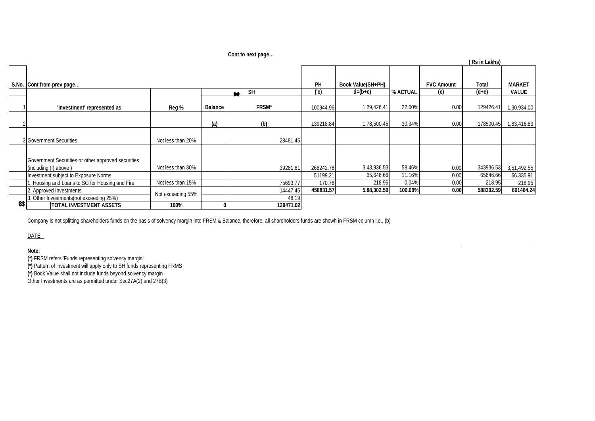**Cont to next page…**

|   |                                                                              |                   |         |                  |           |                   |          |                   | (Rs in Lakhs) |               |
|---|------------------------------------------------------------------------------|-------------------|---------|------------------|-----------|-------------------|----------|-------------------|---------------|---------------|
|   | S.No. Cont from prev page                                                    |                   |         |                  | PH        | Book Value(SH+PH) |          | <b>FVC Amount</b> | Total         | <b>MARKET</b> |
|   |                                                                              |                   |         | <b>SH</b><br>as. | (C)       | $d=(b+c)$         | % ACTUAL | (e)               | $(d+e)$       | <b>VALUE</b>  |
|   | 'Investment' represented as                                                  | Reg %             | Balance | FRSM*            | 100944.96 | 1,29,426.41       | 22.00%   | 0.00              | 129426.41     | 1,30,934.00   |
|   |                                                                              |                   | (a)     | (b)              | 139218.84 | 1,78,500.45       | 30.34%   | 0.00              | 178500.45     | 1,83,416.83   |
|   | 3 Government Securities                                                      | Not less than 20% |         | 28481.45         |           |                   |          |                   |               |               |
|   | Government Securities or other approved securities<br>(including (I) above ) | Not less than 30% |         | 39281.61         | 268242.76 | 3,43,936.53       | 58.46%   | 0.00              | 343936.53     | 3,51,492.55   |
|   | Investment subject to Exposure Norms                                         |                   |         |                  | 51199.21  | 65,646.66         | 11.16%   | 0.00              | 65646.66      | 66,335.91     |
|   | . Housing and Loans to SG for Housing and Fire                               | Not less than 15% |         | 75693.77         | 170.76    | 218.95            | 0.04%    | 0.00              | 218.95        | 218.95        |
|   | 2. Approved Investments                                                      |                   |         | 14447.45         | 458831.57 | 5,88,302.59       | 100.00%  | 0.00              | 588302.59     | 601464.24     |
|   | 3. Other Investments(not exceeding 25%)                                      | Not exceeding 55% |         | 48.19            |           |                   |          |                   |               |               |
| ≈ | <b>TOTAL INVESTMENT ASSETS</b>                                               | 100%              |         | 129471.02        |           |                   |          |                   |               |               |

Company is not splitting shareholders funds on the basis of solvency margin into FRSM & Balance, therefore, all shareholders funds are showh in FRSM column i.e., (b)

DATE:

### **Note:**

**(\*)** FRSM refers 'Funds representing solvency margin'

**(\*)** Pattern of investment will apply only to SH funds representing FRMS

**(\*)** Book Value shall not include funds beyond solvency margin

Other Investments are as permitted under Sec27A(2) and 27B(3)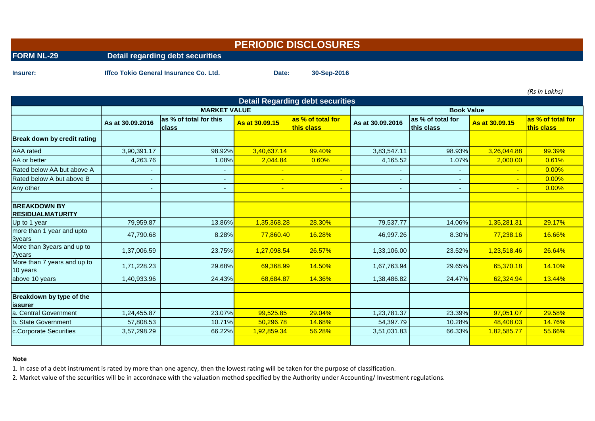|                   |                                               | <b>PERIODIC DISCLOSURES</b> |             |  |  |
|-------------------|-----------------------------------------------|-----------------------------|-------------|--|--|
| <b>FORM NL-29</b> | Detail regarding debt securities              |                             |             |  |  |
| Insurer:          | <b>Iffco Tokio General Insurance Co. Ltd.</b> | Date:                       | 30-Sep-2016 |  |  |

*(Rs in Lakhs)*

| <b>Detail Regarding debt securities</b>         |                          |                                        |                |                                 |                  |                                 |                |                                 |  |  |  |  |
|-------------------------------------------------|--------------------------|----------------------------------------|----------------|---------------------------------|------------------|---------------------------------|----------------|---------------------------------|--|--|--|--|
|                                                 |                          | <b>MARKET VALUE</b>                    |                |                                 |                  | <b>Book Value</b>               |                |                                 |  |  |  |  |
|                                                 | As at 30.09.2016         | as % of total for this<br><b>class</b> | As at 30,09.15 | as % of total for<br>this class | As at 30.09.2016 | as % of total for<br>this class | As at 30,09.15 | as % of total for<br>this class |  |  |  |  |
| <b>Break down by credit rating</b>              |                          |                                        |                |                                 |                  |                                 |                |                                 |  |  |  |  |
| <b>AAA</b> rated                                | 3,90,391.17              | 98.92%                                 | 3,40,637.14    | 99.40%                          | 3,83,547.11      | 98.93%                          | 3,26,044.88    | 99.39%                          |  |  |  |  |
| AA or better                                    | 4,263.76                 | 1.08%                                  | 2,044.84       | 0.60%                           | 4,165.52         | 1.07%                           | 2,000.00       | 0.61%                           |  |  |  |  |
| Rated below AA but above A                      | $\overline{\phantom{a}}$ |                                        |                |                                 |                  |                                 |                | 0.00%                           |  |  |  |  |
| Rated below A but above B                       | $\overline{\phantom{a}}$ |                                        |                | ٠                               |                  |                                 | $\blacksquare$ | 0.00%                           |  |  |  |  |
| Any other                                       | ٠                        | ٠                                      |                | ٠                               | ٠                |                                 | $\blacksquare$ | 0.00%                           |  |  |  |  |
| <b>BREAKDOWN BY</b><br><b>IRESIDUALMATURITY</b> |                          |                                        |                |                                 |                  |                                 |                |                                 |  |  |  |  |
| Up to 1 year                                    | 79,959.87                | 13.86%                                 | 1,35,368.28    | 28.30%                          | 79,537.77        | 14.06%                          | 1,35,281.31    | 29.17%                          |  |  |  |  |
| more than 1 year and upto<br>3years             | 47,790.68                | 8.28%                                  | 77,860.40      | 16.28%                          | 46,997.26        | 8.30%                           | 77,238.16      | 16.66%                          |  |  |  |  |
| More than 3years and up to<br><b>7years</b>     | 1,37,006.59              | 23.75%                                 | 1,27,098.54    | 26.57%                          | 1,33,106.00      | 23.52%                          | 1,23,518.46    | 26.64%                          |  |  |  |  |
| More than 7 years and up to<br>10 years         | 1,71,228.23              | 29.68%                                 | 69,368.99      | 14.50%                          | 1,67,763.94      | 29.65%                          | 65,370.18      | 14.10%                          |  |  |  |  |
| above 10 years                                  | 1,40,933.96              | 24.43%                                 | 68,684.87      | 14.36%                          | 1,38,486.82      | 24.47%                          | 62,324.94      | 13.44%                          |  |  |  |  |
| Breakdown by type of the<br>lissurer            |                          |                                        |                |                                 |                  |                                 |                |                                 |  |  |  |  |
| <b>Central Government</b><br>la.                | 1,24,455.87              | 23.07%                                 | 99,525.85      | 29.04%                          | 1,23,781.37      | 23.39%                          | 97,051.07      | 29.58%                          |  |  |  |  |
| b. State Government                             | 57,808.53                | 10.71%                                 | 50,296.78      | 14.68%                          | 54,397.79        | 10.28%                          | 48,408.03      | 14.76%                          |  |  |  |  |
| c.Corporate Securities                          | 3,57,298.29              | 66.22%                                 | 1,92,859.34    | 56.28%                          | 3,51,031.83      | 66.33%                          | 1,82,585.77    | 55.66%                          |  |  |  |  |
|                                                 |                          |                                        |                |                                 |                  |                                 |                |                                 |  |  |  |  |

### **Note**

1. In case of a debt instrument is rated by more than one agency, then the lowest rating will be taken for the purpose of classification.

2. Market value of the securities will be in accordnace with the valuation method specified by the Authority under Accounting/ Investment regulations.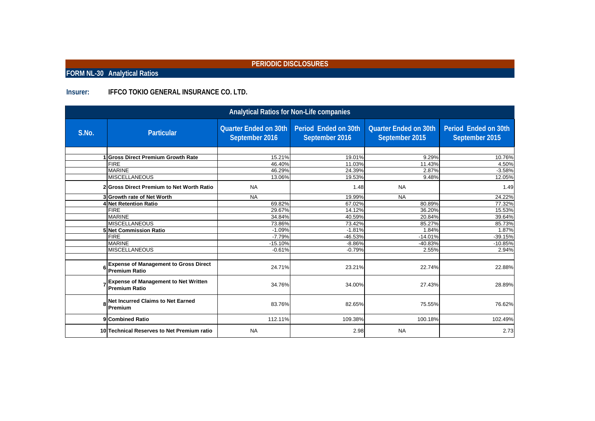**FORM NL-30 Analytical Ratios**

### **Insurer: IFFCO TOKIO GENERAL INSURANCE CO. LTD.**

| Analytical Ratios for Non-Life companies |                                                                      |                                                |                                        |                                                |                                        |  |  |  |  |  |
|------------------------------------------|----------------------------------------------------------------------|------------------------------------------------|----------------------------------------|------------------------------------------------|----------------------------------------|--|--|--|--|--|
| S.No.                                    | <b>Particular</b>                                                    | <b>Quarter Ended on 30th</b><br>September 2016 | Period Ended on 30th<br>September 2016 | <b>Quarter Ended on 30th</b><br>September 2015 | Period Ended on 30th<br>September 2015 |  |  |  |  |  |
|                                          | <b>Gross Direct Premium Growth Rate</b>                              | 15.21%                                         | 19.01%                                 | 9.29%                                          | 10.76%                                 |  |  |  |  |  |
|                                          | <b>FIRE</b><br><b>MARINE</b>                                         | 46.40%<br>46.29%                               | 11.03%<br>24.39%                       | 11.43%<br>2.87%                                | 4.50%<br>$-3.58%$                      |  |  |  |  |  |
|                                          | <b>MISCELLANEOUS</b><br>2 Gross Direct Premium to Net Worth Ratio    | 13.06%<br><b>NA</b>                            | 19.53%<br>1.48                         | 9.48%<br><b>NA</b>                             | 12.05%<br>1.49                         |  |  |  |  |  |
|                                          | 3 Growth rate of Net Worth<br>4 Net Retention Ratio                  | <b>NA</b><br>69.82%                            | 19.99%<br>67.02%                       | <b>NA</b><br>80.89%                            | 24.22%<br>77.32%                       |  |  |  |  |  |
|                                          | <b>FIRE</b><br><b>MARINE</b>                                         | 29.67%<br>34.84%                               | 14.12%<br>40.59%                       | 36.20%<br>20.84%                               | 15.53%<br>39.64%                       |  |  |  |  |  |
|                                          | <b>MISCELLANEOUS</b><br><b>5 Net Commission Ratio</b>                | 73.86%<br>$-1.09%$                             | 73.42%<br>$-1.81%$                     | 85.27%<br>1.84%                                | 85.73%<br>1.87%                        |  |  |  |  |  |
|                                          | <b>FIRE</b><br><b>MARINE</b>                                         | $-7.79%$<br>$-15.10%$                          | $-46.53%$<br>$-8.86%$                  | $-14.01%$<br>$-40.83%$                         | $-39.15%$<br>$-10.85%$                 |  |  |  |  |  |
|                                          | <b>MISCELLANEOUS</b>                                                 | $-0.61%$                                       | $-0.79%$                               | 2.55%                                          | 2.94%                                  |  |  |  |  |  |
|                                          | <b>Expense of Management to Gross Direct</b><br><b>Premium Ratio</b> | 24.71%                                         | 23.21%                                 | 22.74%                                         | 22.88%                                 |  |  |  |  |  |
|                                          | <b>Expense of Management to Net Written</b><br><b>Premium Ratio</b>  | 34.76%                                         | 34.00%                                 | 27.43%                                         | 28.89%                                 |  |  |  |  |  |
| 8                                        | <b>Net Incurred Claims to Net Earned</b><br>Premium                  | 83.76%                                         | 82.65%                                 | 75.55%                                         | 76.62%                                 |  |  |  |  |  |
|                                          | 9 Combined Ratio                                                     | 112.11%                                        | 109.38%                                | 100.18%                                        | 102.49%                                |  |  |  |  |  |
|                                          | 10 Technical Reserves to Net Premium ratio                           | <b>NA</b>                                      | 2.98                                   | <b>NA</b>                                      | 2.73                                   |  |  |  |  |  |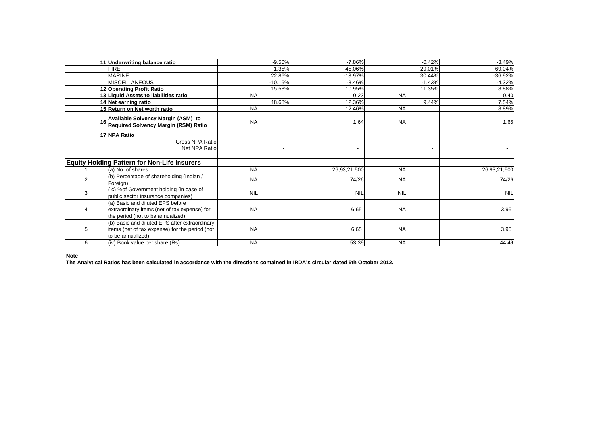|                | 11 Underwriting balance ratio                                                                                         | $-9.50%$                 | $-7.86%$     | $-0.42%$   | $-3.49%$     |
|----------------|-----------------------------------------------------------------------------------------------------------------------|--------------------------|--------------|------------|--------------|
|                | <b>FIRE</b>                                                                                                           | $-1.35%$                 | 45.06%       | 29.01%     | 69.04%       |
|                | <b>MARINE</b>                                                                                                         | 22.86%                   | $-13.97%$    | 30.44%     | $-36.92%$    |
|                | <b>MISCELLANEOUS</b>                                                                                                  | $-10.15%$                | $-8.46%$     | $-1.43%$   | $-4.32%$     |
|                | 12 Operating Profit Ratio                                                                                             | 15.58%                   | 10.95%       | 11.35%     | 8.88%        |
|                | 13 Liquid Assets to liabilities ratio                                                                                 | <b>NA</b>                | 0.23         | <b>NA</b>  | 0.40         |
|                | 14 Net earning ratio                                                                                                  | 18.68%                   | 12.36%       | 9.44%      | 7.54%        |
|                | 15 Return on Net worth ratio                                                                                          | <b>NA</b>                | 12.46%       | <b>NA</b>  | 8.89%        |
|                | Available Solvency Margin (ASM) to<br>Required Solvency Margin (RSM) Ratio                                            | <b>NA</b>                | 1.64         | <b>NA</b>  | 1.65         |
|                | 17 NPA Ratio                                                                                                          |                          |              |            |              |
|                | Gross NPA Ratio                                                                                                       | $\blacksquare$           |              |            |              |
|                | Net NPA Ratio                                                                                                         | $\overline{\phantom{a}}$ |              |            |              |
|                | <b>Equity Holding Pattern for Non-Life Insurers</b>                                                                   |                          |              |            |              |
|                | (a) No. of shares                                                                                                     | <b>NA</b>                | 26,93,21,500 | <b>NA</b>  | 26,93,21,500 |
| $\overline{2}$ | (b) Percentage of shareholding (Indian /<br>Foreign)                                                                  | <b>NA</b>                | 74/26        | <b>NA</b>  | 74/26        |
| 3              | (c) % of Government holding (in case of<br>public sector insurance companies)                                         | <b>NIL</b>               | <b>NIL</b>   | <b>NIL</b> | <b>NIL</b>   |
| 4              | (a) Basic and diluted EPS before<br>extraordinary items (net of tax expense) for<br>the period (not to be annualized) | <b>NA</b>                | 6.65         | <b>NA</b>  | 3.95         |
| 5              | (b) Basic and diluted EPS after extraordinary<br>items (net of tax expense) for the period (not<br>to be annualized)  | <b>NA</b>                | 6.65         | <b>NA</b>  | 3.95         |
| 6              | (iv) Book value per share (Rs)                                                                                        | <b>NA</b>                | 53.39        | <b>NA</b>  | 44.49        |

**Note**

**The Analytical Ratios has been calculated in accordance with the directions contained in IRDA's circular dated 5th October 2012.**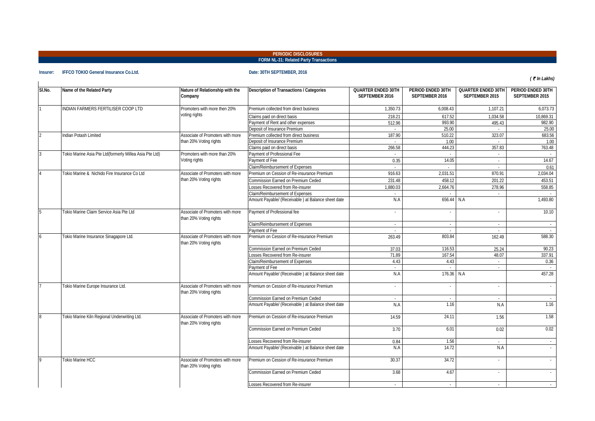#### **FORM NL-31: Related Party Transactions PERIODIC DISCLOSURES**

#### **Insurer: IFFCO TOKIO General Insurance Co.Ltd. Date: 30TH SEPTEMBER, 2016**

*(* ` *In Lakhs)*

| SI.No.         | Name of the Related Party                               | Nature of Relationship with the<br>Company                 | Description of Transactions / Categories           | <b>QUARTER ENDED 30TH</b><br>SEPTEMBER 2016 | PERIOD ENDED 30TH<br>SEPTEMBER 2016 | <b>QUARTER ENDED 30TH</b><br>SEPTEMBER 2015 | PERIOD ENDED 30TH<br>SEPTEMBER 2015 |
|----------------|---------------------------------------------------------|------------------------------------------------------------|----------------------------------------------------|---------------------------------------------|-------------------------------------|---------------------------------------------|-------------------------------------|
|                | INDIAN FARMERS FERTILISER COOP LTD                      | Promoters with more then 20%                               | Premium collected from direct business             | 1,350.73                                    | 6,008.43                            | 1,107.21                                    | 6,073.73                            |
|                |                                                         | voting rights                                              | Claims paid on direct basis                        | 218.21                                      | 617.52                              | 1,034.58                                    | 10,869.31                           |
|                |                                                         |                                                            | Payment of Rent and other expenses                 | 512.96                                      | 993.90                              | 495.43                                      | 982.90                              |
|                |                                                         |                                                            | Deposit of Insurance Premium                       |                                             | 25.00                               |                                             | 25.00                               |
| $\overline{c}$ | Indian Potash Limited                                   | Associate of Promoters with more                           | Premium collected from direct business             | 187.90                                      | 510.22                              | 323.07                                      | 683.56                              |
|                |                                                         | than 20% Voting rights                                     | Deposit of Insurance Premium                       |                                             | 1.00                                |                                             | 1.00                                |
|                |                                                         |                                                            | Claims paid on direct basis                        | 266.58                                      | 444.23                              | 357.83                                      | 763.48                              |
| 3              | Tokio Marine Asia Pte Ltd(formerly Millea Asia Pte Ltd) | Promoters with more than 20%                               | Payment of Professional Fee                        |                                             |                                     |                                             |                                     |
|                |                                                         | Voting rights                                              | Payment of Fee                                     | 0.35                                        | 14.05                               | $\sim$                                      | 14.67                               |
|                |                                                         |                                                            | Claim/Reimbursement of Expenses                    | $\sim$                                      | $\sim$                              | $\sim$                                      | 0.61                                |
|                | Tokio Marine & Nichido Fire Insurance Co Ltd            | Associate of Promoters with more                           | Premium on Cession of Re-insurance Premium         | 916.63                                      | 2.031.51                            | 870.91                                      | 2,034.04                            |
|                |                                                         | than 20% Voting rights                                     | Commission Earned on Premium Ceded                 | 231.48                                      | 458.12                              | 201.22                                      | 453.51                              |
|                |                                                         |                                                            | Losses Recovered from Re-insurer                   | 1.880.03                                    | 2,664.76                            | 278.96                                      | 558.85                              |
|                |                                                         |                                                            | Claim/Reimbursement of Expenses                    |                                             |                                     |                                             |                                     |
|                |                                                         |                                                            | Amount Payable/ (Receivable) at Balance sheet date | N.A                                         | 656.44                              | N.A                                         | 1,493.80                            |
| 5              | Tokio Marine Claim Service Asia Pte Ltd                 | Associate of Promoters with more<br>than 20% Voting rights | Payment of Professional fee                        | $\overline{\phantom{a}}$                    |                                     | $\sim$                                      | 10.10                               |
|                |                                                         |                                                            | Claim/Reimbursement of Expenses                    | $\sim$                                      | $\sim$                              | $\sim$                                      | $\sim$                              |
|                |                                                         |                                                            | Payment of Fee                                     | $\sim$                                      |                                     | $\sim$                                      |                                     |
| $\mathbf{6}$   | Tokio Marine Insurance Sinagapore Ltd.                  | Associate of Promoters with more<br>than 20% Voting rights | Premium on Cession of Re-insurance Premium         | 263.49                                      | 803.84                              | 162.49                                      | 588.30                              |
|                |                                                         |                                                            | Commission Earned on Premium Ceded                 | 37.03                                       | 116.53                              | 25.24                                       | 90.23                               |
|                |                                                         |                                                            | Losses Recovered from Re-insurer                   | 71.89                                       | 167.54                              | 48.07                                       | 337.91                              |
|                |                                                         |                                                            | Claim/Reimbursement of Expenses                    | 4.43                                        | 4.43                                | $\sim$                                      | 0.36                                |
|                |                                                         |                                                            | Payment of Fee                                     |                                             |                                     | $\sim$                                      |                                     |
|                |                                                         |                                                            | Amount Payable/ (Receivable) at Balance sheet date | N.A                                         | 176.36 N.A                          |                                             | 457.28                              |
|                | Tokio Marine Europe Insurance Ltd.                      | Associate of Promoters with more<br>than 20% Voting rights | Premium on Cession of Re-insurance Premium         |                                             |                                     |                                             |                                     |
|                |                                                         |                                                            | Commission Earned on Premium Ceded                 |                                             |                                     |                                             | $\sim$                              |
|                |                                                         |                                                            | Amount Payable/ (Receivable) at Balance sheet date | N.A                                         | 1.16                                | N.A                                         | 1.16                                |
| $\overline{8}$ | Tokio Marine Kiln Regional Underwriting Ltd.            | Associate of Promoters with more<br>than 20% Voting rights | Premium on Cession of Re-insurance Premium         | 14.59                                       | 24.11                               | 1.56                                        | 1.58                                |
|                |                                                         |                                                            | Commission Earned on Premium Ceded                 | 3.70                                        | 6.01                                | 0.02                                        | 0.02                                |
|                |                                                         |                                                            | osses Recovered from Re-insurer                    | 0.84                                        | 1.56                                | $\sim$                                      | $\sim$                              |
|                |                                                         |                                                            | Amount Payable/ (Receivable) at Balance sheet date | N.A                                         | 14.72                               | N.A                                         | $\sim$                              |
| 9              | Tokio Marine HCC                                        | Associate of Promoters with more<br>than 20% Voting rights | Premium on Cession of Re-insurance Premium         | 30.37                                       | 34.72                               | $\sim$                                      | $\sim$                              |
|                |                                                         |                                                            | Commission Earned on Premium Ceded                 | 3.68                                        | 4.67                                | ×,                                          | $\sim$                              |
|                |                                                         |                                                            | Losses Recovered from Re-insurer                   | $\sim$                                      | ÷                                   | $\sim$                                      | $\sim$                              |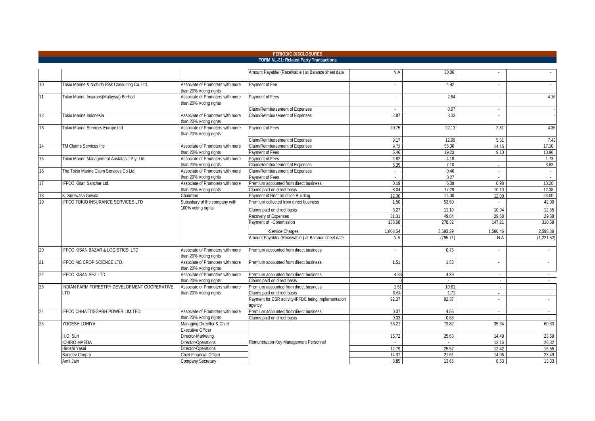|                 |                                                 |                                                            | PERIODIC DISCLOSURES                                               |                          |               |                  |                             |
|-----------------|-------------------------------------------------|------------------------------------------------------------|--------------------------------------------------------------------|--------------------------|---------------|------------------|-----------------------------|
|                 |                                                 |                                                            | FORM NL-31: Related Party Transactions                             |                          |               |                  |                             |
|                 |                                                 |                                                            | Amount Payable/ (Receivable) at Balance sheet date                 | N.A                      | 30.06         |                  |                             |
| 10              | Tokio Marine & Nichido Risk Consulting Co. Ltd. | Associate of Promoters with more<br>than 20% Voting rights | Payment of Fee                                                     | $\overline{\phantom{a}}$ | 4.92          | ÷                |                             |
| 11              | Tokio Marine Insurans (Malaysia) Berhad         | Associate of Promoters with more<br>than 20% Voting rights | Payment of Fees                                                    | $\sim$                   | 2.64          | ÷                | 4.16                        |
| 12              | Tokio Marine Indonesia                          | Associate of Promoters with more<br>than 20% Voting rights | Claim/Reimbursement of Expenses<br>Claim/Reimbursement of Expenses | $\sim$<br>2.87           | 0.07<br>3.33  | $\sim$<br>$\sim$ |                             |
| 13              | Tokio Marine Services Europe Ltd.               | Associate of Promoters with more<br>than 20% Voting rights | Payment of Fees                                                    | 20.75                    | 22.13         | 2.81             | 4.36                        |
|                 |                                                 |                                                            | Claim/Reimbursement of Expenses                                    | 9.17                     | 12.99         | 5.51             | 7.43                        |
| 14              | TM Claims Services Inc                          | Associate of Promoters with more                           | Claim/Reimbursement of Expenses                                    | 9.72                     | 55.36         | 14.15            | 17.10                       |
|                 |                                                 | than 20% Voting rights                                     | Payment of Fees                                                    | 5.46                     | 19.23         | 9.10             | 10.96                       |
| 15              | Tokio Marine Management Austalasia Pty. Ltd.    | Associate of Promoters with more                           | Payment of Fees                                                    | 2.82                     | 4.18          | $\sim$           | 1.73                        |
|                 |                                                 | than 20% Voting rights                                     | Claim/Reimbursement of Expenses                                    | 5.35                     | 7.10          | $\sim$           | 3.83                        |
| 16              | The Tokio Marine Claim Services Co Ltd          | Associate of Promoters with more                           | Claim/Reimbursement of Expenses                                    | $\sim$                   | 0.46          | $\sim$           | $\sim$                      |
|                 |                                                 | than 20% Voting rights                                     | Payment of Fees                                                    | $\sim$                   | 0.27          | $\sim$           | $\sim$                      |
| 17              | <b>IFFCO Kisan Sanchar Ltd.</b>                 | Associate of Promoters with more                           | Premium accounted from direct business                             | 0.19                     | 6.39          | 0.98             | 10.20                       |
|                 |                                                 | than 20% Voting rights                                     | Claims paid on direct basis                                        | 8.04                     | 17.29         | 10.13            | 12.38                       |
| 18              | C. Sriniwasa Gowda                              | Chairman                                                   | Payment of Rent on ofiice Building                                 | 12.00                    | 24.00         | 12.00            | 24.00                       |
| 19              | <b>IFFCO TOKIO INSURANCE SERVICES LTD</b>       | Subsidiary of the company with                             | Premium collected from direct business                             | 1.50                     | 53.50         | $\mathcal{L}$    | 42.00                       |
|                 |                                                 | 100% voting rights                                         | Claims paid on direct basis                                        | 3.27                     | 11.10         | 10.04            | 12.55                       |
|                 |                                                 |                                                            | Recovery of Expenses                                               | 31.31                    | 49.84         | 29.68            | 29.68                       |
|                 |                                                 |                                                            | Payment of -Commission                                             | 138.68                   | 278.32        | 147.21           | 310.58                      |
|                 |                                                 |                                                            | -Service Charges                                                   | 1,803.54                 | 3,593.29      | 1,580.46         | 2,598.36                    |
|                 |                                                 |                                                            | Amount Payable/ (Receivable) at Balance sheet date                 | N.A                      | (795.71)      | N.A              | (1,221.52)                  |
| 20              | <b>IFFCO KISAN BAZAR &amp; LOGISTICS LTD</b>    | Associate of Promoters with more<br>than 20% Voting rights | Premium accounted from direct business                             |                          | 0.75          |                  | ÷                           |
| 21              | IFFCO MC CROP SCIENCE LTD.                      | Associate of Promoters with more<br>than 20% Voting rights | Premium accounted from direct business                             | 1.51                     | 1.53          |                  | $\mathcal{L}_{\mathcal{A}}$ |
| $\overline{22}$ | <b>IFFCO KISAN SEZ LTD</b>                      | Associate of Promoters with more                           | Premium accounted from direct business                             | 4.36                     | 4.39          | $\sim$           | $\sim$                      |
|                 |                                                 | than 20% Voting rights                                     | Claims paid on direct basis                                        |                          | $\sim$        | $\sim$           | $\sim$                      |
| 23              | INDIAN FARM FORESTRY DEVELOPMENT COOPERATIVE    | Associate of Promoters with more                           | Premium accounted from direct business                             | 1.51                     | 10.61         | $\sim$           | $\sim$                      |
|                 | TD.                                             | than 20% Voting rights                                     | Claims paid on direct basis                                        | 0.64                     | $1.7^{\circ}$ | $\sim$           | $\sim$                      |
|                 |                                                 |                                                            | Payment for CSR activity-IFFDC being implementation<br>idency      | 92.37                    | 92.37         | ÷                | $\mathcal{L}$               |
| 24              | IFFCO CHHATTISGARH POWER LIMITED                | Associate of Promoters with more                           | Premium accounted from direct business                             | 0.37                     | 4.56          | $\sim$           | $\sim$                      |
|                 |                                                 | than 20% Voting rights                                     | Claims paid on direct basis                                        | 0.33                     | 0.68          | $\sim$           | $\sim$                      |
| 25              | YOGESH LOHIYA                                   | Managing Direcftor & Chief<br>Executive Officer            |                                                                    | 36.21                    | 73.82         | 35.34            | 60.33                       |
|                 | H.O. Suri                                       | Director-Marketing                                         |                                                                    | 15.72                    | 25.63         | 14.49            | 23.59                       |
|                 | CHIRO MAEDA                                     | Director-Operations                                        | Remuneration-Key Management Personnel                              | $\sim$                   | $\sim$        | 13.16            | 26.32                       |
|                 | liroshi Yasui                                   | Director-Operations                                        |                                                                    | 12.79                    | 25.57         | 12.42            | 16.55                       |
|                 | Sanjeev Chopra                                  | <b>Chief Financial Officer</b>                             |                                                                    | 14.37                    | 21.61         | 14.06            | 23.49                       |
|                 | Amit Jain                                       | Company Secretary                                          |                                                                    | 8.85                     | 13.65         | 8.63             | 13.33                       |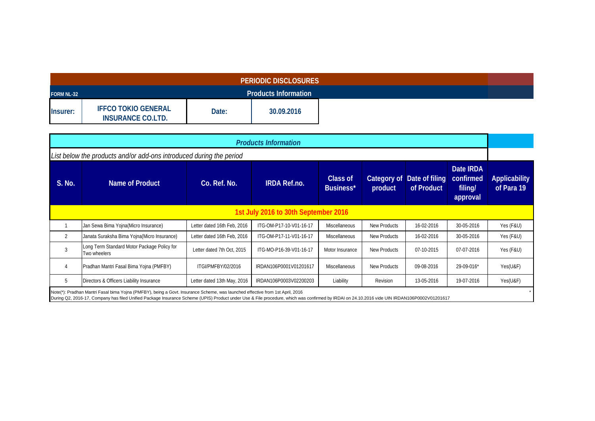| <b>PERIODIC DISCLOSURES</b> |                                                        |       |                             |  |  |  |  |
|-----------------------------|--------------------------------------------------------|-------|-----------------------------|--|--|--|--|
| <b>FORM NL-32</b>           |                                                        |       | <b>Products Information</b> |  |  |  |  |
| Insurer:                    | <b>IFFCO TOKIO GENERAL</b><br><b>INSURANCE CO.LTD.</b> | Date: | 30.09.2016                  |  |  |  |  |

| <b>Products Information</b>                                                                                                                                                                                                                                                                                                   |                                                             |                             |                         |                       |                        |                              |                                                      |                                    |  |  |
|-------------------------------------------------------------------------------------------------------------------------------------------------------------------------------------------------------------------------------------------------------------------------------------------------------------------------------|-------------------------------------------------------------|-----------------------------|-------------------------|-----------------------|------------------------|------------------------------|------------------------------------------------------|------------------------------------|--|--|
| List below the products and/or add-ons introduced during the period                                                                                                                                                                                                                                                           |                                                             |                             |                         |                       |                        |                              |                                                      |                                    |  |  |
| S. No.                                                                                                                                                                                                                                                                                                                        | Name of Product                                             | Co. Ref. No.                | <b>IRDA Ref.no.</b>     | Class of<br>Business* | Category of<br>product | Date of filing<br>of Product | Date <b>IRDA</b><br>confirmed<br>filing/<br>approval | <b>Applicability</b><br>of Para 19 |  |  |
| 1st July 2016 to 30th September 2016                                                                                                                                                                                                                                                                                          |                                                             |                             |                         |                       |                        |                              |                                                      |                                    |  |  |
|                                                                                                                                                                                                                                                                                                                               | Jan Sewa Bima Yojna(Micro Insurance)                        | Letter dated 16th Feb, 2016 | ITG-OM-P17-10-V01-16-17 | <b>Miscellaneous</b>  | New Products           | 16-02-2016                   | 30-05-2016                                           | Yes (F&U)                          |  |  |
| $\overline{2}$                                                                                                                                                                                                                                                                                                                | Janata Suraksha Bima Yojna(Micro Insurance)                 | Letter dated 16th Feb, 2016 | ITG-OM-P17-11-V01-16-17 | <b>Miscellaneous</b>  | New Products           | 16-02-2016                   | 30-05-2016                                           | Yes (F&U)                          |  |  |
| 3                                                                                                                                                                                                                                                                                                                             | Long Term Standard Motor Package Policy for<br>Two wheelers | Letter dated 7th Oct, 2015  | ITG-MO-P16-39-V01-16-17 | Motor Insurance       | New Products           | 07-10-2015                   | 07-07-2016                                           | Yes (F&U)                          |  |  |
| Pradhan Mantri Fasal Bima Yojna (PMFBY)<br>Miscellaneous<br>4<br>New Products<br>ITGI/PMFBY/02/2016<br>IRDAN106P0001V01201617<br>09-08-2016<br>29-09-016*                                                                                                                                                                     |                                                             |                             |                         |                       |                        |                              |                                                      |                                    |  |  |
| 5<br>Directors & Officers Liability Insurance<br>19-07-2016<br>Letter dated 13th May, 2016<br>IRDAN106P0003V02200203<br>Liability<br>Revision<br>13-05-2016                                                                                                                                                                   |                                                             |                             |                         |                       |                        |                              |                                                      |                                    |  |  |
| Note(*): Pradhan Mantri Fasal bima Yojna (PMFBY), being a Govt. Insurance Scheme, was launched effective from 1st April, 2016<br>During Q2, 2016-17, Company has filed Unified Package Insurance Scheme (UPIS) Product under Use & File procedure, which was confirmed by IRDAI on 24.10.2016 vide UIN IRDAN106P0002V01201617 |                                                             |                             |                         |                       |                        |                              |                                                      |                                    |  |  |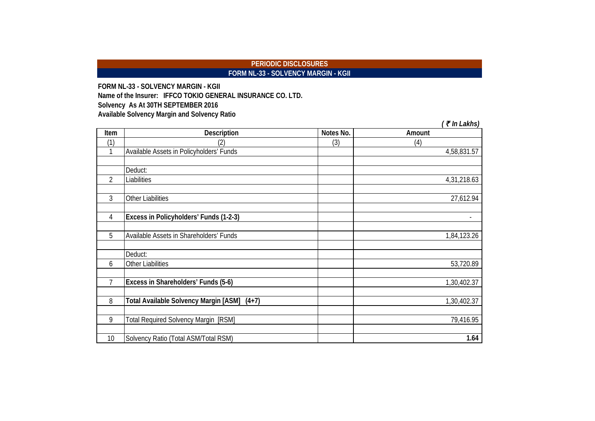# **PERIODIC DISCLOSURES FORM NL-33 - SOLVENCY MARGIN - KGII**

**FORM NL-33 - SOLVENCY MARGIN - KGII Solvency As At 30TH SEPTEMBER 2016 Available Solvency Margin and Solvency Ratio Name of the Insurer: IFFCO TOKIO GENERAL INSURANCE CO. LTD.**

|      |                                             |           | $($ ₹ In Lakhs) |
|------|---------------------------------------------|-----------|-----------------|
| Item | <b>Description</b>                          | Notes No. | Amount          |
| (1)  | 2)                                          | (3)       | (4)             |
|      | Available Assets in Policyholders' Funds    |           | 4,58,831.57     |
|      | Deduct:                                     |           |                 |
| 2    | Liabilities                                 |           | 4,31,218.63     |
| 3    | <b>Other Liabilities</b>                    |           | 27,612.94       |
| 4    | Excess in Policyholders' Funds (1-2-3)      |           |                 |
| 5    | Available Assets in Shareholders' Funds     |           | 1,84,123.26     |
|      | Deduct:                                     |           |                 |
| 6    | <b>Other Liabilities</b>                    |           | 53,720.89       |
| 7    | Excess in Shareholders' Funds (5-6)         |           | 1,30,402.37     |
| 8    | Total Available Solvency Margin [ASM] (4+7) |           | 1,30,402.37     |
| 9    | <b>Total Required Solvency Margin [RSM]</b> |           | 79,416.95       |
| 10   | Solvency Ratio (Total ASM/Total RSM)        |           | 1.64            |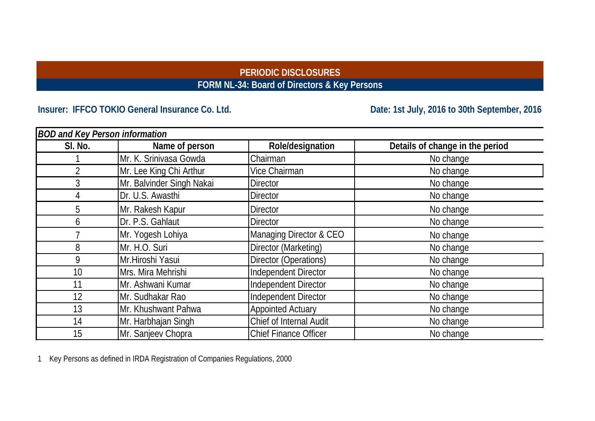# **PERIODIC DISCLOSURES FORM NL-34: Board of Directors & Key Persons**

# Insurer: IFFCO TOKIO General Insurance Co. Ltd. **Date: 1st July, 2016 to 30th September, 2016**

| <b>BOD and Key Person information</b> |                           |                              |                                 |  |  |  |  |  |
|---------------------------------------|---------------------------|------------------------------|---------------------------------|--|--|--|--|--|
| SI. No.                               | Name of person            | Role/designation             | Details of change in the period |  |  |  |  |  |
|                                       | Mr. K. Srinivasa Gowda    | Chairman                     | No change                       |  |  |  |  |  |
|                                       | Mr. Lee King Chi Arthur   | Vice Chairman                | No change                       |  |  |  |  |  |
| 3                                     | Mr. Balvinder Singh Nakai | <b>Director</b>              | No change                       |  |  |  |  |  |
|                                       | Dr. U.S. Awasthi          | <b>Director</b>              | No change                       |  |  |  |  |  |
| 5                                     | Mr. Rakesh Kapur          | <b>Director</b>              | No change                       |  |  |  |  |  |
| 6                                     | Dr. P.S. Gahlaut          | <b>Director</b>              | No change                       |  |  |  |  |  |
|                                       | Mr. Yogesh Lohiya         | Managing Director & CEO      | No change                       |  |  |  |  |  |
| 8                                     | Mr. H.O. Suri             | Director (Marketing)         | No change                       |  |  |  |  |  |
| 9                                     | Mr.Hiroshi Yasui          | Director (Operations)        | No change                       |  |  |  |  |  |
| 10                                    | Mrs. Mira Mehrishi        | Independent Director         | No change                       |  |  |  |  |  |
| 11                                    | Mr. Ashwani Kumar         | Independent Director         | No change                       |  |  |  |  |  |
| 12                                    | Mr. Sudhakar Rao          | Independent Director         | No change                       |  |  |  |  |  |
| 13                                    | Mr. Khushwant Pahwa       | <b>Appointed Actuary</b>     | No change                       |  |  |  |  |  |
| 14                                    | Mr. Harbhajan Singh       | Chief of Internal Audit      | No change                       |  |  |  |  |  |
| 15                                    | Mr. Sanjeev Chopra        | <b>Chief Finance Officer</b> | No change                       |  |  |  |  |  |

1 Key Persons as defined in IRDA Registration of Companies Regulations, 2000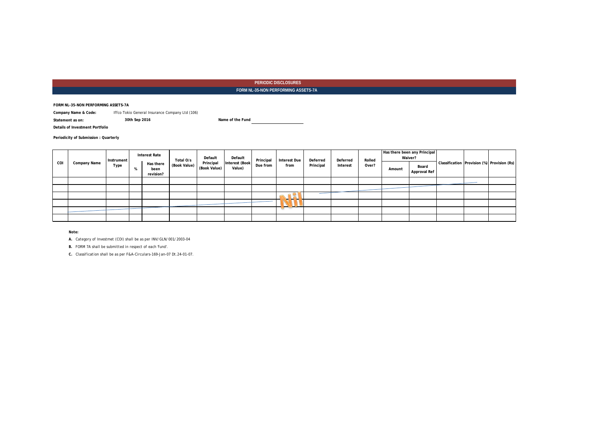**FORM NL-35-NON PERFORMING ASSETS-7A** 

**FORM NL-35-NON PERFORMING ASSETS-7A**

**Company Name & Code:** Iffco Tokio General Insurance Company Ltd (106)

**Statement as on: 30th Sep 2016 Name of the Fund**

**Details of Investment Portfolio**

**Periodicity of Submission : Quarterly**

|     |              | Instrument | <b>Interest Rate</b>           | Total O/s    | Default                   | Default                  | Principal | <b>Interest Due</b>      | Deferred  |          | Deferred | Rolled |                       |                                             | Has there been any Principal<br>Waiver? |  |  |
|-----|--------------|------------|--------------------------------|--------------|---------------------------|--------------------------|-----------|--------------------------|-----------|----------|----------|--------|-----------------------|---------------------------------------------|-----------------------------------------|--|--|
| COI | Company Name | Type       | Has there<br>been<br>revision? | (Book Value) | Principal<br>(Book Value) | Interest (Book<br>Value) | Due from  | from                     | Principal | Interest | Over?    | Amount | Board<br>Approval Ref | Classification Provision (%) Provision (Rs) |                                         |  |  |
|     |              |            |                                |              |                           |                          |           |                          |           |          |          |        |                       |                                             |                                         |  |  |
|     |              |            |                                |              |                           |                          |           |                          |           |          |          |        |                       |                                             |                                         |  |  |
|     |              |            |                                |              |                           |                          |           |                          |           |          |          |        |                       |                                             |                                         |  |  |
|     |              |            |                                |              |                           |                          |           | $\overline{\phantom{a}}$ |           |          |          |        |                       |                                             |                                         |  |  |
|     |              |            |                                |              |                           |                          |           | $\sim$                   |           |          |          |        |                       |                                             |                                         |  |  |
|     |              |            |                                |              |                           |                          |           |                          |           |          |          |        |                       |                                             |                                         |  |  |

*Note:*

*A. Category of Investmet (COI) shall be as per INV/GLN/001/2003-04*

*B. FORM 7A shall be submitted in respect of each 'fund'.*

*C. Classification shall be as per F&A-Circulars-169-Jan-07 Dt.24-01-07.*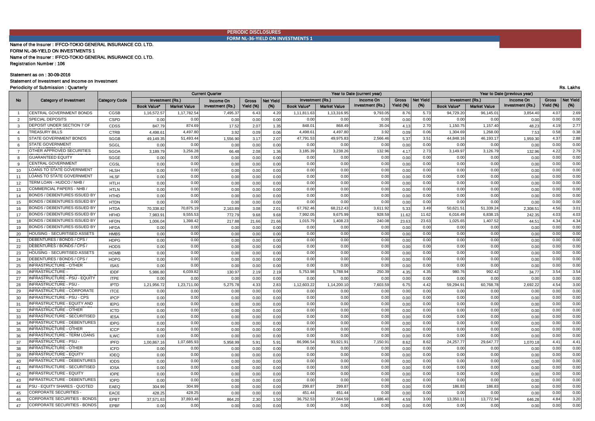**PERIODIC DISCLOSURES FORM NL-36-YIELD ON INVESTMENTS 1**

#### Name of the Insurer : IFFCO-TOKIO GENERAL INSURANCE CO. LTD. Name of the Insurer : IFFCO-TOKIO GENERAL INSURANCE CO. LTD. FORM NL-36-YIELD ON INVESTMENTS 1

Registration Number : 106

#### Statement as on : 30-09-2016

(TAX FREE)

#### Statement of Investment and Income on Investment

Periodicity of Submission : Quarterly Rs. Lakhs

|                |                                    |               |                    |                     | <b>Current Quarter</b> |              |           | Year to Date (current year) |                     |                         |              | Year to Date (previous year) |                         |                     |                  |              |                  |
|----------------|------------------------------------|---------------|--------------------|---------------------|------------------------|--------------|-----------|-----------------------------|---------------------|-------------------------|--------------|------------------------------|-------------------------|---------------------|------------------|--------------|------------------|
| No             | <b>Category of Investment</b>      | Category Code | Investment (Rs.)   |                     | Income On              | <b>Gross</b> | Net Yield | Investment (Rs.)            |                     | Income On               | <b>Gross</b> | <b>Net Yield</b>             | <b>Investment (Rs.)</b> |                     | Income On        | <b>Gross</b> | <b>Net Yield</b> |
|                |                                    |               | <b>Book Value*</b> | <b>Market Value</b> | Investment (Rs.)       | Yield (%)    | (%)       | <b>Book Value*</b>          | <b>Market Value</b> | <b>Investment (Rs.)</b> | Yield (%)    | (%)                          | Book Value*             | <b>Market Value</b> | Investment (Rs.) | Yield (%)    | (%)              |
| $\overline{1}$ | CENTRAL GOVERNMENT BONDS           | CGSB          | 1.16.572.57        | 1,17,782.54         | 7,495.37               | 6.43         | 4.20      | 1,11,811.63                 | 1,13,316.95         | 9,793.05                | 8.76         | 5.73                         | 94,729.20               | 96,145.01           | 3,854.40         | 4.07         | 2.69             |
| 2              | <b>SPECIAL DEPOSITS</b>            | <b>CSPD</b>   | 0.00               | 0.00                | 0.00                   | 0.00         | 0.00      | 0.00                        | 0.00                | 0.00                    | 0.00         | 0.00                         | 0.00                    | 0.00                | 0.00             | 0.00         | 0.00             |
| $\mathbf{3}$   | DEPOSIT UNDER SECTION 7 OF         | CDSS          | 847.79             | 874.69              | 17.52                  | 2.07         | 1.35      | 848.01                      | 868.49              | 35.04                   | 4.13         | 2.70                         | 1,150.75                | 1,157.40            | 48.23            | 4.19         | 2.77             |
| $\overline{4}$ | <b>TREASURY BILLS</b>              | <b>CTRB</b>   | 4.498.6            | 4,497.80            | 3.92                   | 0.09         | 0.06      | 4,498.61                    | 4,497.80            | 3.92                    | 0.09         | 0.06                         | 1,304.69                | 1,268.0             | 7.53             | 0.58         | 0.38             |
| 5              | STATE GOVERNMENT BONDS             | <b>SGGB</b>   | 49,149.35          | 51,493.44           | 1,556.90               | 3.17         | 2.07      | 47,791.53                   | 49,975.83           | 2,566.46                | 5.37         | 3.51                         | 44,848.16               | 46,193.1            | 1,959.30         | 4.37         | 2.88             |
| 6              | STATE GOVERNMENT                   | SGGL          | 0.00               | 0.00                | 0.00                   | 0.00         | 0.00      | 0.00                        | 0.00                | 0.00                    | 0.00         | 0.00                         | 0.00                    | 0.00                | 0.00             | 0.00         | 0.00             |
| $\overline{7}$ | OTHER APPROVED SECURITIES          | <b>SGOA</b>   | 3,189.79           | 3,256.28            | 66.48                  | 2.08         | 1.36      | 3,185.39                    | 3,238.26            | 132.96                  | 4.17         | 2.73                         | 3,149.97                | 3,126.7             | 132.96           | 4.22         | 2.79             |
| 8              | <b>GUARANTEED EQUITY</b>           | SGGE          | 0.00               | 0.00                | 0.00                   | 0.00         | 0.00      | 0.00                        | 0.00                | 0.00                    | 0.00         | 0.00                         | 0.00                    | 0.00                | 0.00             | 0.00         | 0.00             |
| 9              | CENTRAL GOVERNMENT                 | CGSL          | 0.00               | 0.00                | 0.00                   | 0.00         | 0.00      | 0.00                        | 0.00                | 0.00                    | 0.00         | 0.00                         | 0.00                    | 0.00                | 0.00             | 0.00         | 0.00             |
| 10             | LOANS TO STATE GOVERNMENT          | <b>HLSH</b>   | 0.00               | 0.00                | 0.00                   | 0.00         | 0.00      | 0.00                        | 0.00                | 0.00                    | 0.00         | 0.00                         | 0.00                    | 0.00                | 0.00             | 0.00         | 0.00             |
| 11             | LOANS TO STATE GOVERNMENT          | <b>HLSF</b>   | 0.00               | 0.00                | 0.00                   | 0.00         | 0.00      | 0.00                        | 0.00                | 0.00                    | 0.00         | 0.00                         | 0.00                    | 0.00                | 0.00             | 0.00         | 0.00             |
| 12             | <b>FERM LOAN - HUDCO / NHB,</b>    | <b>HTLH</b>   | 0.00               | 0.00                | 0.00                   | 0.00         | 0.00      | 0.00                        | 0.00                | 0.00                    | 0.00         | 0.00                         | 0.00                    | 0.00                | 0.00             | 0.00         | 0.00             |
| 13             | COMMERCIAL PAPERS - NHB            | <b>HTLN</b>   | 0.00               | 0.00                | 0.00                   | 0.00         | 0.00      | 0.00                        | 0.00                | 0.00                    | 0.00         | 0.00                         | 0.00                    | 0.00                | 0.00             | 0.00         | 0.00             |
| 14             | BONDS / DEBENTURES ISSUED BY       | <b>HTHD</b>   | 0.00               | 0.00                | 0.00                   | 0.00         | 0.00      | 0.00                        | 0.00                | 0.00                    | 0.00         | 0.00                         | 0.00                    | 0.00                | 0.00             | 0.00         | 0.00             |
| 15             | BONDS / DEBENTURES ISSUED BY       | <b>HTDN</b>   | 0.00               | 0.00                | 0.00                   | 0.00         | 0.00      | 0.00                        | 0.00                | 0.00                    | 0.00         | 0.00                         | 0.00                    | 0.00                | 0.00             | 0.00         | 0.00             |
| 16             | BONDS / DEBENTURES ISSUED BY       | <b>HTDA</b>   | 70,338.82          | 70,875.19           | 2,163.89               | 3.08         | 2.01      | 67,762.46                   | 68,212.4            | 3,611.92                | 5.33         | 3.49                         | 50,621.51               | 51,339.2            | 2,308.5          | 4.56         | 3.01             |
| 17             | BONDS / DEBENTURES ISSUED BY       | <b>HFHD</b>   | 7,983.91           | 9,555.53            | 772.79                 | 9.68         | 9.68      | 7,992.05                    | 9,675.9             | 928.59                  | 11.62        | 11.62                        | 6,016.49                | 6,838.1             | 242.3            | 4.03         | 4.03             |
| 18             | BONDS / DEBENTURES ISSUED BY       | <b>HFDN</b>   | 1,006.04           | 1,398.42            | 217.88                 | 21.66        | 21.66     | 1,015.79                    | 1,408.2             | 240.08                  | 23.63        | 23.63                        | 1,025.6                 | 1,407.5             | 44.5             | 4.34         | 4.34             |
| 19             | BONDS / DEBENTURES ISSUED BY       | <b>HFDA</b>   | 0.00               | 0.00                | 0.00                   | 0.00         | 0.00      | 0.00                        | 0.00                | 0.00                    | 0.00         | 0.00                         | 0.00                    | 0.00                | 0.00             | 0.00         | 0.00             |
| 20             | HOUSING - SECURITISED ASSETS       | <b>HMBS</b>   | 0.00               | 0.00                | 0.00                   | 0.00         | 0.00      | 0.00                        | 0.00                | 0.00                    | 0.00         | 0.00                         | 0.00                    | 0.00                | 0.00             | 0.00         | 0.00             |
| 21             | DEBENTURES / BONDS / CPS /         | <b>HDPG</b>   | 0.00               | 0.00                | 0.00                   | 0.00         | 0.00      | 0.00                        | 0.00                | 0.00                    | 0.00         | 0.00                         | 0.00                    | 0.00                | 0.00             | 0.00         | 0.00             |
| 22             | DEBENTURES / BONDS / CPS /         | <b>HODS</b>   | 0.00               | 0.00                | 0.00                   | 0.00         | 0.00      | 0.00                        | 0.00                | 0.00                    | 0.00         | 0.00                         | 0.00                    | 0.00                | 0.00             | 0.00         | 0.00             |
| 23             | HOUSING - SECURITISED ASSETS       | <b>HOMB</b>   | 0.00               | 0.00                | 0.00                   | 0.00         | 0.00      | 0.00                        | 0.00                | 0.00                    | 0.00         | 0.00                         | 0.00                    | 0.00                | 0.00             | 0.00         | 0.00             |
| 24             | DEBENTURES / BONDS / CPS /         | <b>HOPG</b>   | 0.00               | 0.00                | 0.00                   | 0.00         | 0.00      | 0.00                        | 0.00                | 0.00                    | 0.00         | 0.00                         | 0.00                    | 0.00                | 0.00             | 0.00         | 0.00             |
| 25             | NFRASTRUCTURE - OTHER              | <b>ISAS</b>   | 0.00               | 0.00                | 0.00                   | 0.00         | 0.00      | 0.00                        | 0.00                | 0.00                    | 0.00         | 0.00                         | 0.00                    | 0.00                | 0.00             | 0.00         | 0.00             |
| 26             | <b>NFRASTRUCTURE</b>               | <b>IDDF</b>   | 5,986.80           | 6,039.82            | 130.97                 | 2.19         | 2.19      | 5,753.98                    | 5,788.9             | 250.39                  | 4.35         | 4.35                         | 980.7                   | 992.4               | 34.77            | 3.54         | 3.54             |
| 27             | NFRASTRUCTURE - PSU - EQUITY       | <b>ITPE</b>   | 0.00               | 0.00                | 0.00                   | 0.00         | 0.00      | 0.00                        | 0.00                | 0.00                    | 0.00         | 0.00                         | 0.0(                    | 0.0(                | 0.00             | 0.00         | 0.00             |
| 28             | NFRASTRUCTURE - PSU                | <b>IPTD</b>   | 1,21,956.72        | 1,23,711.00         | 5,275.78               | 4.33         | 2.83      | 1,12,603.22                 | 1,14,200.10         | 7,603.59                | 6.75         | 4.42                         | 59,294.9                | 60,768.7            | 2,692.2          | 4.54         | 3.00             |
| 29             | INFRASTRUCTURE - CORPORATE         | <b>ITCE</b>   | 0.00               | 0.00                | 0.00                   | 0.00         | 0.00      | 0.00                        | 0.00                | 0.00                    | 0.00         | 0.00                         | 0.00                    | 0.00                | 0.00             | 0.00         | 0.00             |
| 30             | NFRASTRUCTURE - PSU - CPS          | <b>IPCP</b>   | 0.00               | 0.00                | 0.00                   | 0.00         | 0.00      | 0.00                        | 0.00                | 0.00                    | 0.00         | 0.00                         | 0.00                    | 0.00                | 0.00             | 0.00         | 0.00             |
| 31             | INFRASTRUCTURE - EQUITY AND        | <b>IEPG</b>   | 0.00               | 0.00                | 0.00                   | 0.00         | 0.00      | 0.00                        | 0.00                | 0.00                    | 0.00         | 0.00                         | 0.00                    | 0.00                | 0.00             | 0.00         | 0.00             |
| 32             | <b>INFRASTRUCTURE - OTHER</b>      | <b>ICTD</b>   | 0.00               | 0.00                | 0.00                   | 0.00         | 0.00      | 0.00                        | 0.00                | 0.00                    | 0.00         | 0.00                         | 0.00                    | 0.00                | 0.00             | 0.00         | 0.00             |
| 33             | NFRASTRUCTURE - SECURITISED        | <b>IESA</b>   | 0.00               | 0.00                | 0.00                   | 0.00         | 0.00      | 0.00                        | 0.00                | 0.00                    | 0.00         | 0.00                         | 0.00                    | 0.00                | 0.00             | 0.00         | 0.00             |
| 34             | NFRASTRUCTURE - DEBENTURES         | <b>IDPG</b>   | 0.00               | 0.00                | 0.00                   | 0.00         | 0.00      | 0.00                        | 0.00                | 0.00                    | 0.00         | 0.00                         | 0.00                    | 0.00                | 0.00             | 0.00         | 0.00             |
| 35             | <b>INFRASTRUCTURE - OTHER</b>      | <b>ICCP</b>   | 0.00               | 0.00                | 0.00                   | 0.00         | 0.00      | 0.00                        | 0.00                | 0.00                    | 0.00         | 0.00                         | 0.00                    | 0.00                | 0.00             | 0.00         | 0.00             |
| 36             | <b>INFRASTRUCTURE - TERM LOANS</b> | <b>ILWC</b>   | 0.00               | 0.00                | 0.00                   | 0.00         | 0.00      | 0.00                        | 0.00                | 0.00                    | 0.00         | 0.00                         | 0.00                    | 0.0(                | 0.00             | 0.00         | 0.00             |
| 37             | NFRASTRUCTURE - PSU                | <b>IPFD</b>   | 1,00,867.16        | 1,07,685.93         | 5,958.99               | 5.91         | 5.91      | 86,996.54                   | 93,921.9            | 7,150.91                | 8.62         | 8.62                         | 24,257.77               | 29,647.7            | 1,070.18         | 4.41         | 4.41             |
| 38             | <b>INFRASTRUCTURE - OTHER</b>      | <b>ICFD</b>   | 0.00               | 0.00                | 0.00                   | 0.00         | 0.00      | 0.00                        | 0.00                | 0.00                    | 0.00         | 0.00                         | 0.00                    | 0.00                | 0.00             | 0.00         | 0.00             |
| 39             | <b>INFRASTRUCTURE - EQUITY</b>     | <b>IOEQ</b>   | 0.00               | 0.00                | 0.00                   | 0.00         | 0.00      | 0.00                        | 0.00                | 0.00                    | 0.00         | 0.00                         | 0.00                    | 0.00                | 0.00             | 0.00         | 0.00             |
| 40             | <b>INFRASTRUCTURE - DEBENTURES</b> | <b>IODS</b>   | 0.00               | 0.00                | 0.00                   | 0.00         | 0.00      | 0.00                        | 0.00                | 0.00                    | 0.00         | 0.00                         | 0.00                    | 0.00                | 0.00             | 0.00         | 0.00             |
| 41             | NFRASTRUCTURE - SECURITISED        | <b>IOSA</b>   | 0.00               | 0.00                | 0.00                   | 0.00         | 0.00      | 0.00                        | 0.00                | 0.00                    | 0.00         | 0.00                         | 0.00                    | 0.00                | 0.00             | 0.00         | 0.00             |
| 42             | NFRASTRUCTURE - EQUITY             | <b>IOPE</b>   | 0.00               | 0.00                | 0.00                   | 0.00         | 0.00      | 0.00                        | 0.00                | 0.00                    | 0.00         | 0.00                         | 0.00                    | 0.00                | 0.00             | 0.00         | 0.00             |
| 43             | NFRASTRUCTURE - DEBENTURES         | <b>IOPD</b>   | 0.00               | 0.00                | 0.00                   | 0.00         | 0.00      | 0.00                        | 0.00                | 0.00                    | 0.00         | 0.00                         | 0.00                    | 0.0(                | 0.00             | 0.00         | 0.00             |
| 44             | PSU - EQUITY SHARES - QUOTED       | EAEQ          | 304.99             | 304.99              | 0.00                   | 0.00         | 0.00      | 299.87                      | 299.8               | 0.00                    | 0.00         | 0.00                         | 186.8                   | 186.8               | 0.00             | 0.00         | 0.00             |
| 45             | CORPORATE SECURITIES               | EACE          | 428.25             | 428.25              | 0.00                   | 0.00         | 0.00      | 451.44                      | 451.4               | 0.00                    | 0.00         | 0.00                         | 0.0(                    | 0.0(                | 0.00             | 0.00         | 0.00             |
| 46             | CORPORATE SECURITIES - BONDS       | EPBT          | 37,571.63          | 37,893.48           | 864.20                 | 2.30         | 1.50      | 36,752.53                   | 37,044.5            | 1,686.40                | 4.59         | 3.00                         | 13,350.1                | 13,772.9            | 646.2            | 4.84         | 3.20             |
| 47             | CORPORATE SECURITIES - BONDS       | EPBF          | 0.00               | 0.00                | 0.00                   | 0.00         | 0.00      | 0.00                        | 0.00                | 0.00                    | 0.00         | 0.00                         | 0.00                    | 0.00                | 0.00             | 0.00         | 0.00             |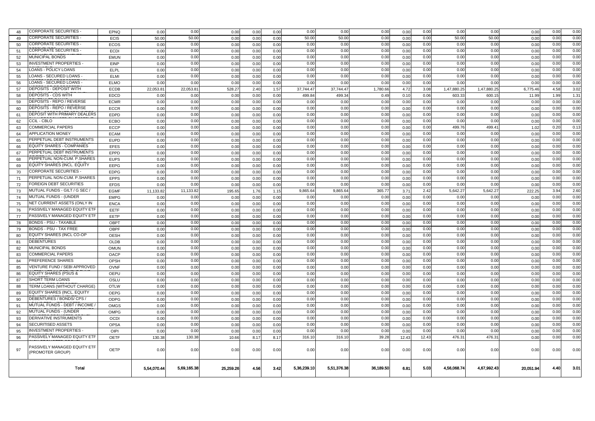| 48       | CORPORATE SECURITIES                              | <b>EPNQ</b>  | 0.00         | 0.00        | 0.00      | 0.00 | 0.00         | 0.00         | 0.00         | 0.00         | 0.00         | 0.00         | 0.00         | 0.00         | 0.00         | 0.00 | 0.00         |
|----------|---------------------------------------------------|--------------|--------------|-------------|-----------|------|--------------|--------------|--------------|--------------|--------------|--------------|--------------|--------------|--------------|------|--------------|
| 49       | <b>CORPORATE SECURITIES</b>                       | <b>ECIS</b>  | 50.00        | 50.00       | 0.00      | 0.00 | 0.00         | 50.00        | 50.00        | 0.00         | 0.00         | 0.00         | 50.00        | 50.00        | 0.00         | 0.00 | 0.00         |
| 50       | <b>CORPORATE SECURITIES</b>                       | ECOS         | 0.00         | 0.00        | 0.00      | 0.00 | 0.00         | 0.00         | 0.00         | 0.00         | 0.00         | 0.00         | 0.00         | 0.00         | 0.00         | 0.00 | 0.00         |
| 51       | CORPORATE SECURITIES                              | <b>ECDI</b>  | 0.00         | 0.00        | 0.00      | 0.00 | 0.00         | 0.00         | 0.00         | 0.00         | 0.00         | 0.00         | 0.00         | 0.00         | 0.00         | 0.00 | 0.00         |
| 52       | <b>MUNICIPAL BONDS</b>                            | <b>EMUN</b>  | 0.00         | 0.00        | 0.00      | 0.00 | 0.00         | 0.00         | 0.00         | 0.00         | 0.00         | 0.00         | 0.00         | 0.00         | 0.00         | 0.00 | 0.00         |
| 53       | <b>INVESTMENT PROPERTIES -</b>                    | EINP         | 0.00         | 0.00        | 0.00      | 0.00 | 0.00         | 0.00         | 0.00         | 0.00         | 0.00         | 0.00         | 0.00         | 0.00         | 0.00         | 0.00 | 0.00         |
| 54       | LOANS - POLICY LOANS                              | ELPL         | 0.00         | 0.00        | 0.00      | 0.00 | 0.00         | 0.00         | 0.00         | 0.00         | 0.00         | 0.00         | 0.00         | 0.00         | 0.00         | 0.00 | 0.00         |
| 55       | LOANS - SECURED LOANS                             | ELMI         | 0.00         | 0.00        | 0.00      | 0.00 | 0.00         | 0.00         | 0.00         | 0.00         | 0.00         | 0.00         | 0.00         | 0.00         | 0.00         | 0.00 | 0.00         |
| 56       | LOANS - SECURED LOANS -                           | <b>ELMO</b>  | 0.00         | 0.00        | 0.00      | 0.00 | 0.00         | 0.00         | 0.00         | 0.00         | 0.00         | 0.00         | 0.00         | 0.00         | 0.00         | 0.00 | 0.00         |
| 57       | DEPOSITS - DEPOSIT WITH                           | ECDB         | 22.053.81    | 22,053.81   | 528.27    | 2.40 | 1.57         | 37,744.47    | 37,744.47    | 1,780.66     | 4.72         | 3.08         | 1,47,880.2   | 1,47,880.2   | 6,775.46     | 4.58 | 3.02         |
| 58       | <b>DEPOSITS - CDS WITH</b>                        | <b>EDCD</b>  | 0.00         | 0.00        | 0.00      | 0.00 | 0.00         | 499.84       | 499.34       | 0.49         | 0.10         | 0.06         | 603.3        | 600.1        | 11.99        | 1.99 | 1.31         |
| 59       | <b>DEPOSITS - REPO / REVERSE</b>                  | <b>ECMR</b>  | 0.00         | 0.00        | 0.00      | 0.00 | 0.00         | 0.00         | 0.00         | 0.00         | 0.00         | 0.00         | 0.00         | 0.00         | 0.00         | 0.00 | 0.00         |
| 60       | DEPOSITS - REPO / REVERSE                         | <b>ECCR</b>  | 0.00         | 0.00        | 0.00      | 0.00 | 0.00         | 0.00         | 0.00         | 0.00         | 0.00         | 0.00         | 0.00         | 0.00         | 0.00         | 0.00 | 0.00         |
| 61       | DEPOSIT WITH PRIMARY DEALER:                      | <b>EDPD</b>  | 0.00         | 0.00        | 0.00      | 0.00 | 0.00         | 0.00         | 0.00         | 0.00         | 0.00         | 0.00         | 0.00         | 0.00         | 0.00         | 0.00 | 0.00         |
| 62       | <b>CCIL - CBLO</b>                                | <b>ECBO</b>  | 0.00         | 0.00        | 0.00      | 0.00 | 0.00         | 0.00         | 0.00         | 0.00         | 0.00         | 0.00         | 0.00         | 0.00         | 0.00         | 0.00 | 0.00         |
| 63       | <b>COMMERCIAL PAPERS</b>                          | <b>ECCP</b>  | 0.00         | 0.00        | 0.00      | 0.00 | 0.00         | 0.00         | 0.00         | 0.00         | 0.00         | 0.00         | 499.76       | 499.41       | 1.02         | 0.20 | 0.13         |
| 64       | <b>APPLICATION MONEY</b>                          | <b>ECAM</b>  | 0.00         | 0.00        | 0.00      | 0.00 | 0.00         | 0.00         | 0.00         | 0.00         | 0.00         | 0.00         | 0.00         | 0.00         | 0.00         | 0.00 | 0.00         |
| 65       | PERPETUAL DEBT INSTRUMENTS                        | <b>EUPD</b>  | 0.00         | 0.00        | 0.00      | 0.00 | 0.00         | 0.00         | 0.00         | 0.00         | 0.00         | 0.00         | 0.00         | 0.00         | 0.00         | 0.00 | 0.00         |
| 66       | EQUITY SHARES - COMPANIES                         | <b>EFES</b>  | 0.00         | 0.00        | 0.00      | 0.00 | 0.00         | 0.00         | 0.00         | 0.00         | 0.00         | 0.00         | 0.00         | 0.00         | 0.00         | 0.00 | 0.00         |
| 67       | PERPETUAL DEBT INSTRUMENTS                        | <b>EPPD</b>  | 0.00         | 0.00        | 0.00      | 0.00 | 0.00         | 0.00         | 0.00         | 0.00         | 0.00         | 0.00         | 0.00         | 0.00         | 0.00         | 0.00 | 0.00         |
| 68       | PERPETUAL NON-CUM. P.SHARES                       | <b>EUPS</b>  | 0.00         | 0.00        | 0.00      | 0.00 | 0.00         | 0.00         | 0.00         | 0.00         | 0.00         | 0.00         | 0.00         | 0.00         | 0.00         | 0.00 | 0.00         |
| 69       | EQUITY SHARES (INCL. EQUITY                       | <b>EEPG</b>  | 0.00         | 0.00        | 0.00      | 0.00 | 0.00         | 0.00         | 0.00         | 0.00         | 0.00         | 0.00         | 0.00         | 0.00         | 0.00         | 0.00 | 0.00         |
| 70       | <b>CORPORATE SECURITIES</b>                       | <b>EDPG</b>  | 0.00         | 0.00        | 0.00      | 0.00 | 0.00         | 0.00         | 0.00         | 0.00         | 0.00         | 0.00         | 0.00         | 0.00         | 0.00         | 0.00 | 0.00         |
| 71       | PERPETUAL NON-CUM. P.SHARES                       | <b>EPPS</b>  | 0.00         | 0.00        | 0.00      | 0.00 | 0.00         | 0.00         | 0.00         | 0.00         | 0.00         | 0.00         | 0.00         | 0.00         | 0.00         | 0.00 | 0.00         |
| 72       | FOREIGN DEBT SECURITIES                           | <b>EFDS</b>  | 0.00         | 0.00        | 0.00      | 0.00 | 0.00         | 0.00         | 0.00         | 0.00         | 0.00         | 0.00         | 0.0(         | 0.00         | 0.00         | 0.00 | 0.00         |
| 73       | MUTUAL FUNDS - GILT / G SEC /                     | <b>EGMF</b>  | 11,133.82    | 11,133.8    | 195.65    | 1.76 | 1.15         | 9,865.64     | 9,865.64     | 365.77       | 3.71         | 2.42         | 5,642.2      | 5,642.27     | 222.25       | 3.94 | 2.60         |
| 74       | MUTUAL FUNDS - (UNDER                             | <b>EMPG</b>  | 0.00         | 0.00        | 0.00      | 0.00 | 0.00         | 0.00         | 0.00         | 0.00         | 0.00         | 0.00         | 0.00         | 0.00         | 0.00         | 0.00 | 0.00         |
|          | NET CURRENT ASSETS (ONLY IN                       | <b>ENCA</b>  | 0.00         | 0.00        | 0.00      |      |              | 0.00         | 0.00         | 0.00         |              | 0.00         | 0.00         | 0.00         |              | 0.00 | 0.00         |
| 75       | PASSIVELY MANAGED EQUITY ETI                      |              |              | 0.00        |           | 0.00 | 0.00         |              |              |              | 0.00         |              |              |              | 0.00         | 0.00 | 0.00         |
| 76<br>77 | PASSIVELY MANAGED EQUITY ETF                      | EETF<br>EETP | 0.00<br>0.00 | 0.00        | 0.00      | 0.00 | 0.00<br>0.00 | 0.00<br>0.00 | 0.00<br>0.00 | 0.00<br>0.00 | 0.00<br>0.00 | 0.00<br>0.00 | 0.00<br>0.00 | 0.00<br>0.00 | 0.00<br>0.00 | 0.00 | 0.00         |
|          | <b>BONDS - PSU - TAXABLE</b>                      | <b>OBPT</b>  | 0.00         | 0.00        | 0.00      | 0.00 | 0.00         | 0.00         | 0.00         | 0.00         |              | 0.00         | 0.00         | 0.00         | 0.00         | 0.00 | 0.00         |
| 78       | BONDS - PSU - TAX FREE                            | OBPF         |              | 0.00        | 0.00      | 0.00 | 0.00         | 0.00         | 0.00         | 0.00         | 0.00         | 0.00         | 0.00         | 0.00         | 0.00         | 0.00 | 0.00         |
| 79<br>80 | EQUITY SHARES (INCL CO-OP                         |              | 0.00<br>0.00 | 0.00        | 0.00      | 0.00 | 0.00         | 0.00         | 0.00         | 0.00         | 0.00         | 0.00         | 0.00         | 0.00         | 0.00         | 0.00 |              |
|          | DEBENTURES                                        | OESH         |              | 0.00        | 0.00      | 0.00 |              | 0.00         | 0.00         |              | 0.00         | 0.00         | 0.00         | 0.00         |              | 0.00 | 0.00<br>0.00 |
| 81<br>82 | <b>MUNICIPAL BONDS</b>                            | OLDB         | 0.00         | 0.00        | 0.00      | 0.00 | 0.00         | 0.00         | 0.00         | 0.00<br>0.00 | 0.00         | 0.00         | 0.00         | 0.00         | 0.00         | 0.00 | 0.00         |
|          | COMMERCIAL PAPERS                                 | <b>OMUN</b>  | 0.00         |             | 0.00      | 0.00 | 0.00         |              |              |              | 0.00         |              |              |              | 0.00         |      | 0.00         |
| 83       |                                                   | OACP         | 0.00         | 0.00        | 0.00      | 0.00 | 0.00         | 0.00         | 0.00         | 0.00         | 0.00         | 0.00         | 0.00         | 0.00         | 0.00         | 0.00 |              |
| 84       | PREFERENCE SHARES<br>VENTURE FUND / SEBI APPROVED | OPSH         | 0.00         | 0.00        | 0.00      | 0.00 | 0.00         | 0.00         | 0.00         | 0.00         | 0.00         | 0.00         | 0.00         | 0.00         | 0.00         | 0.00 | 0.00         |
| 85       | <b>EQUITY SHARES (PSUS &amp;</b>                  | <b>OVNF</b>  | 0.00         | 0.00        | 0.00      | 0.00 | 0.00         | 0.00         | 0.00         | 0.00         | 0.00         | 0.00         | 0.00         | 0.00         | 0.00         | 0.00 | 0.00         |
| 86       | SHORT TERM LOANS                                  | <b>OEPU</b>  | 0.00         | 0.00        | 0.00      | 0.00 | 0.00         | 0.00         | 0.00         | 0.00         | 0.00         | 0.00         | 0.00         | 0.00         | 0.00         | 0.00 | 0.00         |
| 87       |                                                   | OSLU         | 0.00         | 0.00        | 0.00      | 0.00 | 0.00         | 0.00         | 0.00         | 0.00         | 0.00         | 0.00         | 0.00         | 0.00         | 0.00         | 0.00 | 0.00         |
| 88       | TERM LOANS (WITHOUT CHARGE)                       | <b>OTLW</b>  | 0.00         | 0.00        | 0.00      | 0.00 | 0.00         | 0.00         | 0.00         | 0.00         | 0.00         | 0.00         | 0.00         | 0.00         | 0.00         | 0.00 | 0.00         |
| 89       | EQUITY SHARES (INCL. EQUITY                       | <b>OEPG</b>  | 0.00         | 0.00        | 0.00      | 0.00 | 0.00         | 0.00         | 0.00         | 0.00         | 0.00         | 0.00         | 0.00         | 0.00         | 0.00         | 0.00 | 0.00         |
| 90       | DEBENTURES / BONDS/ CPS /                         | ODPG         | 0.00         | 0.00        | 0.00      | 0.00 | 0.00         | 0.00         | 0.00         | 0.00         | 0.00         | 0.00         | 0.00         | 0.00         | 0.00         | 0.00 | 0.00         |
| 91       | MUTUAL FUNDS - DEBT / INCOME                      | <b>OMGS</b>  | 0.00         | 0.00        | 0.00      | 0.00 | 0.00         | 0.00         | 0.00         | 0.00         | 0.00         | 0.00         | 0.00         | 0.00         | 0.00         | 0.00 | 0.00         |
| 92       | MUTUAL FUNDS - (UNDER                             | <b>OMPG</b>  | 0.00         | 0.00        | 0.00      | 0.00 | 0.00         | 0.00         | 0.00         | 0.00         | 0.00         | 0.00         | 0.00         | 0.00         | 0.00         | 0.00 | 0.00         |
| 93       | DERIVATIVE INSTRUMENTS                            | OCDI         | 0.00         | 0.00        | 0.00      | 0.00 | 0.00         | 0.00         | 0.00         | 0.00         | 0.00         | 0.00         | 0.00         | 0.00         | 0.00         | 0.00 | 0.00         |
| 94       | SECURITISED ASSETS                                | <b>OPSA</b>  | 0.00         | 0.00        | 0.00      | 0.00 | 0.00         | 0.00         | 0.00         | 0.00         | 0.00         | 0.00         | 0.00         | 0.00         | 0.00         | 0.00 | 0.00         |
| 95       | <b>INVESTMENT PROPERTIES</b>                      | OIPI         | 0.00         | 0.00        | 0.00      | 0.00 | 0.00         | 0.00         | 0.00         | 0.00         | 0.00         | 0.00         | 0.00         | 0.00         | 0.00         | 0.00 | 0.00         |
| 96       | PASSIVELY MANAGED EQUITY ETP                      | <b>OETF</b>  | 130.38       | 130.38      | 10.66     | 8.17 | 8.17         | 316.10       | 316.10       | 39.28        | 12.43        | 12.43        | 476.3        | 476.31       | 0.00         | 0.00 | 0.00         |
| 97       | PASSIVELY MANAGED EQUITY ETF<br>(PROMOTER GROUP)  | <b>OETP</b>  | 0.00         | 0.00        | 0.00      | 0.00 | 0.00         | 0.00         | 0.00         | 0.00         | 0.00         | 0.00         | 0.00         | 0.00         | 0.00         | 0.00 | 0.00         |
|          | Total                                             |              | 5,54,070.44  | 5.69.165.38 | 25,259.26 | 4.56 | 3.42         | 5,36,239.10  | 5.51.376.38  | 36.189.50    | 6.81         | 5.03         | 4,56,068.74  | 4,67,992.43  | 20.051.94    | 4.40 | 3.01         |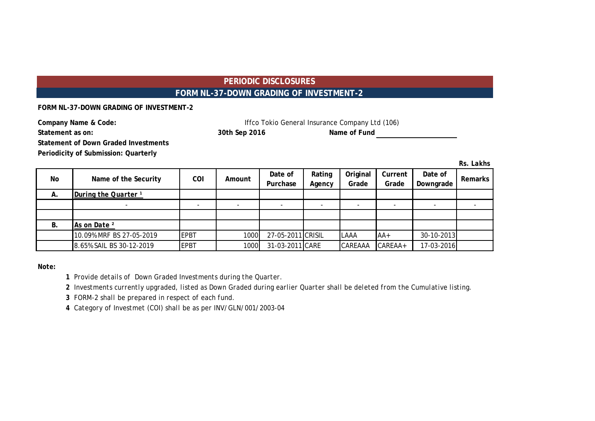# **PERIODIC DISCLOSURES FORM NL-37-DOWN GRADING OF INVESTMENT-2**

**FORM NL-37-DOWN GRADING OF INVESTMENT-2**

| Company Name & Code: | Iffco Tokio General Insurance Company Ltd (106) |              |  |  |  |  |
|----------------------|-------------------------------------------------|--------------|--|--|--|--|
| Statement as on:     | 30th Sep 2016                                   | Name of Fund |  |  |  |  |
|                      |                                                 |              |  |  |  |  |

**Statement of Down Graded Investments**

**Periodicity of Submission: Quarterly**

*Rs. Lakhs*

| No        | Name of the Security            | COI         | Amount | Date of<br>Purchase | Rating<br>Agency | Original<br>Grade | Current<br>Grade | Date of<br>Downgrade | <b>Remarks</b> |
|-----------|---------------------------------|-------------|--------|---------------------|------------------|-------------------|------------------|----------------------|----------------|
| Α.        | During the Quarter <sup>1</sup> |             |        |                     |                  |                   |                  |                      |                |
|           |                                 |             |        |                     |                  |                   |                  |                      |                |
|           |                                 |             |        |                     |                  |                   |                  |                      |                |
| <b>B.</b> | As on Date <sup>2</sup>         |             |        |                     |                  |                   |                  |                      |                |
|           | 10.09% MRF BS 27-05-2019        | <b>EPBT</b> | 1000   | 27-05-2011 CRISIL   |                  | <b>LAAA</b>       | $AA+$            | 30-10-2013           |                |
|           | 8.65% SAIL BS 30-12-2019        | <b>EPBT</b> | 1000   | 31-03-2011 CARE     |                  | CAREAAA           | CAREAA+          | 17-03-2016           |                |

*Note:*

*1 Provide details of Down Graded Investments during the Quarter.* 

*2 Investments currently upgraded, listed as Down Graded during earlier Quarter shall be deleted from the Cumulative listing.*

*3 FORM-2 shall be prepared in respect of each fund.*

*4 Category of Investmet (COI) shall be as per INV/GLN/001/2003-04*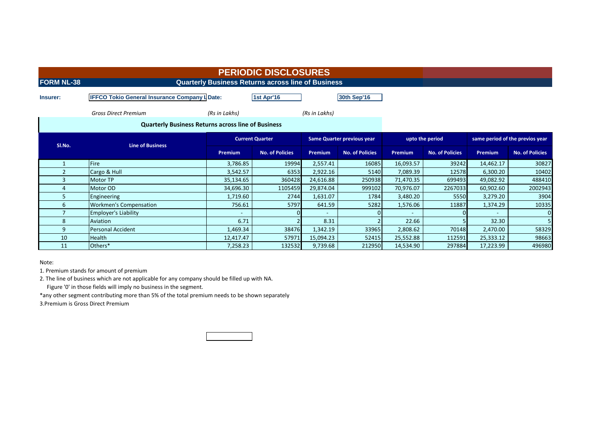|                          |                                                                                                                   |                | <b>PERIODIC DISCLOSURES</b>                               |               |                        |                |                        |                |                        |  |  |
|--------------------------|-------------------------------------------------------------------------------------------------------------------|----------------|-----------------------------------------------------------|---------------|------------------------|----------------|------------------------|----------------|------------------------|--|--|
| <b>FORM NL-38</b>        |                                                                                                                   |                | <b>Quarterly Business Returns across line of Business</b> |               |                        |                |                        |                |                        |  |  |
| Insurer:                 | <b>IFFCO Tokio General Insurance Company LDate:</b>                                                               |                | 1st Apr'16                                                |               | <b>30th Sep'16</b>     |                |                        |                |                        |  |  |
|                          | <b>Gross Direct Premium</b>                                                                                       | (Rs in Lakhs)  |                                                           | (Rs in Lakhs) |                        |                |                        |                |                        |  |  |
|                          | <b>Quarterly Business Returns across line of Business</b>                                                         |                |                                                           |               |                        |                |                        |                |                        |  |  |
|                          | same period of the previos year<br><b>Current Quarter</b><br><b>Same Quarter previous year</b><br>upto the period |                |                                                           |               |                        |                |                        |                |                        |  |  |
| Sl.No.                   | <b>Line of Business</b>                                                                                           | <b>Premium</b> | <b>No. of Policies</b>                                    | Premium       | <b>No. of Policies</b> | <b>Premium</b> | <b>No. of Policies</b> | <b>Premium</b> | <b>No. of Policies</b> |  |  |
|                          | <b>Fire</b>                                                                                                       | 3,786.85       | 19994                                                     | 2,557.41      | 16085                  | 16,093.57      | 39242                  | 14,462.17      | 30827                  |  |  |
| $\overline{\phantom{a}}$ | Cargo & Hull                                                                                                      | 3,542.57       | 6353                                                      | 2,922.16      | 5140                   | 7,089.39       | 12578                  | 6,300.20       | 10402                  |  |  |
| 3                        | Motor TP                                                                                                          | 35,134.65      | 360428                                                    | 24,616.88     | 250938                 | 71,470.35      | 699493                 | 49,082.92      | 488410                 |  |  |
|                          | Motor OD                                                                                                          | 34,696.30      | 1105459                                                   | 29,874.04     | 999102                 | 70,976.07      | 2267033                | 60,902.60      | 2002943                |  |  |
| 5.                       | Engineering                                                                                                       | 1,719.60       | 2744                                                      | 1,631.07      | 1784                   | 3,480.20       | 5550                   | 3,279.20       | 3904                   |  |  |
| 6                        | <b>Workmen's Compensation</b>                                                                                     | 756.61         | 5797                                                      | 641.59        | 5282                   | 1,576.06       | 11887                  | 1,374.29       | 10335                  |  |  |
|                          | <b>Employer's Liability</b>                                                                                       |                |                                                           | $\sim$        |                        |                |                        |                | $\Omega$               |  |  |
| 8                        | Aviation                                                                                                          | 6.71           |                                                           | 8.31          |                        | 22.66          |                        | 32.30          |                        |  |  |
| 9                        | <b>Personal Accident</b>                                                                                          | 1,469.34       | 38476                                                     | 1,342.19      | 33965                  | 2,808.62       | 70148                  | 2,470.00       | 58329                  |  |  |
| 10                       | Health                                                                                                            | 12,417.47      | 57971                                                     | 15,094.23     | 52415                  | 25,552.88      | 112591                 | 25,333.12      | 98663                  |  |  |
|                          |                                                                                                                   |                |                                                           |               |                        |                |                        |                |                        |  |  |

Note:

1. Premium stands for amount of premium

2. The line of business which are not applicable for any company should be filled up with NA. Figure '0' in those fields will imply no business in the segment.

\*any other segment contributing more than 5% of the total premium needs to be shown separately 3.Premium is Gross Direct Premium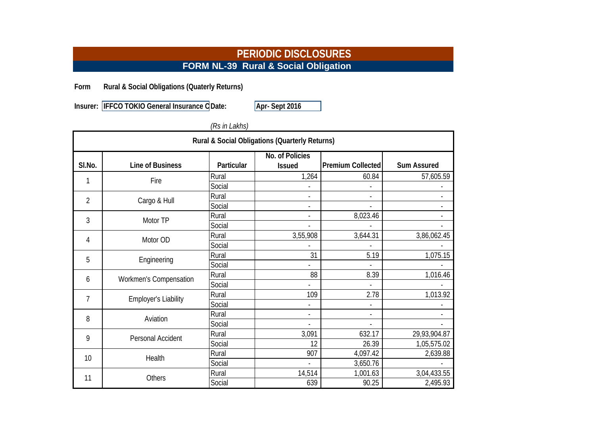# **PERIODIC DISCLOSURES FORM NL-39 Rural & Social Obligation**

**Form Rural & Social Obligations (Quaterly Returns)**

**Insurer: IFFCO TOKIO General Insurance C** Date: **Apr- Sept 2016** 

# *(Rs in Lakhs)*

| Rural & Social Obligations (Quarterly Returns) |                             |            |                                  |                          |                          |  |  |  |
|------------------------------------------------|-----------------------------|------------|----------------------------------|--------------------------|--------------------------|--|--|--|
| SI.No.                                         | <b>Line of Business</b>     | Particular | No. of Policies<br><b>Issued</b> | <b>Premium Collected</b> | <b>Sum Assured</b>       |  |  |  |
|                                                | Fire                        | Rural      | 1,264                            | 60.84                    | 57,605.59                |  |  |  |
|                                                |                             | Social     |                                  |                          |                          |  |  |  |
| $\overline{2}$                                 | Cargo & Hull                | Rural      | $\overline{\phantom{a}}$         | $\overline{\phantom{a}}$ |                          |  |  |  |
|                                                |                             | Social     |                                  |                          |                          |  |  |  |
| 3                                              | Motor TP                    | Rural      |                                  | 8,023.46                 |                          |  |  |  |
|                                                |                             | Social     |                                  |                          |                          |  |  |  |
| 4                                              | Motor OD                    | Rural      | 3,55,908                         | 3,644.31                 | 3,86,062.45              |  |  |  |
|                                                |                             | Social     |                                  |                          |                          |  |  |  |
| 5                                              | Engineering                 | Rural      | 31                               | 5.19                     | 1,075.15                 |  |  |  |
|                                                |                             | Social     |                                  |                          |                          |  |  |  |
| 6                                              | Workmen's Compensation      | Rural      | 88                               | 8.39                     | 1,016.46                 |  |  |  |
|                                                |                             | Social     |                                  |                          |                          |  |  |  |
| 7                                              | <b>Employer's Liability</b> | Rural      | 109                              | 2.78                     | 1,013.92                 |  |  |  |
|                                                |                             | Social     |                                  |                          |                          |  |  |  |
| 8                                              | Aviation                    | Rural      | $\overline{\phantom{a}}$         | $\overline{\phantom{a}}$ | $\overline{\phantom{a}}$ |  |  |  |
|                                                |                             | Social     |                                  |                          |                          |  |  |  |
| 9                                              | Personal Accident           | Rural      | 3,091                            | 632.17                   | 29,93,904.87             |  |  |  |
|                                                |                             | Social     | 12                               | 26.39                    | 1,05,575.02              |  |  |  |
| 10                                             | Health                      | Rural      | 907                              | 4,097.42                 | 2,639.88                 |  |  |  |
|                                                |                             | Social     |                                  | 3,650.76                 |                          |  |  |  |
| 11                                             | Others                      | Rural      | 14,514                           | 1,001.63                 | 3,04,433.55              |  |  |  |
|                                                |                             | Social     | 639                              | 90.25                    | 2,495.93                 |  |  |  |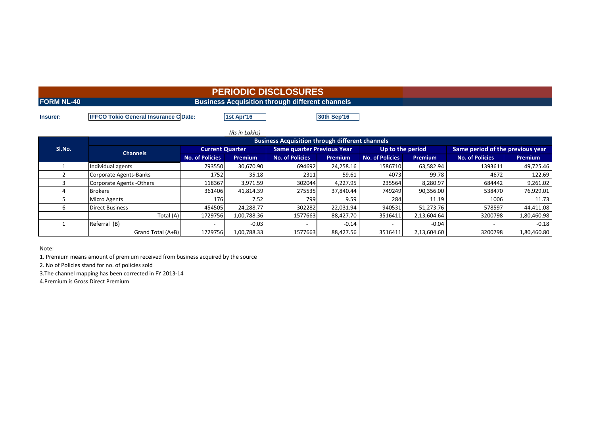|                   | <b>PERIODIC DISCLOSURES</b>                            |  |
|-------------------|--------------------------------------------------------|--|
| <b>FORM NL-40</b> | <b>Business Acquisition through different channels</b> |  |
|                   |                                                        |  |

**Insurer: IFFCO Tokio General Insurance C Date: <b>1st Apr'16 1st Aprile 130th Sep'16** 

| (Rs in Lakhs) |                                                        |                        |             |                                   |                |                        |                |                                  |                |  |  |  |  |
|---------------|--------------------------------------------------------|------------------------|-------------|-----------------------------------|----------------|------------------------|----------------|----------------------------------|----------------|--|--|--|--|
| Sl.No.        | <b>Business Acquisition through different channels</b> |                        |             |                                   |                |                        |                |                                  |                |  |  |  |  |
|               | <b>Channels</b>                                        | <b>Current Quarter</b> |             | <b>Same quarter Previous Year</b> |                | Up to the period       |                | Same period of the previous year |                |  |  |  |  |
|               |                                                        | <b>No. of Policies</b> | Premium     | <b>No. of Policies</b>            | <b>Premium</b> | <b>No. of Policies</b> | <b>Premium</b> | <b>No. of Policies</b>           | <b>Premium</b> |  |  |  |  |
|               | Individual agents                                      | 793550                 | 30,670.90   | 694692                            | 24,258.16      | 1586710                | 63,582.94      | 1393611                          | 49,725.46      |  |  |  |  |
|               | Corporate Agents-Banks                                 | 1752                   | 35.18       | 2311                              | 59.61          | 4073                   | 99.78          | 4672                             | 122.69         |  |  |  |  |
|               | Corporate Agents - Others                              | 118367                 | 3,971.59    | 302044                            | 4,227.95       | 235564                 | 8,280.97       | 684442                           | 9,261.02       |  |  |  |  |
|               | <b>Brokers</b>                                         | 361406                 | 41,814.39   | 275535                            | 37,840.44      | 749249                 | 90,356.00      | 538470                           | 76,929.01      |  |  |  |  |
|               | <b>Micro Agents</b>                                    | 176                    | 7.52        | 799                               | 9.59           | 284                    | 11.19          | 1006                             | 11.73          |  |  |  |  |
|               | <b>Direct Business</b>                                 | 454505                 | 24.288.77   | 302282                            | 22,031.94      | 940531                 | 51.273.76      | 578597                           | 44,411.08      |  |  |  |  |
|               | Total (A)                                              | 1729756                | 1,00,788.36 | 1577663                           | 88,427.70      | 3516411                | 2,13,604.64    | 3200798                          | 1,80,460.98    |  |  |  |  |
|               | Referral (B)                                           |                        | $-0.03$     |                                   | $-0.14$        |                        | $-0.04$        |                                  | $-0.18$        |  |  |  |  |
|               | Grand Total (A+B)                                      | 1729756                | 1,00,788.33 | 1577663                           | 88,427.56      | 3516411                | 2,13,604.60    | 3200798                          | 1,80,460.80    |  |  |  |  |

Note:

1. Premium means amount of premium received from business acquired by the source

2. No of Policies stand for no. of policies sold

3.The channel mapping has been corrected in FY 2013-14

4.Premium is Gross Direct Premium